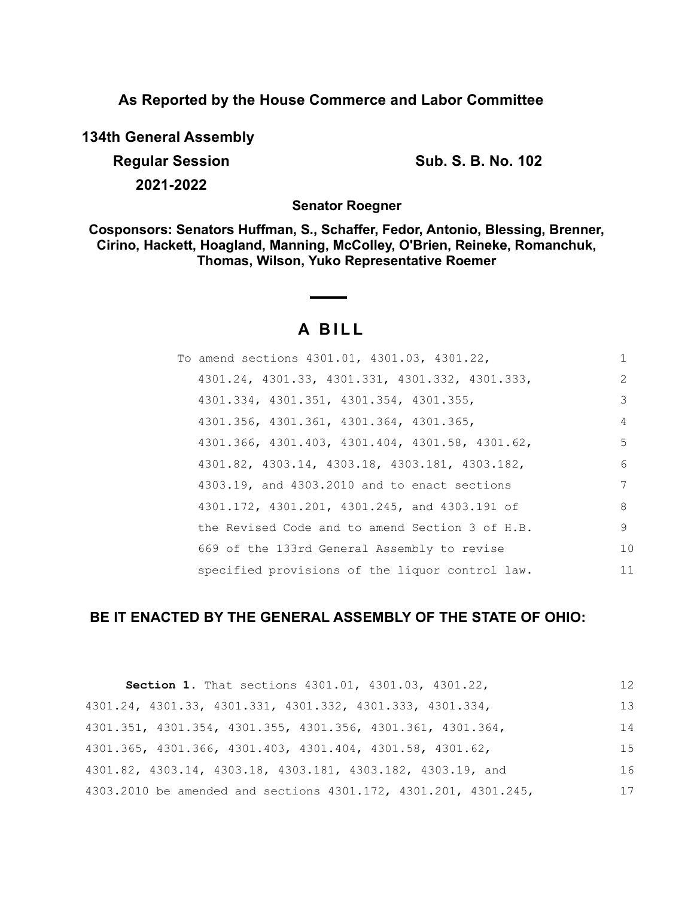**As Reported by the House Commerce and Labor Committee**

**134th General Assembly**

**Regular Session Sub. S. B. No. 102** 

**2021-2022**

**Senator Roegner**

**Cosponsors: Senators Huffman, S., Schaffer, Fedor, Antonio, Blessing, Brenner, Cirino, Hackett, Hoagland, Manning, McColley, O'Brien, Reineke, Romanchuk, Thomas, Wilson, Yuko Representative Roemer**

# **A B I L L**

| To amend sections 4301.01, 4301.03, 4301.22,    |               |
|-------------------------------------------------|---------------|
| 4301.24, 4301.33, 4301.331, 4301.332, 4301.333, | $\mathcal{L}$ |
| 4301.334, 4301.351, 4301.354, 4301.355,         | 3             |
| 4301.356, 4301.361, 4301.364, 4301.365,         | 4             |
| 4301.366, 4301.403, 4301.404, 4301.58, 4301.62, | .5            |
| 4301.82, 4303.14, 4303.18, 4303.181, 4303.182,  | 6             |
| 4303.19, and 4303.2010 and to enact sections    | 7             |
| 4301.172, 4301.201, 4301.245, and 4303.191 of   | 8             |
| the Revised Code and to amend Section 3 of H.B. | 9             |
| 669 of the 133rd General Assembly to revise     | 10            |
| specified provisions of the liquor control law. | 11            |

## **BE IT ENACTED BY THE GENERAL ASSEMBLY OF THE STATE OF OHIO:**

| Section 1. That sections 4301.01, 4301.03, 4301.22,             | 12 |
|-----------------------------------------------------------------|----|
| 4301.24, 4301.33, 4301.331, 4301.332, 4301.333, 4301.334,       | 13 |
| 4301.351, 4301.354, 4301.355, 4301.356, 4301.361, 4301.364,     | 14 |
| 4301.365, 4301.366, 4301.403, 4301.404, 4301.58, 4301.62,       | 15 |
| 4301.82, 4303.14, 4303.18, 4303.181, 4303.182, 4303.19, and     | 16 |
| 4303.2010 be amended and sections 4301.172, 4301.201, 4301.245, | 17 |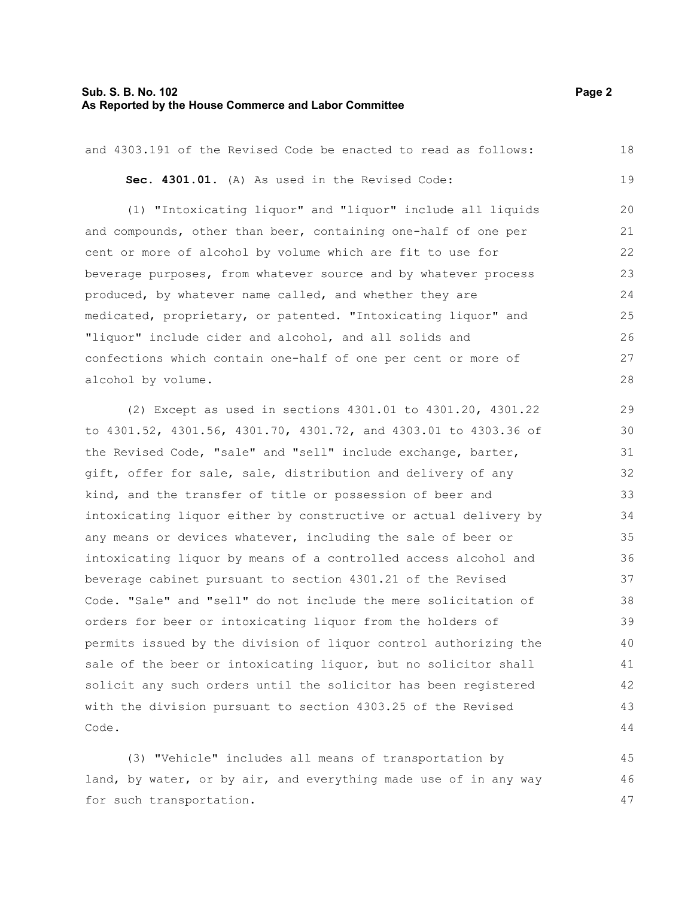#### **Sub. S. B. No. 102 Page 2 As Reported by the House Commerce and Labor Committee**

and 4303.191 of the Revised Code be enacted to read as follows: **Sec. 4301.01.** (A) As used in the Revised Code: (1) "Intoxicating liquor" and "liquor" include all liquids and compounds, other than beer, containing one-half of one per cent or more of alcohol by volume which are fit to use for beverage purposes, from whatever source and by whatever process produced, by whatever name called, and whether they are medicated, proprietary, or patented. "Intoxicating liquor" and "liquor" include cider and alcohol, and all solids and confections which contain one-half of one per cent or more of alcohol by volume. (2) Except as used in sections 4301.01 to 4301.20, 4301.22 to 4301.52, 4301.56, 4301.70, 4301.72, and 4303.01 to 4303.36 of the Revised Code, "sale" and "sell" include exchange, barter, gift, offer for sale, sale, distribution and delivery of any kind, and the transfer of title or possession of beer and intoxicating liquor either by constructive or actual delivery by any means or devices whatever, including the sale of beer or intoxicating liquor by means of a controlled access alcohol and beverage cabinet pursuant to section 4301.21 of the Revised Code. "Sale" and "sell" do not include the mere solicitation of 18 19 20 21 22 23 24 25 26 27 28 29 30 31 32 33 34 35 36 37 38

orders for beer or intoxicating liquor from the holders of permits issued by the division of liquor control authorizing the sale of the beer or intoxicating liquor, but no solicitor shall solicit any such orders until the solicitor has been registered with the division pursuant to section 4303.25 of the Revised Code. 39 40 41 42 43 44

(3) "Vehicle" includes all means of transportation by land, by water, or by air, and everything made use of in any way for such transportation. 45 46 47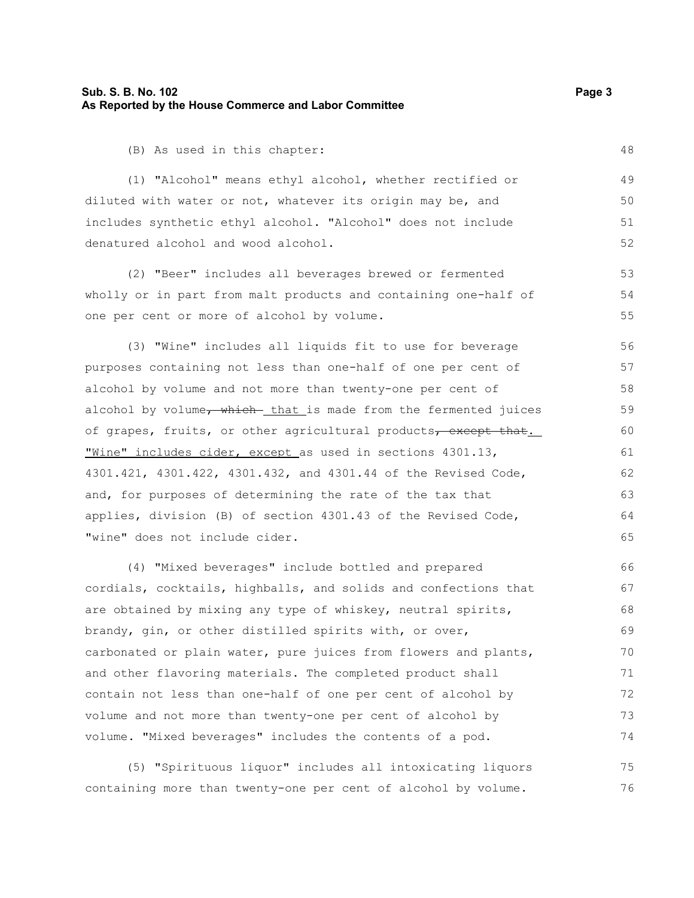#### **Sub. S. B. No. 102 Page 3 As Reported by the House Commerce and Labor Committee**

(B) As used in this chapter:

(1) "Alcohol" means ethyl alcohol, whether rectified or diluted with water or not, whatever its origin may be, and includes synthetic ethyl alcohol. "Alcohol" does not include denatured alcohol and wood alcohol.

(2) "Beer" includes all beverages brewed or fermented wholly or in part from malt products and containing one-half of one per cent or more of alcohol by volume.

(3) "Wine" includes all liquids fit to use for beverage purposes containing not less than one-half of one per cent of alcohol by volume and not more than twenty-one per cent of alcohol by volume, which- that is made from the fermented juices of grapes, fruits, or other agricultural products, except that. "Wine" includes cider, except as used in sections 4301.13, 4301.421, 4301.422, 4301.432, and 4301.44 of the Revised Code, and, for purposes of determining the rate of the tax that applies, division (B) of section 4301.43 of the Revised Code, "wine" does not include cider.

(4) "Mixed beverages" include bottled and prepared cordials, cocktails, highballs, and solids and confections that are obtained by mixing any type of whiskey, neutral spirits, brandy, gin, or other distilled spirits with, or over, carbonated or plain water, pure juices from flowers and plants, and other flavoring materials. The completed product shall contain not less than one-half of one per cent of alcohol by volume and not more than twenty-one per cent of alcohol by volume. "Mixed beverages" includes the contents of a pod. 66 67 68 69 70 71 72 73 74

(5) "Spirituous liquor" includes all intoxicating liquors containing more than twenty-one per cent of alcohol by volume. 75 76

48

53 54 55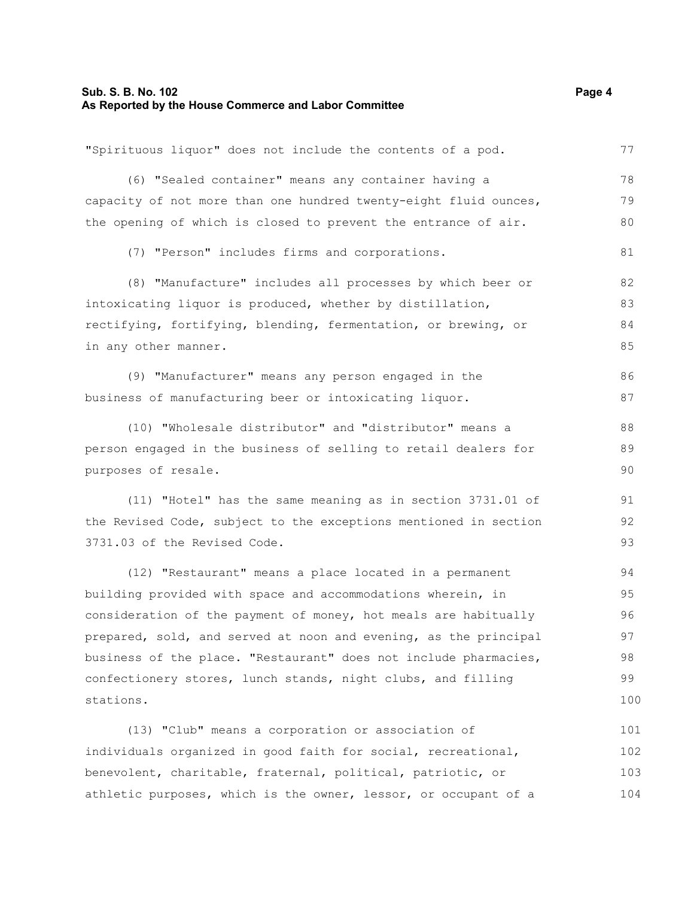## **Sub. S. B. No. 102** Page 4 **As Reported by the House Commerce and Labor Committee**

| "Spirituous liquor" does not include the contents of a pod.      | 77  |
|------------------------------------------------------------------|-----|
| (6) "Sealed container" means any container having a              | 78  |
| capacity of not more than one hundred twenty-eight fluid ounces, | 79  |
| the opening of which is closed to prevent the entrance of air.   | 80  |
| (7) "Person" includes firms and corporations.                    | 81  |
| (8) "Manufacture" includes all processes by which beer or        | 82  |
| intoxicating liquor is produced, whether by distillation,        | 83  |
| rectifying, fortifying, blending, fermentation, or brewing, or   | 84  |
| in any other manner.                                             | 85  |
| (9) "Manufacturer" means any person engaged in the               | 86  |
| business of manufacturing beer or intoxicating liquor.           | 87  |
| (10) "Wholesale distributor" and "distributor" means a           | 88  |
| person engaged in the business of selling to retail dealers for  | 89  |
| purposes of resale.                                              | 90  |
| (11) "Hotel" has the same meaning as in section 3731.01 of       | 91  |
| the Revised Code, subject to the exceptions mentioned in section | 92  |
| 3731.03 of the Revised Code.                                     | 93  |
| (12) "Restaurant" means a place located in a permanent           | 94  |
| building provided with space and accommodations wherein, in      | 95  |
| consideration of the payment of money, hot meals are habitually  | 96  |
| prepared, sold, and served at noon and evening, as the principal | 97  |
| business of the place. "Restaurant" does not include pharmacies, | 98  |
| confectionery stores, lunch stands, night clubs, and filling     | 99  |
| stations.                                                        | 100 |
| (13) "Club" means a corporation or association of                | 101 |
| individuals organized in good faith for social, recreational,    | 102 |
| benevolent, charitable, fraternal, political, patriotic, or      | 103 |
| athletic purposes, which is the owner, lessor, or occupant of a  | 104 |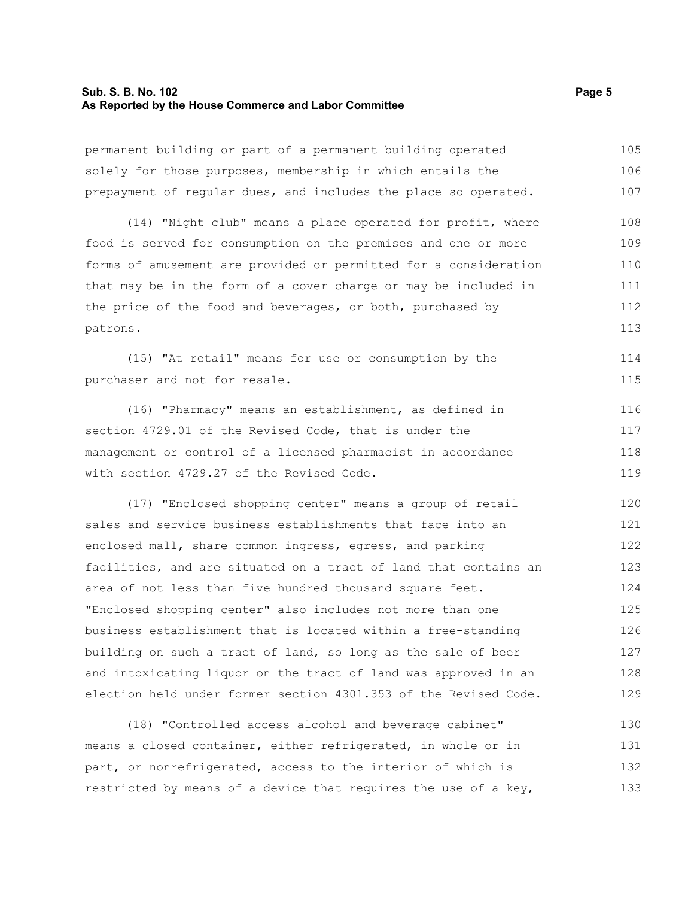#### **Sub. S. B. No. 102 Page 5 As Reported by the House Commerce and Labor Committee**

permanent building or part of a permanent building operated solely for those purposes, membership in which entails the prepayment of regular dues, and includes the place so operated. 105 106 107

(14) "Night club" means a place operated for profit, where food is served for consumption on the premises and one or more forms of amusement are provided or permitted for a consideration that may be in the form of a cover charge or may be included in the price of the food and beverages, or both, purchased by patrons. 108 109 110 111 112 113

(15) "At retail" means for use or consumption by the purchaser and not for resale.

(16) "Pharmacy" means an establishment, as defined in section 4729.01 of the Revised Code, that is under the management or control of a licensed pharmacist in accordance with section 4729.27 of the Revised Code. 116 117 118 119

(17) "Enclosed shopping center" means a group of retail sales and service business establishments that face into an enclosed mall, share common ingress, egress, and parking facilities, and are situated on a tract of land that contains an area of not less than five hundred thousand square feet. "Enclosed shopping center" also includes not more than one business establishment that is located within a free-standing building on such a tract of land, so long as the sale of beer and intoxicating liquor on the tract of land was approved in an election held under former section 4301.353 of the Revised Code. 120 121 122 123 124 125 126 127 128 129

(18) "Controlled access alcohol and beverage cabinet" means a closed container, either refrigerated, in whole or in part, or nonrefrigerated, access to the interior of which is restricted by means of a device that requires the use of a key, 130 131 132 133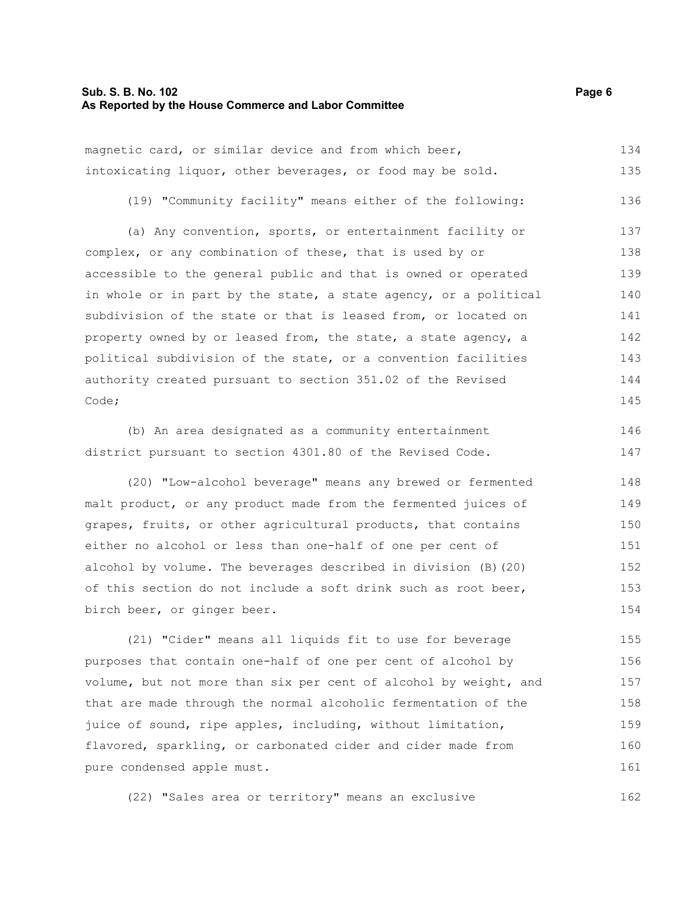magnetic card, or similar device and from which beer, intoxicating liquor, other beverages, or food may be sold. 134 135

(19) "Community facility" means either of the following: 136

(a) Any convention, sports, or entertainment facility or complex, or any combination of these, that is used by or accessible to the general public and that is owned or operated in whole or in part by the state, a state agency, or a political subdivision of the state or that is leased from, or located on property owned by or leased from, the state, a state agency, a political subdivision of the state, or a convention facilities authority created pursuant to section 351.02 of the Revised Code; 137 138 139 140 141 142 143 144 145

(b) An area designated as a community entertainment district pursuant to section 4301.80 of the Revised Code. 146 147

(20) "Low-alcohol beverage" means any brewed or fermented malt product, or any product made from the fermented juices of grapes, fruits, or other agricultural products, that contains either no alcohol or less than one-half of one per cent of alcohol by volume. The beverages described in division (B)(20) of this section do not include a soft drink such as root beer, birch beer, or ginger beer. 148 149 150 151 152 153 154

(21) "Cider" means all liquids fit to use for beverage purposes that contain one-half of one per cent of alcohol by volume, but not more than six per cent of alcohol by weight, and that are made through the normal alcoholic fermentation of the juice of sound, ripe apples, including, without limitation, flavored, sparkling, or carbonated cider and cider made from pure condensed apple must. 155 156 157 158 159 160 161

(22) "Sales area or territory" means an exclusive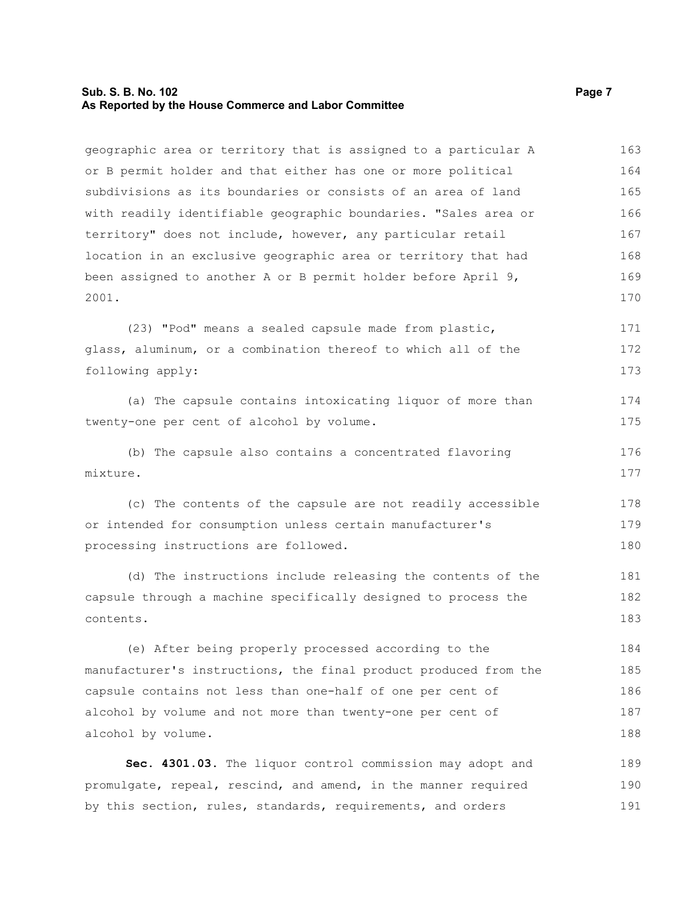#### **Sub. S. B. No. 102 Page 7 As Reported by the House Commerce and Labor Committee**

geographic area or territory that is assigned to a particular A or B permit holder and that either has one or more political subdivisions as its boundaries or consists of an area of land with readily identifiable geographic boundaries. "Sales area or territory" does not include, however, any particular retail location in an exclusive geographic area or territory that had been assigned to another A or B permit holder before April 9, 2001. (23) "Pod" means a sealed capsule made from plastic, glass, aluminum, or a combination thereof to which all of the following apply: (a) The capsule contains intoxicating liquor of more than twenty-one per cent of alcohol by volume. (b) The capsule also contains a concentrated flavoring mixture. (c) The contents of the capsule are not readily accessible or intended for consumption unless certain manufacturer's processing instructions are followed. (d) The instructions include releasing the contents of the 163 164 165 166 167 168 169 170 171 172 173 174 175 176 177 178 179 180 181

capsule through a machine specifically designed to process the contents. 182 183

(e) After being properly processed according to the manufacturer's instructions, the final product produced from the capsule contains not less than one-half of one per cent of alcohol by volume and not more than twenty-one per cent of alcohol by volume. 184 185 186 187 188

**Sec. 4301.03.** The liquor control commission may adopt and promulgate, repeal, rescind, and amend, in the manner required by this section, rules, standards, requirements, and orders 189 190 191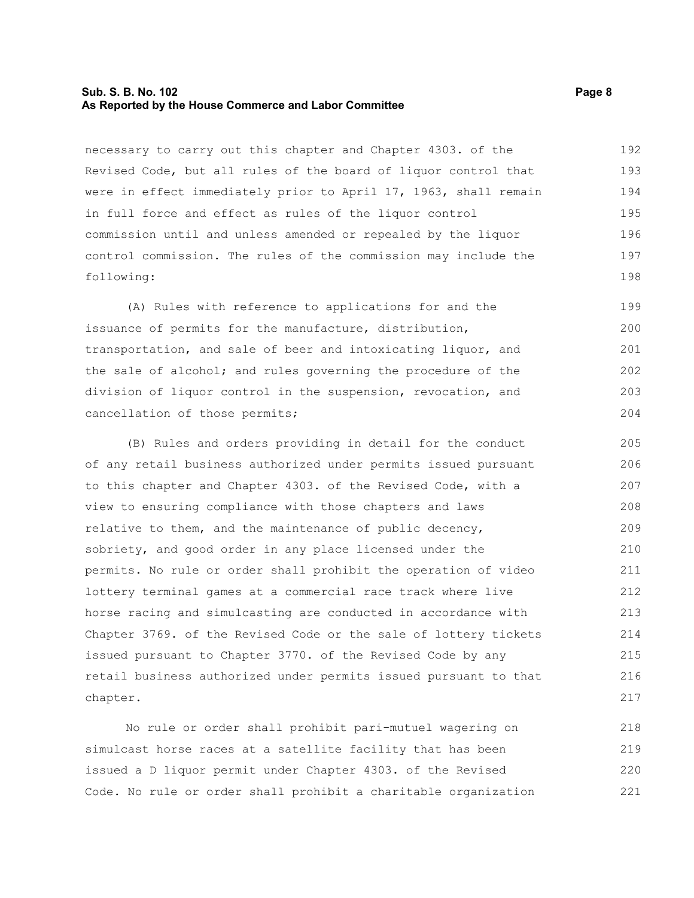#### **Sub. S. B. No. 102 Page 8 As Reported by the House Commerce and Labor Committee**

necessary to carry out this chapter and Chapter 4303. of the Revised Code, but all rules of the board of liquor control that were in effect immediately prior to April 17, 1963, shall remain in full force and effect as rules of the liquor control commission until and unless amended or repealed by the liquor control commission. The rules of the commission may include the following: 192 193 194 195 196 197 198

(A) Rules with reference to applications for and the issuance of permits for the manufacture, distribution, transportation, and sale of beer and intoxicating liquor, and the sale of alcohol; and rules governing the procedure of the division of liquor control in the suspension, revocation, and cancellation of those permits; 199 200 201 202 203 204

(B) Rules and orders providing in detail for the conduct of any retail business authorized under permits issued pursuant to this chapter and Chapter 4303. of the Revised Code, with a view to ensuring compliance with those chapters and laws relative to them, and the maintenance of public decency, sobriety, and good order in any place licensed under the permits. No rule or order shall prohibit the operation of video lottery terminal games at a commercial race track where live horse racing and simulcasting are conducted in accordance with Chapter 3769. of the Revised Code or the sale of lottery tickets issued pursuant to Chapter 3770. of the Revised Code by any retail business authorized under permits issued pursuant to that chapter. 205 206 207 208 209 210 211 212 213 214 215 216 217

No rule or order shall prohibit pari-mutuel wagering on simulcast horse races at a satellite facility that has been issued a D liquor permit under Chapter 4303. of the Revised Code. No rule or order shall prohibit a charitable organization 218 219 220 221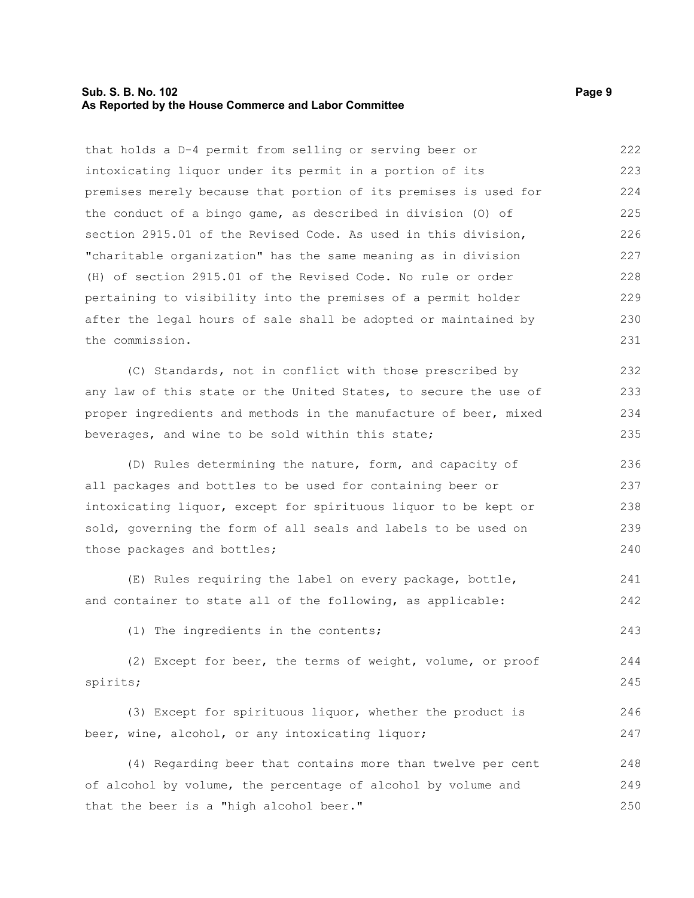#### **Sub. S. B. No. 102 Page 9 As Reported by the House Commerce and Labor Committee**

that holds a D-4 permit from selling or serving beer or intoxicating liquor under its permit in a portion of its premises merely because that portion of its premises is used for the conduct of a bingo game, as described in division (O) of section 2915.01 of the Revised Code. As used in this division, "charitable organization" has the same meaning as in division (H) of section 2915.01 of the Revised Code. No rule or order pertaining to visibility into the premises of a permit holder after the legal hours of sale shall be adopted or maintained by the commission. (C) Standards, not in conflict with those prescribed by any law of this state or the United States, to secure the use of proper ingredients and methods in the manufacture of beer, mixed beverages, and wine to be sold within this state; (D) Rules determining the nature, form, and capacity of all packages and bottles to be used for containing beer or intoxicating liquor, except for spirituous liquor to be kept or sold, governing the form of all seals and labels to be used on those packages and bottles; (E) Rules requiring the label on every package, bottle, and container to state all of the following, as applicable: (1) The ingredients in the contents; (2) Except for beer, the terms of weight, volume, or proof spirits; (3) Except for spirituous liquor, whether the product is beer, wine, alcohol, or any intoxicating liquor; (4) Regarding beer that contains more than twelve per cent of alcohol by volume, the percentage of alcohol by volume and that the beer is a "high alcohol beer." 222 223 224 225 226 227 228 229 230 231 232 233 234 235 236 237 238 239 240 241 242 243 244 245 246 247 248 249 250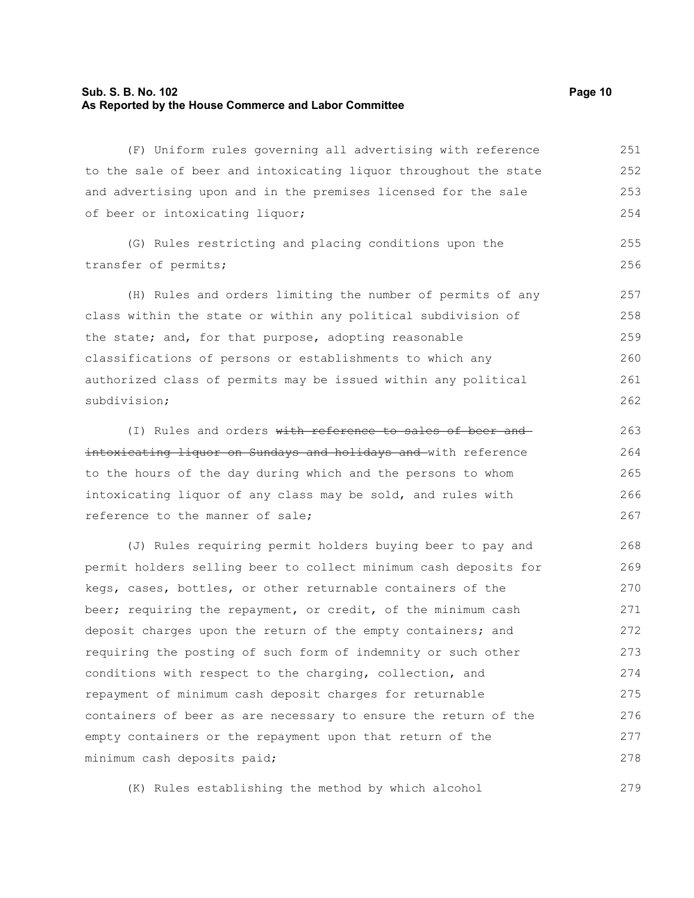#### **Sub. S. B. No. 102 Page 10 As Reported by the House Commerce and Labor Committee**

(F) Uniform rules governing all advertising with reference to the sale of beer and intoxicating liquor throughout the state and advertising upon and in the premises licensed for the sale of beer or intoxicating liquor; 251 252 253 254

(G) Rules restricting and placing conditions upon the transfer of permits;

(H) Rules and orders limiting the number of permits of any class within the state or within any political subdivision of the state; and, for that purpose, adopting reasonable classifications of persons or establishments to which any authorized class of permits may be issued within any political subdivision; 257 258 259 260 261 262

(I) Rules and orders with reference to sales of beer and intoxicating liquor on Sundays and holidays and with reference to the hours of the day during which and the persons to whom intoxicating liquor of any class may be sold, and rules with reference to the manner of sale;

(J) Rules requiring permit holders buying beer to pay and permit holders selling beer to collect minimum cash deposits for kegs, cases, bottles, or other returnable containers of the beer; requiring the repayment, or credit, of the minimum cash deposit charges upon the return of the empty containers; and requiring the posting of such form of indemnity or such other conditions with respect to the charging, collection, and repayment of minimum cash deposit charges for returnable containers of beer as are necessary to ensure the return of the empty containers or the repayment upon that return of the minimum cash deposits paid; 268 269 270 271 272 273 274 275 276 277 278

(K) Rules establishing the method by which alcohol

255 256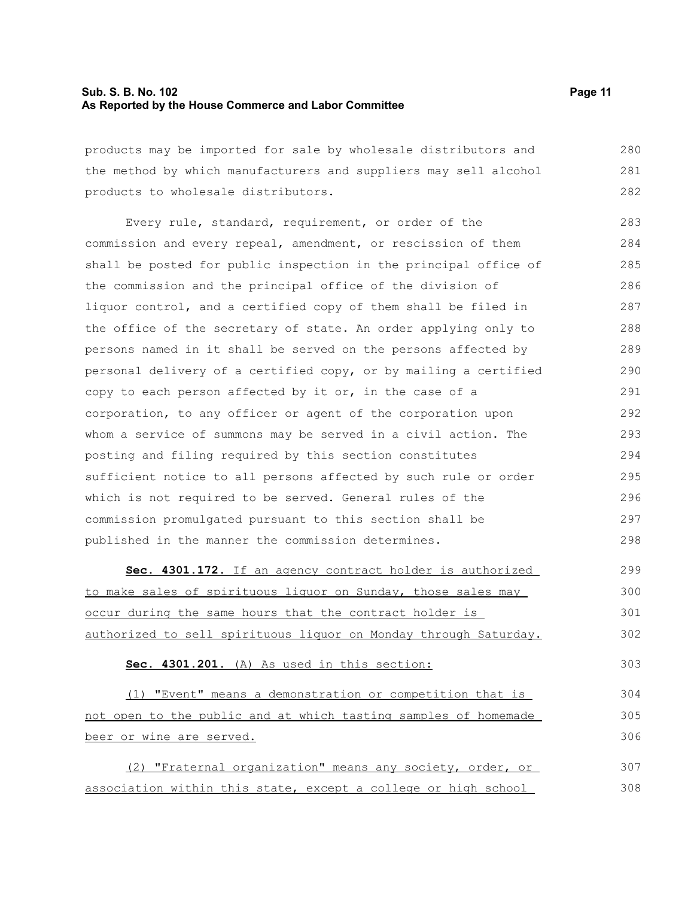#### **Sub. S. B. No. 102 Page 11 As Reported by the House Commerce and Labor Committee**

products may be imported for sale by wholesale distributors and the method by which manufacturers and suppliers may sell alcohol products to wholesale distributors. 280 281 282

Every rule, standard, requirement, or order of the commission and every repeal, amendment, or rescission of them shall be posted for public inspection in the principal office of the commission and the principal office of the division of liquor control, and a certified copy of them shall be filed in the office of the secretary of state. An order applying only to persons named in it shall be served on the persons affected by personal delivery of a certified copy, or by mailing a certified copy to each person affected by it or, in the case of a corporation, to any officer or agent of the corporation upon whom a service of summons may be served in a civil action. The posting and filing required by this section constitutes sufficient notice to all persons affected by such rule or order which is not required to be served. General rules of the commission promulgated pursuant to this section shall be published in the manner the commission determines. 283 284 285 286 287 288 289 290 291 292 293 294 295 296 297 298

 **Sec. 4301.172.** If an agency contract holder is authorized to make sales of spirituous liquor on Sunday, those sales may occur during the same hours that the contract holder is authorized to sell spirituous liquor on Monday through Saturday. 299 300 301 302

**Sec. 4301.201.** (A) As used in this section:

(1) "Event" means a demonstration or competition that is not open to the public and at which tasting samples of homemade beer or wine are served. 304 305 306

(2) "Fraternal organization" means any society, order, or association within this state, except a college or high school 307 308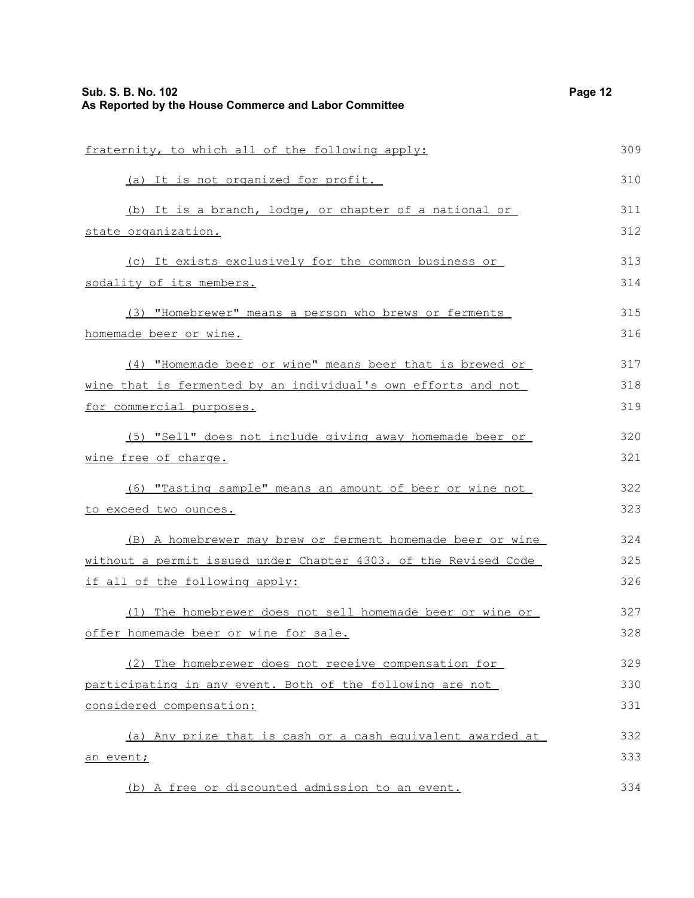| Sub. S. B. No. 102<br>As Reported by the House Commerce and Labor Committee | Page 12 |
|-----------------------------------------------------------------------------|---------|
| fraternity, to which all of the following apply:                            | 309     |
| (a) It is not organized for profit.                                         | 310     |
| (b) It is a branch, lodge, or chapter of a national or                      | 311     |
| state organization.                                                         | 312     |
| (c) It exists exclusively for the common business or                        | 313     |
| sodality of its members.                                                    | 314     |
| (3) "Homebrewer" means a person who brews or ferments                       | 315     |
| homemade beer or wine.                                                      | 316     |
| (4) "Homemade beer or wine" means beer that is brewed or                    | 317     |
| wine that is fermented by an individual's own efforts and not               | 318     |
| for commercial purposes.                                                    | 319     |
| (5) "Sell" does not include giving away homemade beer or                    | 320     |
| wine free of charge.                                                        | 321     |
| (6) "Tasting sample" means an amount of beer or wine not                    | 322     |
| to exceed two ounces.                                                       | 323     |
| (B) A homebrewer may brew or ferment homemade beer or wine                  | 324     |
| without a permit issued under Chapter 4303. of the Revised Code             | 325     |
| if all of the following apply:                                              | 326     |
| (1) The homebrewer does not sell homemade beer or wine or                   | 327     |
| offer homemade beer or wine for sale.                                       | 328     |
| (2) The homebrewer does not receive compensation for                        | 329     |
| participating in any event. Both of the following are not                   | 330     |
| considered compensation:                                                    | 331     |
| (a) Any prize that is cash or a cash equivalent awarded at                  | 332     |
| an event;                                                                   | 333     |
| (b) A free or discounted admission to an event.                             | 334     |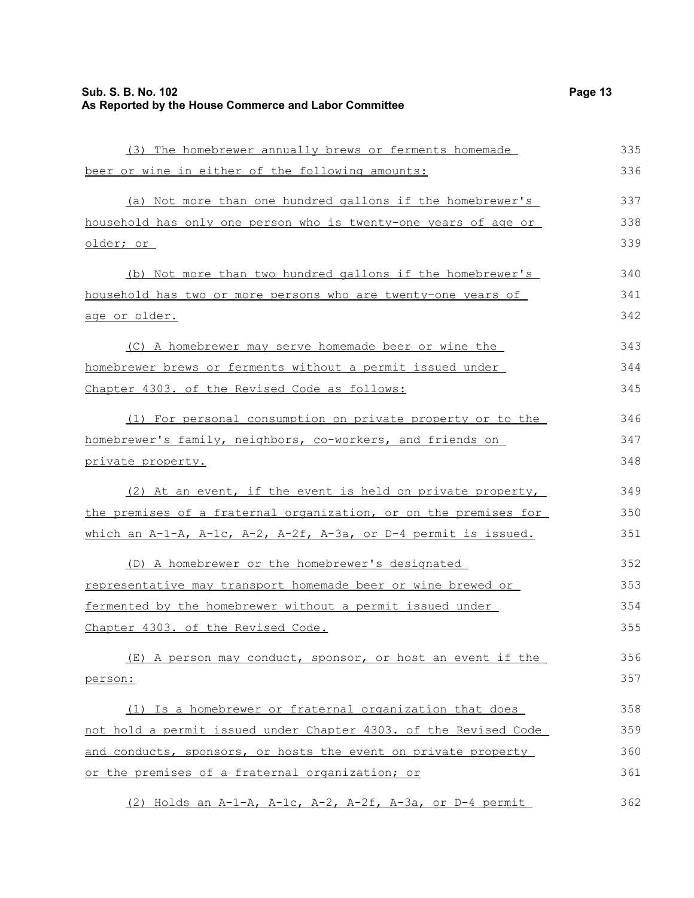older; or

age or older.

(3) The homebrewer annually brews or ferments homemade beer or wine in either of the following amounts: (a) Not more than one hundred gallons if the homebrewer's household has only one person who is twenty-one years of age or (b) Not more than two hundred gallons if the homebrewer's household has two or more persons who are twenty-one years of

(C) A homebrewer may serve homemade beer or wine the homebrewer brews or ferments without a permit issued under Chapter 4303. of the Revised Code as follows: 343 344 345

(1) For personal consumption on private property or to the homebrewer's family, neighbors, co-workers, and friends on private property. 346 347 348

(2) At an event, if the event is held on private property, the premises of a fraternal organization, or on the premises for which an A-1-A, A-1c, A-2, A-2f, A-3a, or D-4 permit is issued. 349 350 351

(D) A homebrewer or the homebrewer's designated representative may transport homemade beer or wine brewed or fermented by the homebrewer without a permit issued under Chapter 4303. of the Revised Code. 352 353 354 355

(E) A person may conduct, sponsor, or host an event if the person: 356 357

(1) Is a homebrewer or fraternal organization that does not hold a permit issued under Chapter 4303. of the Revised Code and conducts, sponsors, or hosts the event on private property or the premises of a fraternal organization; or 358 359 360 361

(2) Holds an A-1-A, A-1c, A-2, A-2f, A-3a, or D-4 permit 362

335 336

337 338 339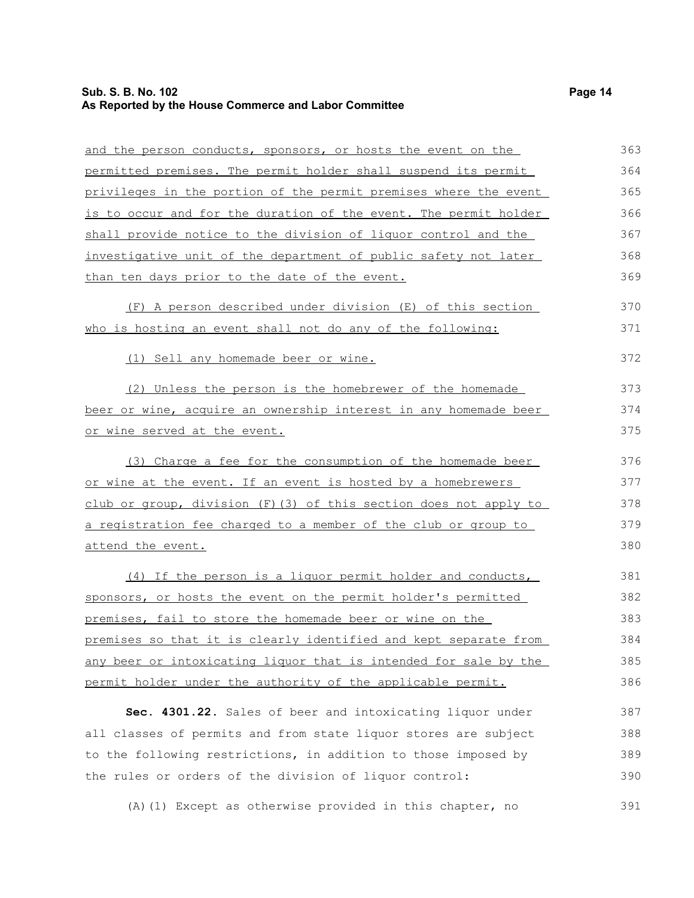#### **Sub. S. B. No. 102 Page 14 As Reported by the House Commerce and Labor Committee**

| and the person conducts, sponsors, or hosts the event on the     |
|------------------------------------------------------------------|
| permitted premises. The permit holder shall suspend its permit   |
| privileges in the portion of the permit premises where the event |
| is to occur and for the duration of the event. The permit holder |
| shall provide notice to the division of liquor control and the   |
| investigative unit of the department of public safety not later  |
| than ten days prior to the date of the event.                    |
| (F) A person described under division (E) of this section        |
| who is hosting an event shall not do any of the following:       |

(1) Sell any homemade beer or wine.

(2) Unless the person is the homebrewer of the homemade beer or wine, acquire an ownership interest in any homemade beer or wine served at the event. 373 374 375

(3) Charge a fee for the consumption of the homemade beer or wine at the event. If an event is hosted by a homebrewers club or group, division (F)(3) of this section does not apply to a registration fee charged to a member of the club or group to attend the event. 376 377 378 379

(4) If the person is a liquor permit holder and conducts, sponsors, or hosts the event on the permit holder's permitted premises, fail to store the homemade beer or wine on the premises so that it is clearly identified and kept separate from any beer or intoxicating liquor that is intended for sale by the permit holder under the authority of the applicable permit. 381 382 383 384 385 386

**Sec. 4301.22.** Sales of beer and intoxicating liquor under all classes of permits and from state liquor stores are subject to the following restrictions, in addition to those imposed by the rules or orders of the division of liquor control: 387 388 389 390

(A)(1) Except as otherwise provided in this chapter, no 391

370 371

372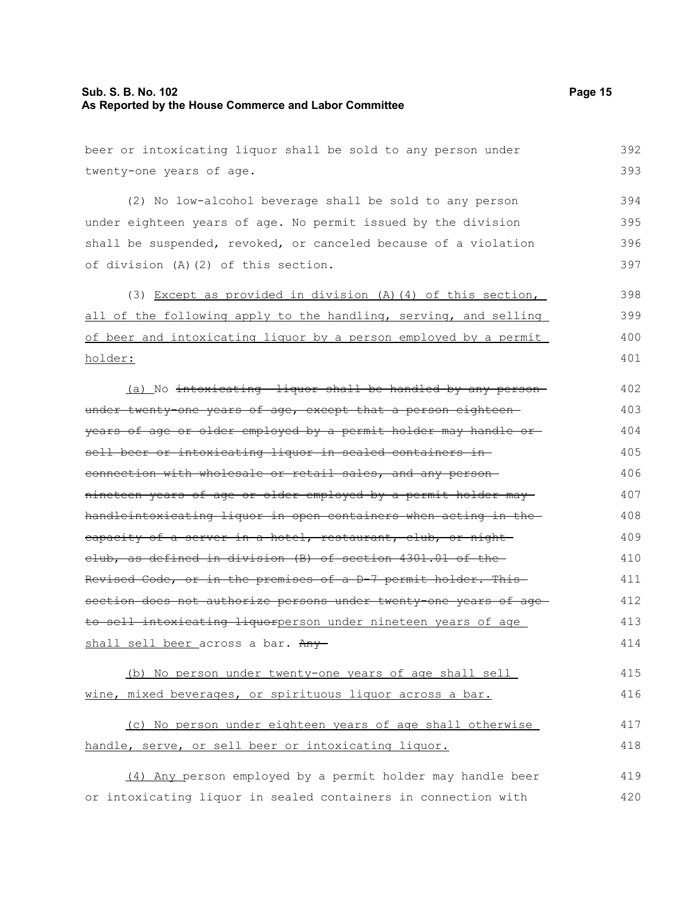beer or intoxicating liquor shall be sold to any person under twenty-one years of age. (2) No low-alcohol beverage shall be sold to any person under eighteen years of age. No permit issued by the division shall be suspended, revoked, or canceled because of a violation of division (A)(2) of this section. (3) Except as provided in division (A)(4) of this section, all of the following apply to the handling, serving, and selling of beer and intoxicating liquor by a person employed by a permit holder: (a) No intoxicating liquor shall be handled by any personunder twenty-one years of age, except that a person eighteenyears of age or older employed by a permit holder may handle or sell beer or intoxicating liquor in sealed containers in connection with wholesale or retail sales, and any person nineteen years of age or older employed by a permit holder may handleintoxicating liquor in open containers when acting in the eapacity of a server in a hotel, restaurant, club, or night club, as defined in division (B) of section 4301.01 of the Revised Code, or in the premises of a D-7 permit holder. This section does not authorize persons under twenty-one years of age to sell intoxicating liquorperson under nineteen years of age shall sell beer across a bar. Any-(b) No person under twenty-one years of age shall sell wine, mixed beverages, or spirituous liquor across a bar. (c) No person under eighteen years of age shall otherwise handle, serve, or sell beer or intoxicating liquor. 392 393 394 395 396 397 398 399 400 401 402 403 404 405 406 407 408 409 410 411 412 413 414 415 416 417 418

(4) Any person employed by a permit holder may handle beer or intoxicating liquor in sealed containers in connection with 419 420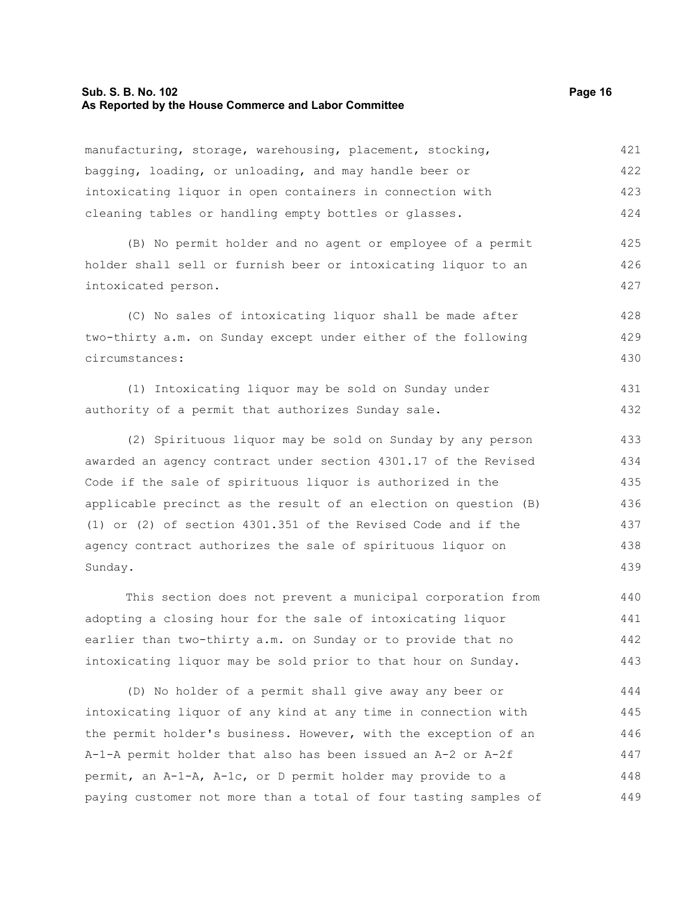#### **Sub. S. B. No. 102 Page 16 As Reported by the House Commerce and Labor Committee**

manufacturing, storage, warehousing, placement, stocking, bagging, loading, or unloading, and may handle beer or intoxicating liquor in open containers in connection with cleaning tables or handling empty bottles or glasses. 421 422 423 424

(B) No permit holder and no agent or employee of a permit holder shall sell or furnish beer or intoxicating liquor to an intoxicated person. 425 426 427

(C) No sales of intoxicating liquor shall be made after two-thirty a.m. on Sunday except under either of the following circumstances: 428 429 430

(1) Intoxicating liquor may be sold on Sunday under authority of a permit that authorizes Sunday sale. 431 432

(2) Spirituous liquor may be sold on Sunday by any person awarded an agency contract under section 4301.17 of the Revised Code if the sale of spirituous liquor is authorized in the applicable precinct as the result of an election on question (B) (1) or (2) of section 4301.351 of the Revised Code and if the agency contract authorizes the sale of spirituous liquor on Sunday. 433 434 435 436

This section does not prevent a municipal corporation from adopting a closing hour for the sale of intoxicating liquor earlier than two-thirty a.m. on Sunday or to provide that no intoxicating liquor may be sold prior to that hour on Sunday. 440 441 442 443

(D) No holder of a permit shall give away any beer or intoxicating liquor of any kind at any time in connection with the permit holder's business. However, with the exception of an A-1-A permit holder that also has been issued an A-2 or A-2f permit, an A-1-A, A-1c, or D permit holder may provide to a paying customer not more than a total of four tasting samples of 444 445 446 447 448 449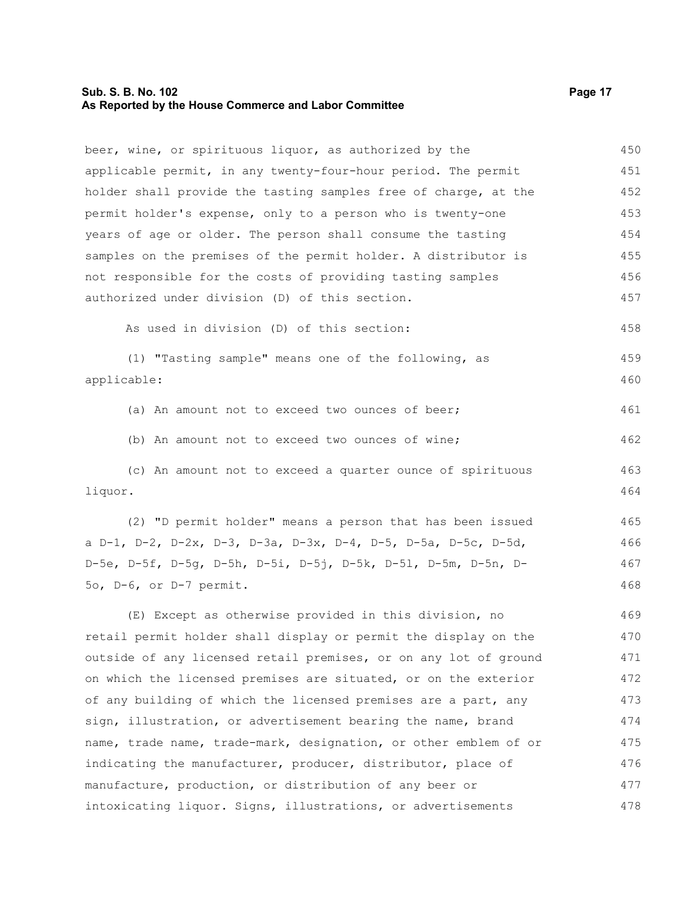#### **Sub. S. B. No. 102 Page 17 As Reported by the House Commerce and Labor Committee**

beer, wine, or spirituous liquor, as authorized by the applicable permit, in any twenty-four-hour period. The permit holder shall provide the tasting samples free of charge, at the permit holder's expense, only to a person who is twenty-one years of age or older. The person shall consume the tasting samples on the premises of the permit holder. A distributor is not responsible for the costs of providing tasting samples authorized under division (D) of this section. 450 451 452 453 454 455 456 457

As used in division (D) of this section:

(1) "Tasting sample" means one of the following, as applicable: 459 460

(a) An amount not to exceed two ounces of beer;

(b) An amount not to exceed two ounces of wine;

(c) An amount not to exceed a quarter ounce of spirituous liquor. 463 464

(2) "D permit holder" means a person that has been issued a D-1, D-2, D-2x, D-3, D-3a, D-3x, D-4, D-5, D-5a, D-5c, D-5d, D-5e, D-5f, D-5g, D-5h, D-5i, D-5j, D-5k, D-5l, D-5m, D-5n, D-5o, D-6, or D-7 permit. 465 466 467 468

(E) Except as otherwise provided in this division, no retail permit holder shall display or permit the display on the outside of any licensed retail premises, or on any lot of ground on which the licensed premises are situated, or on the exterior of any building of which the licensed premises are a part, any sign, illustration, or advertisement bearing the name, brand name, trade name, trade-mark, designation, or other emblem of or indicating the manufacturer, producer, distributor, place of manufacture, production, or distribution of any beer or intoxicating liquor. Signs, illustrations, or advertisements 469 470 471 472 473 474 475 476 477 478

458

461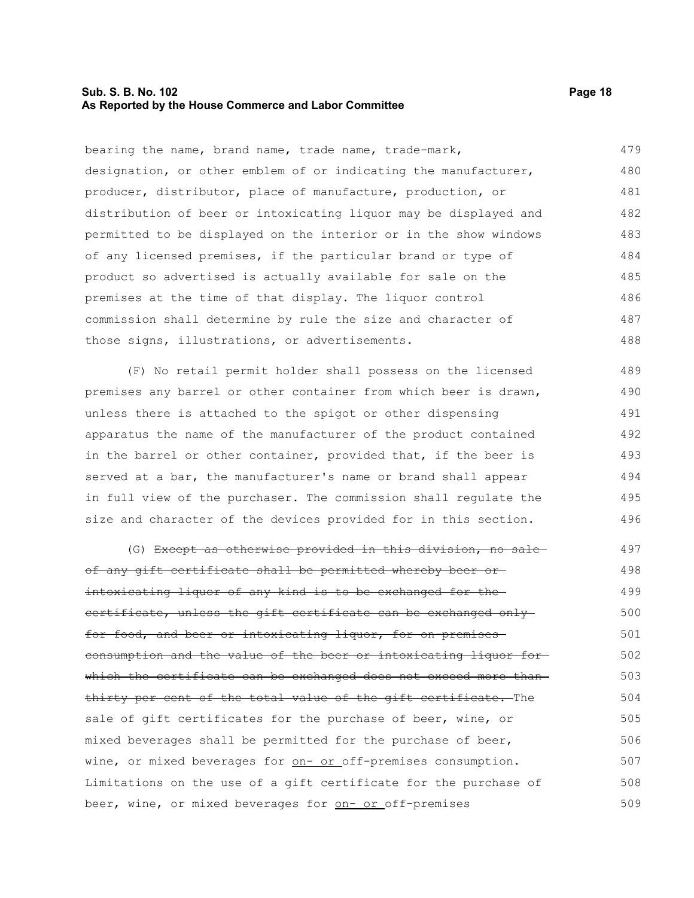#### **Sub. S. B. No. 102 Page 18 As Reported by the House Commerce and Labor Committee**

bearing the name, brand name, trade name, trade-mark, designation, or other emblem of or indicating the manufacturer, producer, distributor, place of manufacture, production, or distribution of beer or intoxicating liquor may be displayed and permitted to be displayed on the interior or in the show windows of any licensed premises, if the particular brand or type of product so advertised is actually available for sale on the premises at the time of that display. The liquor control commission shall determine by rule the size and character of those signs, illustrations, or advertisements. 479 480 481 482 483 484 485 486 487 488

(F) No retail permit holder shall possess on the licensed premises any barrel or other container from which beer is drawn, unless there is attached to the spigot or other dispensing apparatus the name of the manufacturer of the product contained in the barrel or other container, provided that, if the beer is served at a bar, the manufacturer's name or brand shall appear in full view of the purchaser. The commission shall regulate the size and character of the devices provided for in this section. 489 490 491 492 493 494 495 496

(G) Except as otherwise provided in this division, no sale of any gift certificate shall be permitted whereby beer or intoxicating liquor of any kind is to be exchanged for the certificate, unless the gift certificate can be exchanged only for food, and beer or intoxicating liquor, for on-premisesconsumption and the value of the beer or intoxicating liquor for which the certificate can be exchanged does not exceed more than thirty per cent of the total value of the gift certificate. The sale of gift certificates for the purchase of beer, wine, or mixed beverages shall be permitted for the purchase of beer, wine, or mixed beverages for on- or off-premises consumption. Limitations on the use of a gift certificate for the purchase of beer, wine, or mixed beverages for on- or off-premises 497 498 499 500 501 502 503 504 505 506 507 508 509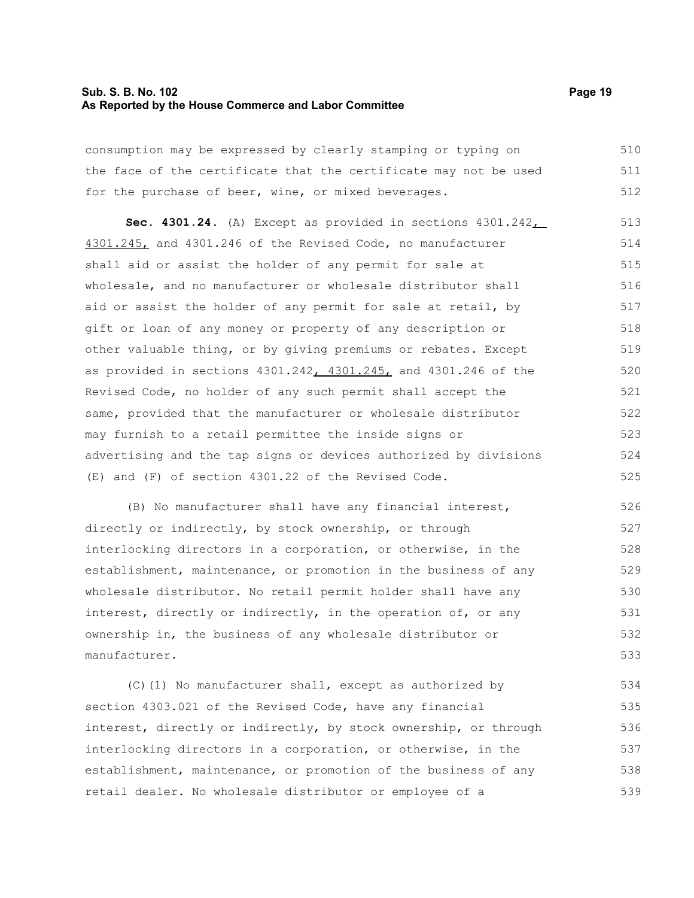#### **Sub. S. B. No. 102 Page 19 As Reported by the House Commerce and Labor Committee**

consumption may be expressed by clearly stamping or typing on the face of the certificate that the certificate may not be used for the purchase of beer, wine, or mixed beverages. 510 511 512

**Sec. 4301.24.** (A) Except as provided in sections 4301.242, 4301.245, and 4301.246 of the Revised Code, no manufacturer shall aid or assist the holder of any permit for sale at wholesale, and no manufacturer or wholesale distributor shall aid or assist the holder of any permit for sale at retail, by gift or loan of any money or property of any description or other valuable thing, or by giving premiums or rebates. Except as provided in sections 4301.242, 4301.245, and 4301.246 of the Revised Code, no holder of any such permit shall accept the same, provided that the manufacturer or wholesale distributor may furnish to a retail permittee the inside signs or advertising and the tap signs or devices authorized by divisions (E) and (F) of section 4301.22 of the Revised Code. 513 514 515 516 517 518 519 520 521 522 523 524 525

(B) No manufacturer shall have any financial interest, directly or indirectly, by stock ownership, or through interlocking directors in a corporation, or otherwise, in the establishment, maintenance, or promotion in the business of any wholesale distributor. No retail permit holder shall have any interest, directly or indirectly, in the operation of, or any ownership in, the business of any wholesale distributor or manufacturer. 526 527 528 529 530 531 532 533

(C)(1) No manufacturer shall, except as authorized by section 4303.021 of the Revised Code, have any financial interest, directly or indirectly, by stock ownership, or through interlocking directors in a corporation, or otherwise, in the establishment, maintenance, or promotion of the business of any retail dealer. No wholesale distributor or employee of a 534 535 536 537 538 539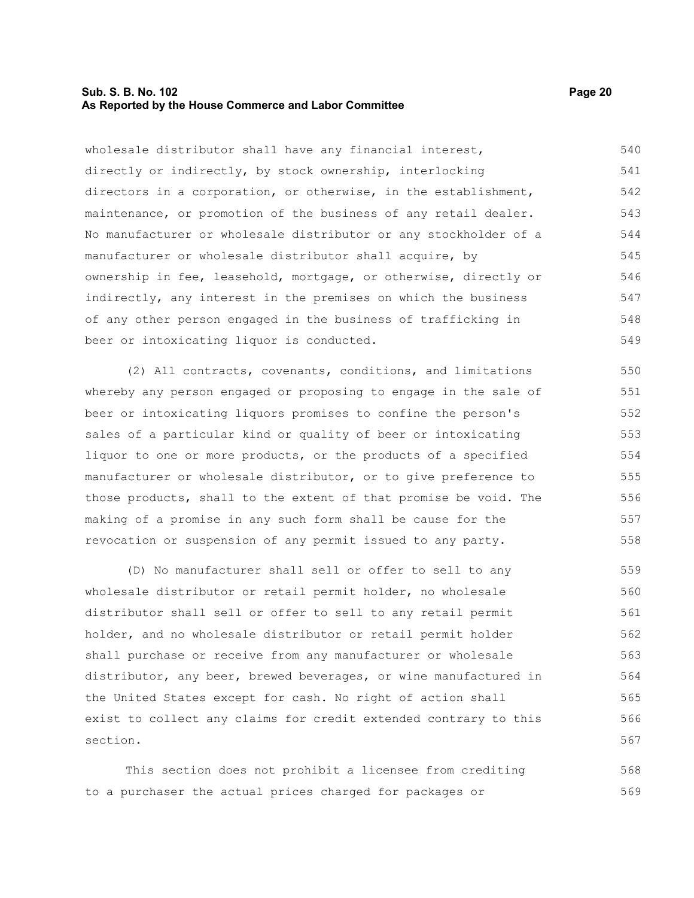#### **Sub. S. B. No. 102 Page 20 As Reported by the House Commerce and Labor Committee**

beer or intoxicating liquor is conducted.

wholesale distributor shall have any financial interest, directly or indirectly, by stock ownership, interlocking directors in a corporation, or otherwise, in the establishment, maintenance, or promotion of the business of any retail dealer. No manufacturer or wholesale distributor or any stockholder of a manufacturer or wholesale distributor shall acquire, by ownership in fee, leasehold, mortgage, or otherwise, directly or indirectly, any interest in the premises on which the business of any other person engaged in the business of trafficking in 540 541 542 543 544 545 546 547 548

(2) All contracts, covenants, conditions, and limitations whereby any person engaged or proposing to engage in the sale of beer or intoxicating liquors promises to confine the person's sales of a particular kind or quality of beer or intoxicating liquor to one or more products, or the products of a specified manufacturer or wholesale distributor, or to give preference to those products, shall to the extent of that promise be void. The making of a promise in any such form shall be cause for the revocation or suspension of any permit issued to any party. 550 551 552 553 554 555 556 557 558

(D) No manufacturer shall sell or offer to sell to any wholesale distributor or retail permit holder, no wholesale distributor shall sell or offer to sell to any retail permit holder, and no wholesale distributor or retail permit holder shall purchase or receive from any manufacturer or wholesale distributor, any beer, brewed beverages, or wine manufactured in the United States except for cash. No right of action shall exist to collect any claims for credit extended contrary to this section. 559 560 561 562 563 564 565 566 567

This section does not prohibit a licensee from crediting to a purchaser the actual prices charged for packages or 568 569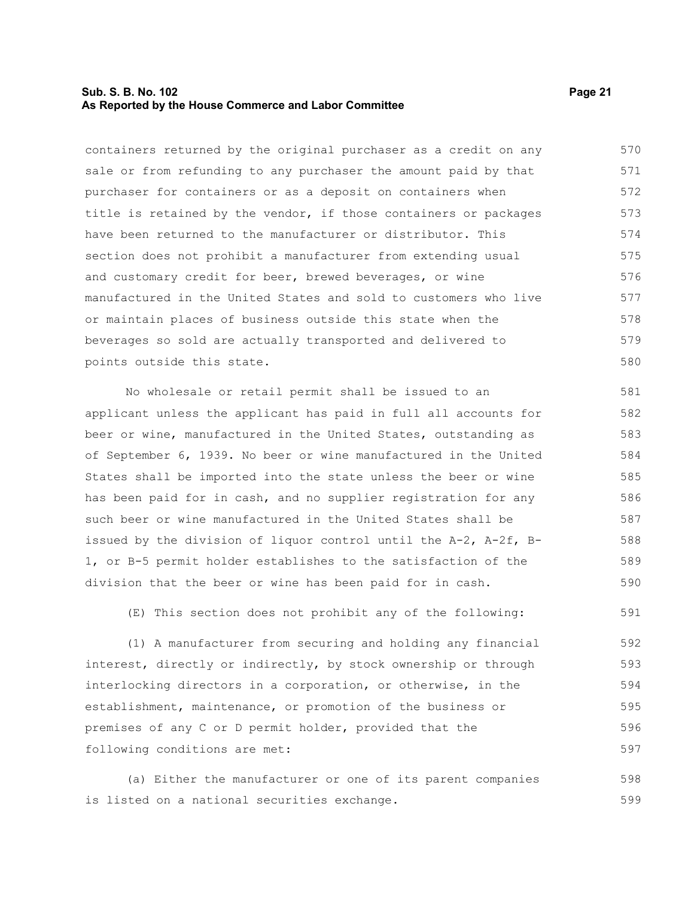#### **Sub. S. B. No. 102 Page 21 As Reported by the House Commerce and Labor Committee**

containers returned by the original purchaser as a credit on any sale or from refunding to any purchaser the amount paid by that purchaser for containers or as a deposit on containers when title is retained by the vendor, if those containers or packages have been returned to the manufacturer or distributor. This section does not prohibit a manufacturer from extending usual and customary credit for beer, brewed beverages, or wine manufactured in the United States and sold to customers who live or maintain places of business outside this state when the beverages so sold are actually transported and delivered to points outside this state. 570 571 572 573 574 575 576 577 578 579 580

No wholesale or retail permit shall be issued to an applicant unless the applicant has paid in full all accounts for beer or wine, manufactured in the United States, outstanding as of September 6, 1939. No beer or wine manufactured in the United States shall be imported into the state unless the beer or wine has been paid for in cash, and no supplier registration for any such beer or wine manufactured in the United States shall be issued by the division of liquor control until the A-2, A-2f, B-1, or B-5 permit holder establishes to the satisfaction of the division that the beer or wine has been paid for in cash. 581 582 583 584 585 586 587 588 589 590

(E) This section does not prohibit any of the following:

(1) A manufacturer from securing and holding any financial interest, directly or indirectly, by stock ownership or through interlocking directors in a corporation, or otherwise, in the establishment, maintenance, or promotion of the business or premises of any C or D permit holder, provided that the following conditions are met: 592 593 594 595 596 597

(a) Either the manufacturer or one of its parent companies is listed on a national securities exchange. 598 599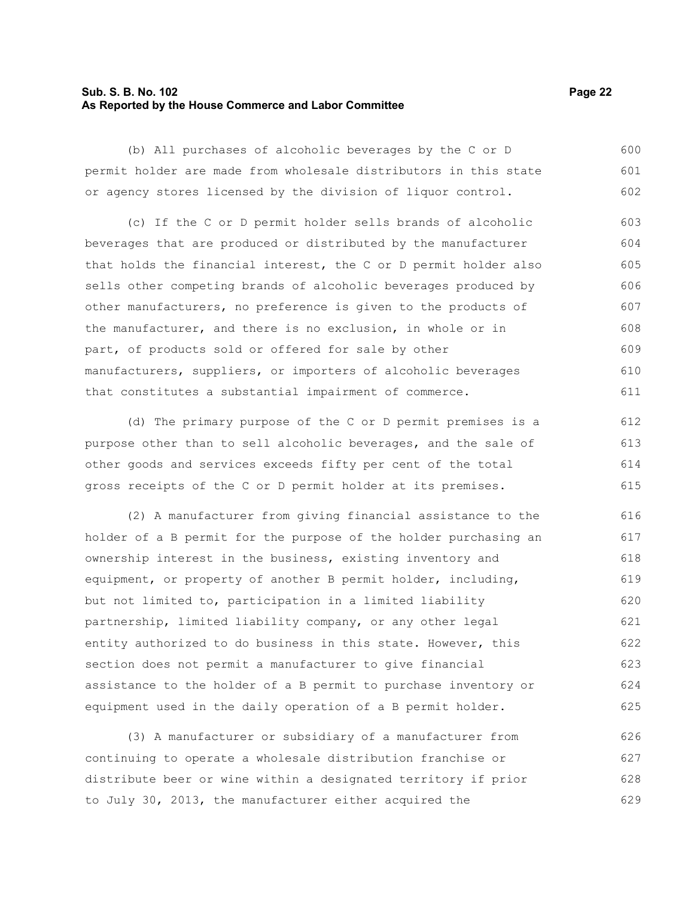#### **Sub. S. B. No. 102 Page 22 As Reported by the House Commerce and Labor Committee**

(b) All purchases of alcoholic beverages by the C or D permit holder are made from wholesale distributors in this state or agency stores licensed by the division of liquor control. 600 601 602

(c) If the C or D permit holder sells brands of alcoholic beverages that are produced or distributed by the manufacturer that holds the financial interest, the C or D permit holder also sells other competing brands of alcoholic beverages produced by other manufacturers, no preference is given to the products of the manufacturer, and there is no exclusion, in whole or in part, of products sold or offered for sale by other manufacturers, suppliers, or importers of alcoholic beverages that constitutes a substantial impairment of commerce. 603 604 605 606 607 608 609 610 611

(d) The primary purpose of the C or D permit premises is a purpose other than to sell alcoholic beverages, and the sale of other goods and services exceeds fifty per cent of the total gross receipts of the C or D permit holder at its premises. 612 613 614 615

(2) A manufacturer from giving financial assistance to the holder of a B permit for the purpose of the holder purchasing an ownership interest in the business, existing inventory and equipment, or property of another B permit holder, including, but not limited to, participation in a limited liability partnership, limited liability company, or any other legal entity authorized to do business in this state. However, this section does not permit a manufacturer to give financial assistance to the holder of a B permit to purchase inventory or equipment used in the daily operation of a B permit holder. 616 617 618 619 620 621 622 623 624 625

(3) A manufacturer or subsidiary of a manufacturer from continuing to operate a wholesale distribution franchise or distribute beer or wine within a designated territory if prior to July 30, 2013, the manufacturer either acquired the 626 627 628 629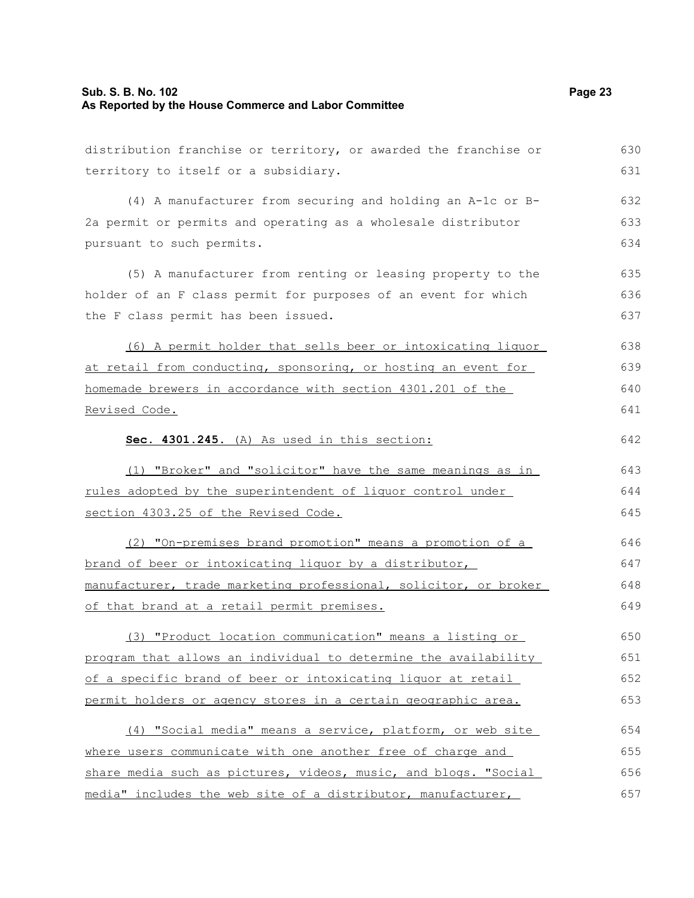## **Sub. S. B. No. 102 Page 23 As Reported by the House Commerce and Labor Committee**

| distribution franchise or territory, or awarded the franchise or | 630 |
|------------------------------------------------------------------|-----|
| territory to itself or a subsidiary.                             | 631 |
| (4) A manufacturer from securing and holding an A-1c or B-       | 632 |
| 2a permit or permits and operating as a wholesale distributor    | 633 |
| pursuant to such permits.                                        | 634 |
| (5) A manufacturer from renting or leasing property to the       | 635 |
| holder of an F class permit for purposes of an event for which   | 636 |
| the F class permit has been issued.                              | 637 |
| (6) A permit holder that sells beer or intoxicating liquor       | 638 |
| at retail from conducting, sponsoring, or hosting an event for   | 639 |
| homemade brewers in accordance with section 4301.201 of the      | 640 |
| Revised Code.                                                    | 641 |
| Sec. 4301.245. (A) As used in this section:                      | 642 |
| (1) "Broker" and "solicitor" have the same meanings as in        | 643 |
| rules adopted by the superintendent of liquor control under      | 644 |
| section 4303.25 of the Revised Code.                             | 645 |
| (2) "On-premises brand promotion" means a promotion of a         | 646 |
| brand of beer or intoxicating liquor by a distributor,           | 647 |
| manufacturer, trade marketing professional, solicitor, or broker | 648 |
| of that brand at a retail permit premises.                       | 649 |
| (3) "Product location communication" means a listing or          | 650 |
| program that allows an individual to determine the availability  | 651 |
| of a specific brand of beer or intoxicating liquor at retail     | 652 |
| permit holders or agency stores in a certain geographic area.    | 653 |
| (4) "Social media" means a service, platform, or web site        | 654 |
| where users communicate with one another free of charge and      | 655 |
| share media such as pictures, videos, music, and blogs. "Social  | 656 |
| media" includes the web site of a distributor, manufacturer,     | 657 |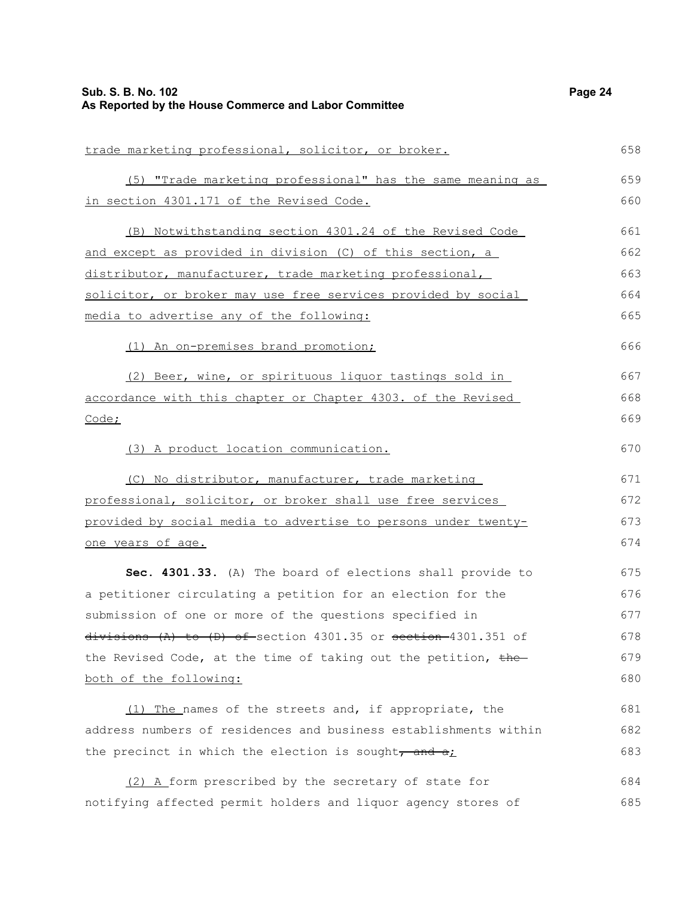| Sub. S. B. No. 102<br>As Reported by the House Commerce and Labor Committee | Page 24 |
|-----------------------------------------------------------------------------|---------|
| trade marketing professional, solicitor, or broker.                         | 658     |
| (5) "Trade marketing professional" has the same meaning as                  | 659     |
| in section 4301.171 of the Revised Code.                                    | 660     |
| (B) Notwithstanding section 4301.24 of the Revised Code                     | 661     |
| and except as provided in division (C) of this section, a                   | 662     |
| distributor, manufacturer, trade marketing professional,                    | 663     |
| solicitor, or broker may use free services provided by social               | 664     |
| media to advertise any of the following:                                    | 665     |
| (1) An on-premises brand promotion;                                         | 666     |
| (2) Beer, wine, or spirituous liquor tastings sold in                       | 667     |
| accordance with this chapter or Chapter 4303. of the Revised                | 668     |
| Code;                                                                       | 669     |
| (3) A product location communication.                                       | 670     |
| (C) No distributor, manufacturer, trade marketing                           | 671     |
| professional, solicitor, or broker shall use free services                  | 672     |
| provided by social media to advertise to persons under twenty-              | 673     |
| <u>one years of age.</u>                                                    | 674     |
| Sec. 4301.33. (A) The board of elections shall provide to                   | 675     |
| a petitioner circulating a petition for an election for the                 | 676     |
| submission of one or more of the questions specified in                     | 677     |
| $divisions$ (A) to (D) of section 4301.35 or section 4301.351 of            | 678     |
| the Revised Code, at the time of taking out the petition, the-              | 679     |
| both of the following:                                                      | 680     |
| (1) The names of the streets and, if appropriate, the                       | 681     |
| address numbers of residences and business establishments within            | 682     |
| the precinct in which the election is sought, and all                       | 683     |
|                                                                             | COA     |

(2) A form prescribed by the secretary of state for notifying affected permit holders and liquor agency stores of 684 685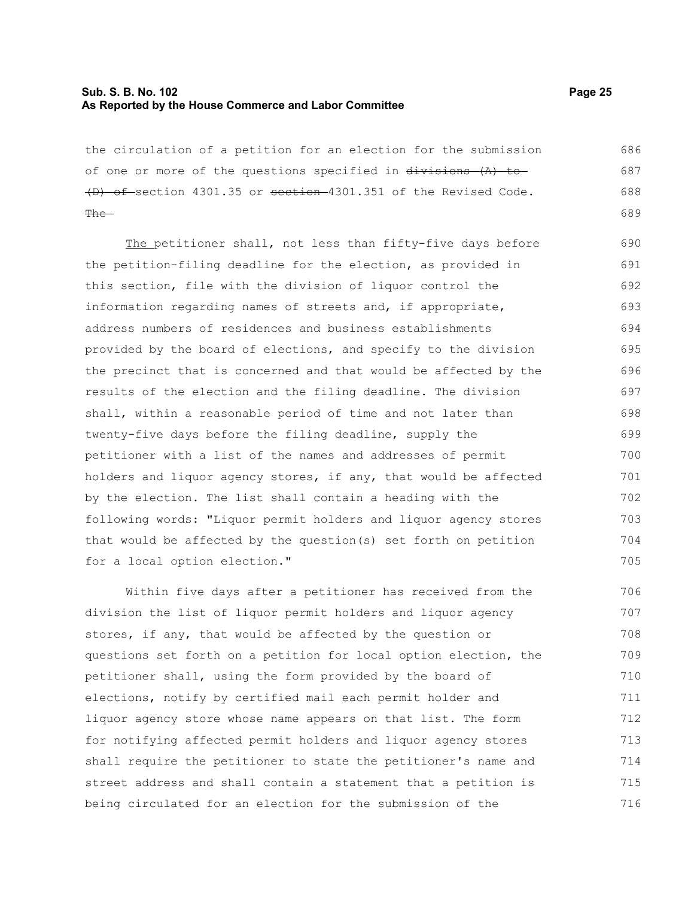#### **Sub. S. B. No. 102 Page 25 As Reported by the House Commerce and Labor Committee**

the circulation of a petition for an election for the submission of one or more of the questions specified in  $\frac{divisions}{dx}$  (A) to-(D) of section 4301.35 or section 4301.351 of the Revised Code. The-686 687 688 689

The petitioner shall, not less than fifty-five days before the petition-filing deadline for the election, as provided in this section, file with the division of liquor control the information regarding names of streets and, if appropriate, address numbers of residences and business establishments provided by the board of elections, and specify to the division the precinct that is concerned and that would be affected by the results of the election and the filing deadline. The division shall, within a reasonable period of time and not later than twenty-five days before the filing deadline, supply the petitioner with a list of the names and addresses of permit holders and liquor agency stores, if any, that would be affected by the election. The list shall contain a heading with the following words: "Liquor permit holders and liquor agency stores that would be affected by the question(s) set forth on petition for a local option election." 690 691 692 693 694 695 696 697 698 699 700 701 702 703 704 705

Within five days after a petitioner has received from the division the list of liquor permit holders and liquor agency stores, if any, that would be affected by the question or questions set forth on a petition for local option election, the petitioner shall, using the form provided by the board of elections, notify by certified mail each permit holder and liquor agency store whose name appears on that list. The form for notifying affected permit holders and liquor agency stores shall require the petitioner to state the petitioner's name and street address and shall contain a statement that a petition is being circulated for an election for the submission of the 706 707 708 709 710 711 712 713 714 715 716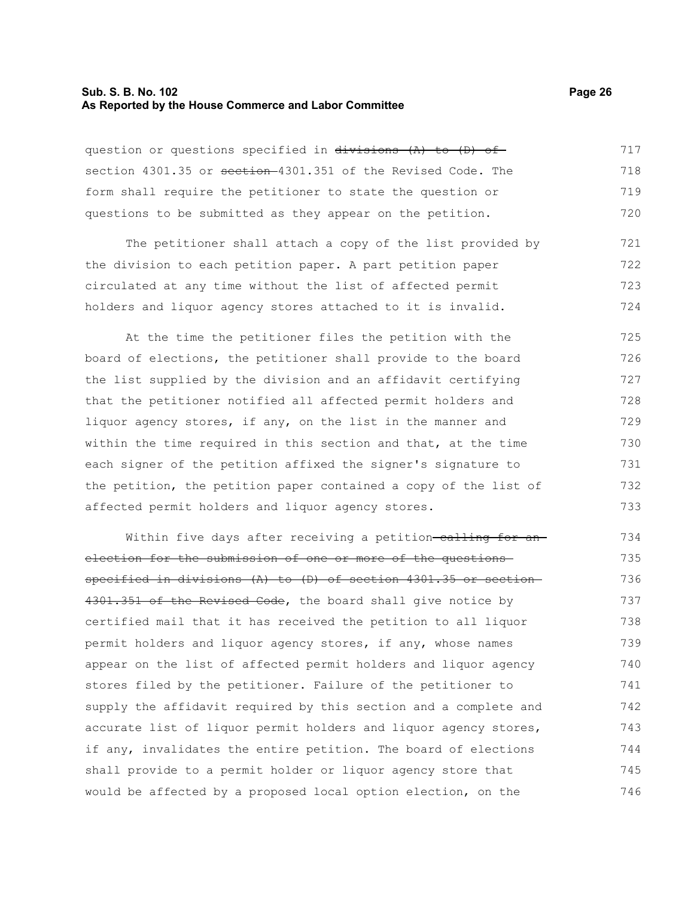#### **Sub. S. B. No. 102 Page 26 As Reported by the House Commerce and Labor Committee**

question or questions specified in divisions (A) to (D) ofsection 4301.35 or section 4301.351 of the Revised Code. The form shall require the petitioner to state the question or questions to be submitted as they appear on the petition. 717 718 719 720

The petitioner shall attach a copy of the list provided by the division to each petition paper. A part petition paper circulated at any time without the list of affected permit holders and liquor agency stores attached to it is invalid. 721 722 723 724

At the time the petitioner files the petition with the board of elections, the petitioner shall provide to the board the list supplied by the division and an affidavit certifying that the petitioner notified all affected permit holders and liquor agency stores, if any, on the list in the manner and within the time required in this section and that, at the time each signer of the petition affixed the signer's signature to the petition, the petition paper contained a copy of the list of affected permit holders and liquor agency stores. 725 726 727 728 729 730 731 732 733

Within five days after receiving a petition-ealling for anelection for the submission of one or more of the questions specified in divisions (A) to (D) of section 4301.35 or section 4301.351 of the Revised Code, the board shall give notice by certified mail that it has received the petition to all liquor permit holders and liquor agency stores, if any, whose names appear on the list of affected permit holders and liquor agency stores filed by the petitioner. Failure of the petitioner to supply the affidavit required by this section and a complete and accurate list of liquor permit holders and liquor agency stores, if any, invalidates the entire petition. The board of elections shall provide to a permit holder or liquor agency store that would be affected by a proposed local option election, on the 734 735 736 737 738 739 740 741 742 743 744 745 746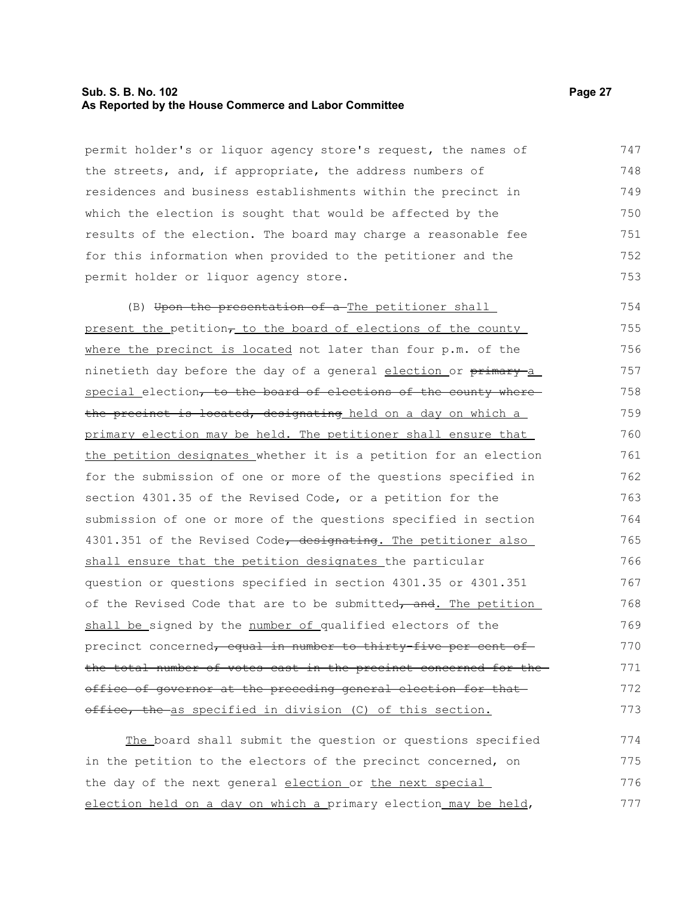#### **Sub. S. B. No. 102 Page 27 As Reported by the House Commerce and Labor Committee**

permit holder's or liquor agency store's request, the names of the streets, and, if appropriate, the address numbers of residences and business establishments within the precinct in which the election is sought that would be affected by the results of the election. The board may charge a reasonable fee for this information when provided to the petitioner and the permit holder or liquor agency store. 747 748 749 750 751 752 753

(B) Upon the presentation of a The petitioner shall present the petition $\tau$  to the board of elections of the county where the precinct is located not later than four p.m. of the ninetieth day before the day of a general election or primary-a special election, to the board of elections of the county wherethe precinct is located, designating held on a day on which a primary election may be held. The petitioner shall ensure that the petition designates whether it is a petition for an election for the submission of one or more of the questions specified in section 4301.35 of the Revised Code, or a petition for the submission of one or more of the questions specified in section 4301.351 of the Revised Code, designating. The petitioner also shall ensure that the petition designates the particular question or questions specified in section 4301.35 or 4301.351 of the Revised Code that are to be submitted, and. The petition shall be signed by the number of qualified electors of the precinct concerned, equal in number to thirty five per cent of the total number of votes cast in the precinct concerned for the office of governor at the preceding general election for that office, the as specified in division (C) of this section. 754 755 756 757 758 759 760 761 762 763 764 765 766 767 768 769 770 771 772 773

The board shall submit the question or questions specified in the petition to the electors of the precinct concerned, on the day of the next general election or the next special election held on a day on which a primary election may be held, 774 775 776 777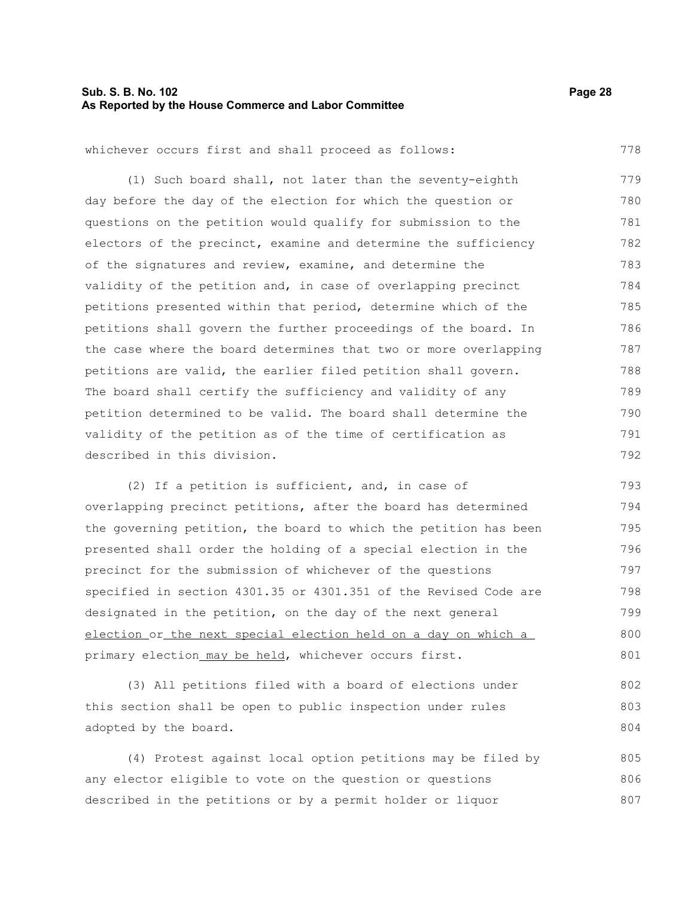#### **Sub. S. B. No. 102 Page 28 As Reported by the House Commerce and Labor Committee**

778

whichever occurs first and shall proceed as follows:

(1) Such board shall, not later than the seventy-eighth day before the day of the election for which the question or questions on the petition would qualify for submission to the electors of the precinct, examine and determine the sufficiency of the signatures and review, examine, and determine the validity of the petition and, in case of overlapping precinct petitions presented within that period, determine which of the petitions shall govern the further proceedings of the board. In the case where the board determines that two or more overlapping petitions are valid, the earlier filed petition shall govern. The board shall certify the sufficiency and validity of any petition determined to be valid. The board shall determine the validity of the petition as of the time of certification as described in this division. 779 780 781 782 783 784 785 786 787 788 789 790 791 792

(2) If a petition is sufficient, and, in case of overlapping precinct petitions, after the board has determined the governing petition, the board to which the petition has been presented shall order the holding of a special election in the precinct for the submission of whichever of the questions specified in section 4301.35 or 4301.351 of the Revised Code are designated in the petition, on the day of the next general election or the next special election held on a day on which a primary election\_may be held, whichever occurs first. 793 794 795 796 797 798 799 800 801

(3) All petitions filed with a board of elections under this section shall be open to public inspection under rules adopted by the board. 802 803 804

(4) Protest against local option petitions may be filed by any elector eligible to vote on the question or questions described in the petitions or by a permit holder or liquor 805 806 807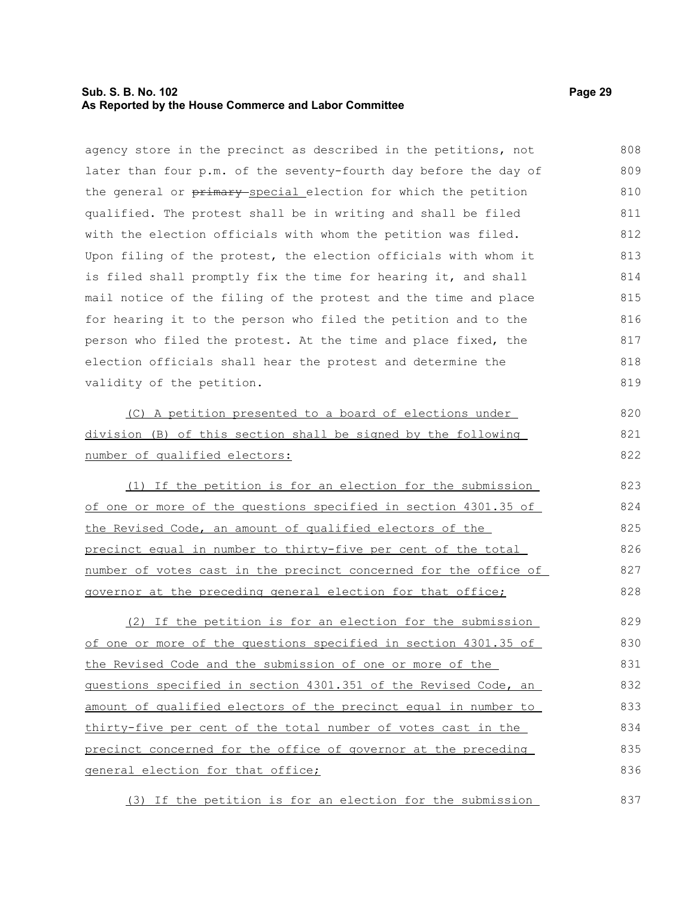#### **Sub. S. B. No. 102 Page 29 As Reported by the House Commerce and Labor Committee**

agency store in the precinct as described in the petitions, not later than four p.m. of the seventy-fourth day before the day of the general or primary special election for which the petition qualified. The protest shall be in writing and shall be filed with the election officials with whom the petition was filed. Upon filing of the protest, the election officials with whom it is filed shall promptly fix the time for hearing it, and shall mail notice of the filing of the protest and the time and place for hearing it to the person who filed the petition and to the person who filed the protest. At the time and place fixed, the election officials shall hear the protest and determine the validity of the petition. (C) A petition presented to a board of elections under division (B) of this section shall be signed by the following number of qualified electors: (1) If the petition is for an election for the submission of one or more of the questions specified in section 4301.35 of the Revised Code, an amount of qualified electors of the precinct equal in number to thirty-five per cent of the total number of votes cast in the precinct concerned for the office of governor at the preceding general election for that office; (2) If the petition is for an election for the submission of one or more of the questions specified in section 4301.35 of the Revised Code and the submission of one or more of the questions specified in section 4301.351 of the Revised Code, an amount of qualified electors of the precinct equal in number to thirty-five per cent of the total number of votes cast in the precinct concerned for the office of governor at the preceding general election for that office; 808 809 810 811 812 813 814 815 816 817 818 819 820 821 822 823 824 825 826 827 828 829 830 831 832 833 834 835 836

(3) If the petition is for an election for the submission 837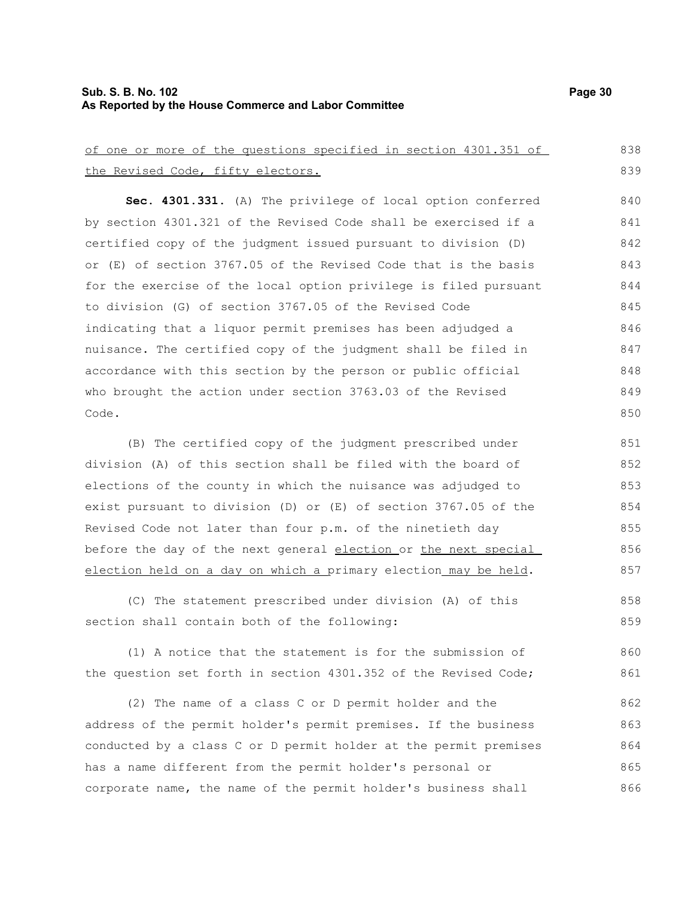## **Sub. S. B. No. 102 Page 30 As Reported by the House Commerce and Labor Committee**

| of one or more of the questions specified in section 4301.351 of | 838 |
|------------------------------------------------------------------|-----|
| the Revised Code, fifty electors.                                | 839 |
| Sec. 4301.331. (A) The privilege of local option conferred       | 840 |
| by section 4301.321 of the Revised Code shall be exercised if a  | 841 |
| certified copy of the judgment issued pursuant to division (D)   | 842 |
| or (E) of section 3767.05 of the Revised Code that is the basis  | 843 |
| for the exercise of the local option privilege is filed pursuant | 844 |
| to division (G) of section 3767.05 of the Revised Code           | 845 |
| indicating that a liquor permit premises has been adjudged a     | 846 |
| nuisance. The certified copy of the judgment shall be filed in   | 847 |
| accordance with this section by the person or public official    | 848 |
| who brought the action under section 3763.03 of the Revised      | 849 |
| Code.                                                            | 850 |
| (B) The certified copy of the judgment prescribed under          | 851 |
| division (A) of this section shall be filed with the board of    | 852 |
| elections of the county in which the nuisance was adjudged to    | 853 |
| exist pursuant to division (D) or (E) of section 3767.05 of the  | 854 |
| Revised Code not later than four p.m. of the ninetieth day       | 855 |
| before the day of the next general election or the next special  | 856 |
| election held on a day on which a primary election may be held.  | 857 |
| (C) The statement prescribed under division (A) of this          | 858 |
| section shall contain both of the following:                     | 859 |
| (1) A notice that the statement is for the submission of         | 860 |
| the question set forth in section 4301.352 of the Revised Code;  | 861 |
|                                                                  |     |
| (2) The name of a class C or D permit holder and the             | 862 |
| address of the permit holder's permit premises. If the business  | 863 |
| conducted by a class C or D permit holder at the permit premises | 864 |
| has a name different from the permit holder's personal or        | 865 |
| corporate name, the name of the permit holder's business shall   | 866 |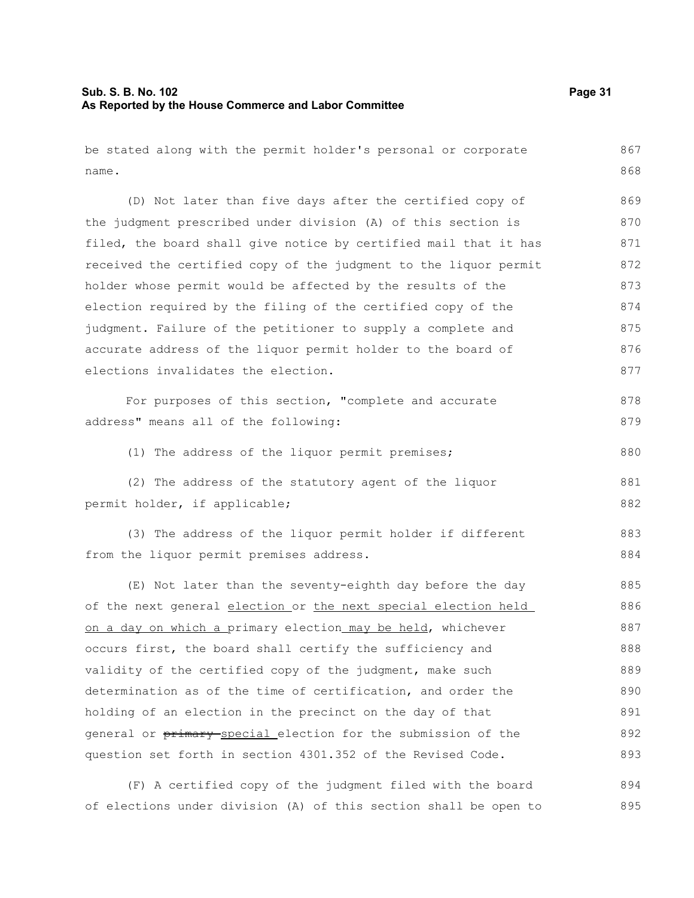## **Sub. S. B. No. 102 Page 31 As Reported by the House Commerce and Labor Committee**

| be stated along with the permit holder's personal or corporate   | 867 |
|------------------------------------------------------------------|-----|
| name.                                                            | 868 |
| (D) Not later than five days after the certified copy of         | 869 |
| the judgment prescribed under division (A) of this section is    | 870 |
| filed, the board shall give notice by certified mail that it has | 871 |
| received the certified copy of the judgment to the liquor permit | 872 |
| holder whose permit would be affected by the results of the      | 873 |
| election required by the filing of the certified copy of the     | 874 |
| judgment. Failure of the petitioner to supply a complete and     | 875 |
| accurate address of the liquor permit holder to the board of     | 876 |
| elections invalidates the election.                              | 877 |
| For purposes of this section, "complete and accurate             | 878 |
| address" means all of the following:                             | 879 |
| (1) The address of the liquor permit premises;                   | 880 |
| (2) The address of the statutory agent of the liquor             | 881 |
| permit holder, if applicable;                                    | 882 |
| (3) The address of the liquor permit holder if different         | 883 |
| from the liquor permit premises address.                         | 884 |
| (E) Not later than the seventy-eighth day before the day         | 885 |
| of the next general election or the next special election held   | 886 |
| on a day on which a primary election may be held, whichever      | 887 |
| occurs first, the board shall certify the sufficiency and        | 888 |
| validity of the certified copy of the judgment, make such        | 889 |
| determination as of the time of certification, and order the     | 890 |
| holding of an election in the precinct on the day of that        | 891 |
| general or primary special election for the submission of the    | 892 |
| question set forth in section 4301.352 of the Revised Code.      | 893 |

(F) A certified copy of the judgment filed with the board of elections under division (A) of this section shall be open to 894 895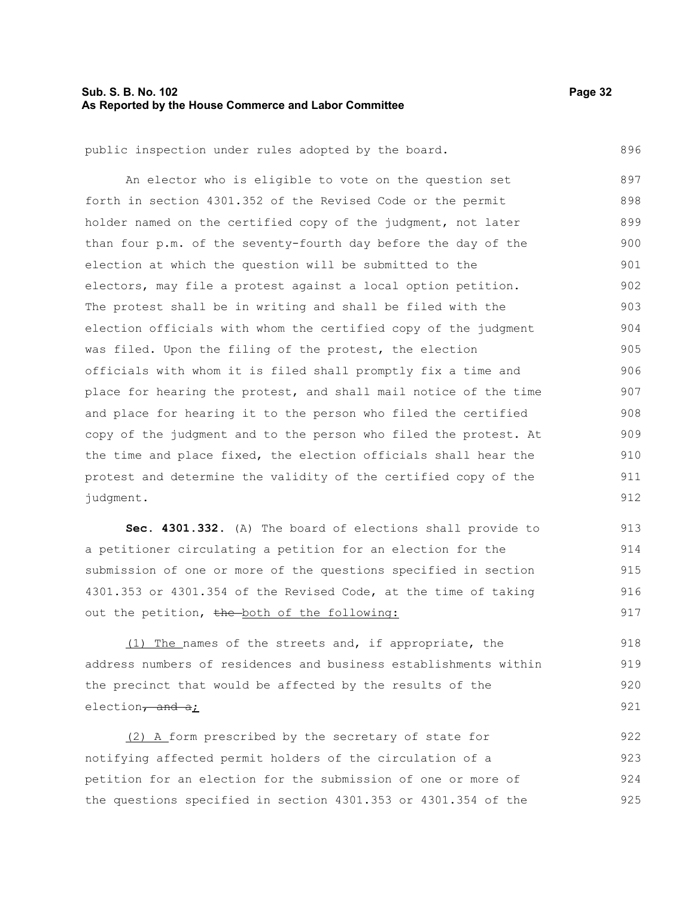#### **Sub. S. B. No. 102 Page 32 As Reported by the House Commerce and Labor Committee**

896

public inspection under rules adopted by the board.

An elector who is eligible to vote on the question set forth in section 4301.352 of the Revised Code or the permit holder named on the certified copy of the judgment, not later than four p.m. of the seventy-fourth day before the day of the election at which the question will be submitted to the electors, may file a protest against a local option petition. The protest shall be in writing and shall be filed with the election officials with whom the certified copy of the judgment was filed. Upon the filing of the protest, the election officials with whom it is filed shall promptly fix a time and place for hearing the protest, and shall mail notice of the time and place for hearing it to the person who filed the certified copy of the judgment and to the person who filed the protest. At the time and place fixed, the election officials shall hear the protest and determine the validity of the certified copy of the judgment. 897 898 899 900 901 902 903 904 905 906 907 908 909 910 911 912

**Sec. 4301.332.** (A) The board of elections shall provide to a petitioner circulating a petition for an election for the submission of one or more of the questions specified in section 4301.353 or 4301.354 of the Revised Code, at the time of taking out the petition, the both of the following: 913 914 915 916 917

(1) The names of the streets and, if appropriate, the address numbers of residences and business establishments within the precinct that would be affected by the results of the election $\frac{1}{2}$  and  $\frac{1}{2}$ ;

(2) A form prescribed by the secretary of state for notifying affected permit holders of the circulation of a petition for an election for the submission of one or more of the questions specified in section 4301.353 or 4301.354 of the 922 923 924 925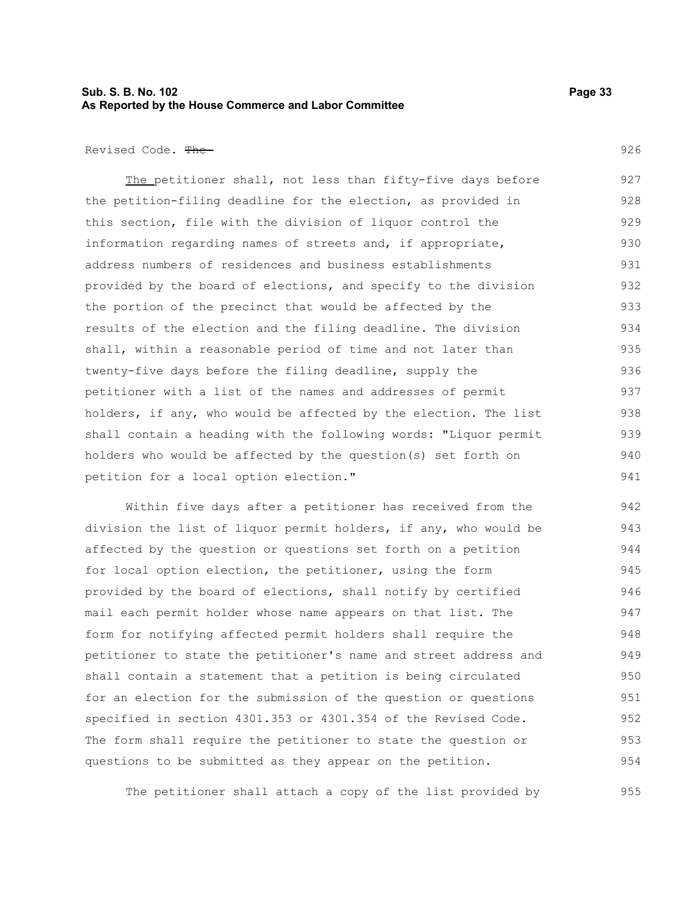#### **Sub. S. B. No. 102 Page 33 As Reported by the House Commerce and Labor Committee**

Revised Code. The

The petitioner shall, not less than fifty-five days before the petition-filing deadline for the election, as provided in this section, file with the division of liquor control the information regarding names of streets and, if appropriate, address numbers of residences and business establishments provided by the board of elections, and specify to the division the portion of the precinct that would be affected by the results of the election and the filing deadline. The division shall, within a reasonable period of time and not later than twenty-five days before the filing deadline, supply the petitioner with a list of the names and addresses of permit holders, if any, who would be affected by the election. The list shall contain a heading with the following words: "Liquor permit holders who would be affected by the question(s) set forth on petition for a local option election." 927 928 929 930 931 932 933 934 935 936 937 938 939 940 941

Within five days after a petitioner has received from the division the list of liquor permit holders, if any, who would be affected by the question or questions set forth on a petition for local option election, the petitioner, using the form provided by the board of elections, shall notify by certified mail each permit holder whose name appears on that list. The form for notifying affected permit holders shall require the petitioner to state the petitioner's name and street address and shall contain a statement that a petition is being circulated for an election for the submission of the question or questions specified in section 4301.353 or 4301.354 of the Revised Code. The form shall require the petitioner to state the question or questions to be submitted as they appear on the petition. 942 943 944 945 946 947 948 949 950 951 952 953 954

The petitioner shall attach a copy of the list provided by

926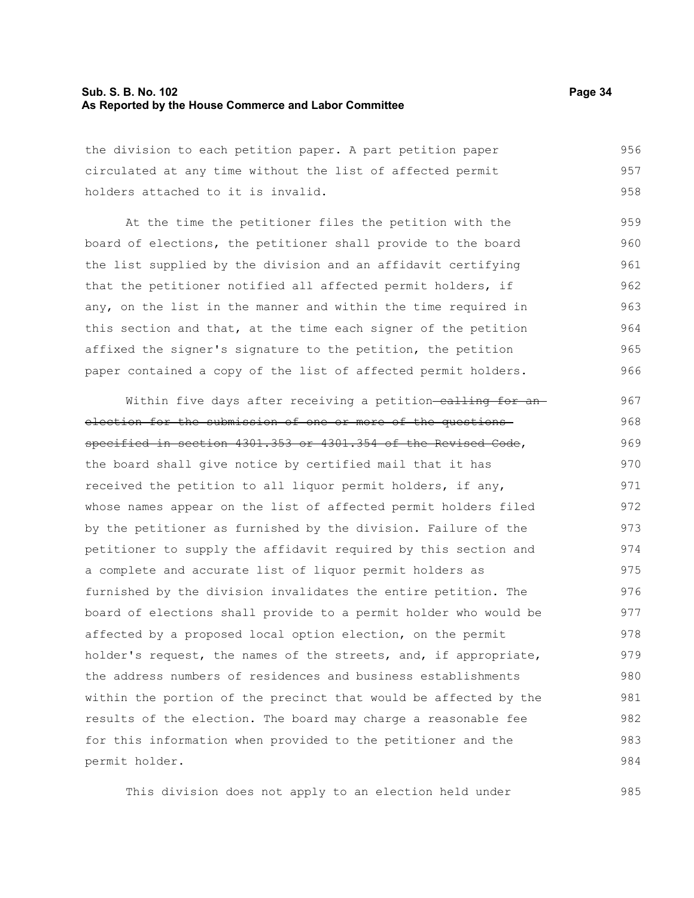#### **Sub. S. B. No. 102 Page 34 As Reported by the House Commerce and Labor Committee**

the division to each petition paper. A part petition paper circulated at any time without the list of affected permit holders attached to it is invalid. 956 957 958

At the time the petitioner files the petition with the board of elections, the petitioner shall provide to the board the list supplied by the division and an affidavit certifying that the petitioner notified all affected permit holders, if any, on the list in the manner and within the time required in this section and that, at the time each signer of the petition affixed the signer's signature to the petition, the petition paper contained a copy of the list of affected permit holders. 959 960 961 962 963 964 965 966

Within five days after receiving a petition-calling for anelection for the submission of one or more of the questions specified in section 4301.353 or 4301.354 of the Revised Code, the board shall give notice by certified mail that it has received the petition to all liquor permit holders, if any, whose names appear on the list of affected permit holders filed by the petitioner as furnished by the division. Failure of the petitioner to supply the affidavit required by this section and a complete and accurate list of liquor permit holders as furnished by the division invalidates the entire petition. The board of elections shall provide to a permit holder who would be affected by a proposed local option election, on the permit holder's request, the names of the streets, and, if appropriate, the address numbers of residences and business establishments within the portion of the precinct that would be affected by the results of the election. The board may charge a reasonable fee for this information when provided to the petitioner and the permit holder. 967 968 969 970 971 972 973 974 975 976 977 978 979 980 981 982 983 984

This division does not apply to an election held under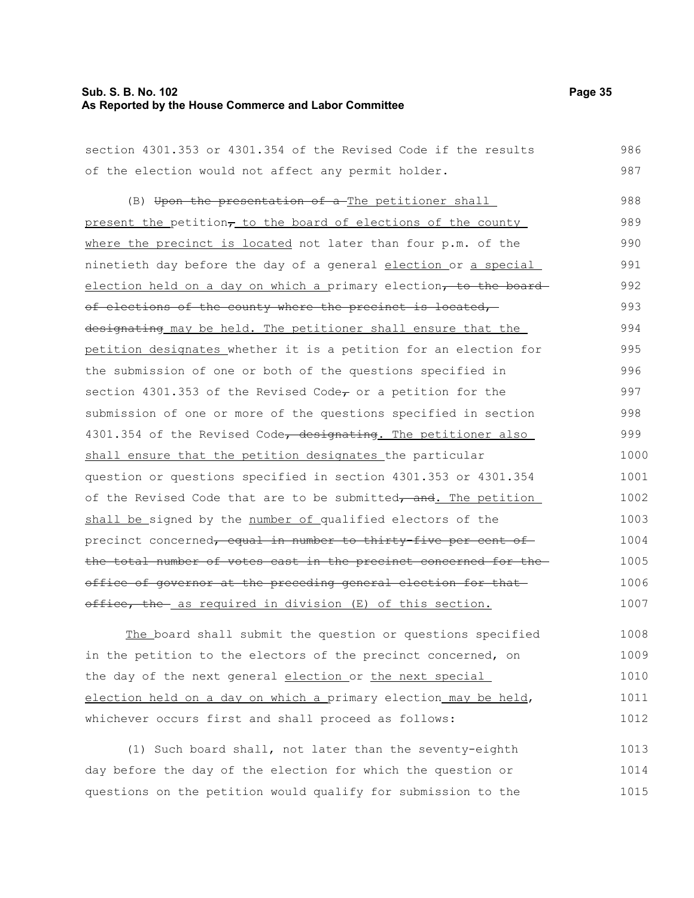#### **Sub. S. B. No. 102 Page 35 As Reported by the House Commerce and Labor Committee**

| section 4301.353 or 4301.354 of the Revised Code if the results  | 986  |
|------------------------------------------------------------------|------|
| of the election would not affect any permit holder.              | 987  |
| (B) Upon the presentation of a The petitioner shall              | 988  |
| present the petition, to the board of elections of the county    | 989  |
| where the precinct is located not later than four p.m. of the    | 990  |
| ninetieth day before the day of a general election or a special  | 991  |
| election held on a day on which a primary election, to the board | 992  |
| of elections of the county where the precinct is located,        | 993  |
| designating may be held. The petitioner shall ensure that the    | 994  |
| petition designates whether it is a petition for an election for | 995  |
| the submission of one or both of the questions specified in      | 996  |
| section 4301.353 of the Revised Code, or a petition for the      | 997  |
| submission of one or more of the questions specified in section  | 998  |
| 4301.354 of the Revised Code, designating. The petitioner also   | 999  |
| shall ensure that the petition designates the particular         | 1000 |
| question or questions specified in section 4301.353 or 4301.354  | 1001 |
| of the Revised Code that are to be submitted, and. The petition  | 1002 |
| shall be signed by the number of qualified electors of the       | 1003 |
| precinct concerned, equal in number to thirty-five per cent of   | 1004 |
| the total number of votes east in the precinct concerned for the | 1005 |
| office of governor at the preceding general election for that    | 1006 |
| office, the as required in division (E) of this section.         | 1007 |
| 最もの はいいしゅうけいきき しんはんきょうほし いっしょくちょう いっこう いっしょうしょう いいしょうほうほ         | 1000 |

The board shall submit the question or questions specified in the petition to the electors of the precinct concerned, on the day of the next general election or the next special election held on a day on which a primary election may be held, whichever occurs first and shall proceed as follows: 1008 1009 1010 1011 1012

(1) Such board shall, not later than the seventy-eighth day before the day of the election for which the question or questions on the petition would qualify for submission to the 1013 1014 1015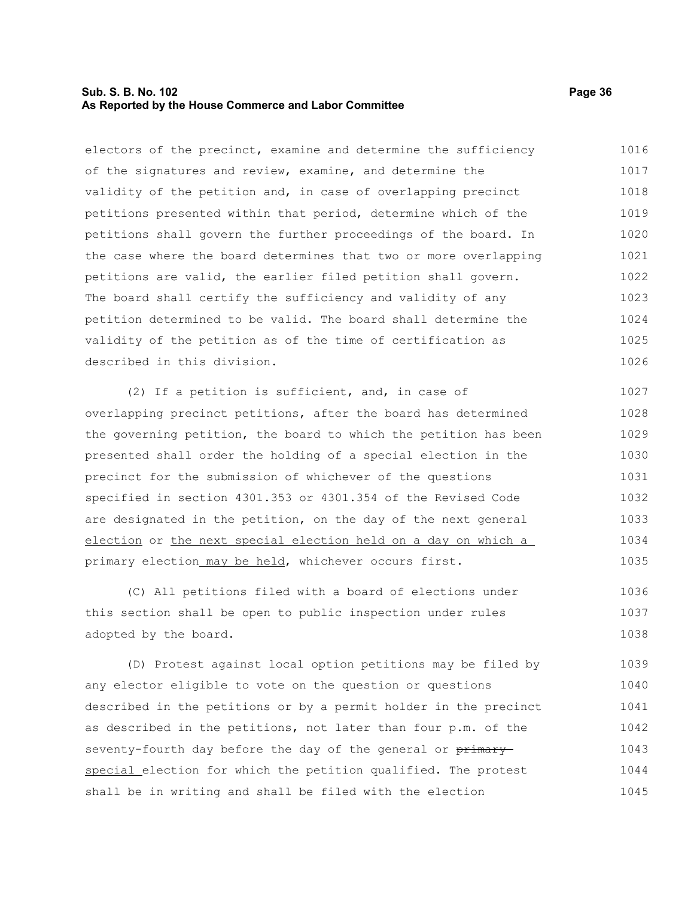#### **Sub. S. B. No. 102 Page 36 As Reported by the House Commerce and Labor Committee**

electors of the precinct, examine and determine the sufficiency of the signatures and review, examine, and determine the validity of the petition and, in case of overlapping precinct petitions presented within that period, determine which of the petitions shall govern the further proceedings of the board. In the case where the board determines that two or more overlapping petitions are valid, the earlier filed petition shall govern. The board shall certify the sufficiency and validity of any petition determined to be valid. The board shall determine the validity of the petition as of the time of certification as described in this division. 1016 1017 1018 1019 1020 1021 1022 1023 1024 1025 1026

(2) If a petition is sufficient, and, in case of overlapping precinct petitions, after the board has determined the governing petition, the board to which the petition has been presented shall order the holding of a special election in the precinct for the submission of whichever of the questions specified in section 4301.353 or 4301.354 of the Revised Code are designated in the petition, on the day of the next general election or the next special election held on a day on which a primary election may be held, whichever occurs first. 1027 1028 1029 1030 1031 1032 1033 1034 1035

(C) All petitions filed with a board of elections under this section shall be open to public inspection under rules adopted by the board. 1036 1037 1038

(D) Protest against local option petitions may be filed by any elector eligible to vote on the question or questions described in the petitions or by a permit holder in the precinct as described in the petitions, not later than four p.m. of the seventy-fourth day before the day of the general or primaryspecial election for which the petition qualified. The protest shall be in writing and shall be filed with the election 1039 1040 1041 1042 1043 1044 1045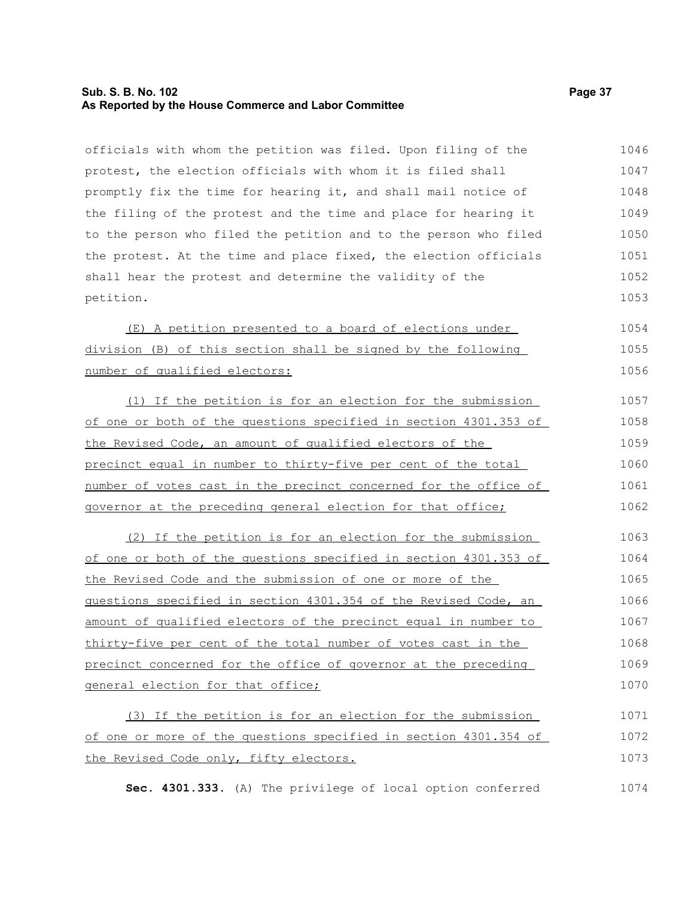## **Sub. S. B. No. 102 Page 37 As Reported by the House Commerce and Labor Committee**

officials with whom the petition was filed. Upon filing of the protest, the election officials with whom it is filed shall promptly fix the time for hearing it, and shall mail notice of the filing of the protest and the time and place for hearing it to the person who filed the petition and to the person who filed the protest. At the time and place fixed, the election officials shall hear the protest and determine the validity of the petition. 1046 1047 1048 1049 1050 1051 1052 1053

(E) A petition presented to a board of elections under division (B) of this section shall be signed by the following number of qualified electors: 1054 1055 1056

(1) If the petition is for an election for the submission of one or both of the questions specified in section 4301.353 of the Revised Code, an amount of qualified electors of the precinct equal in number to thirty-five per cent of the total number of votes cast in the precinct concerned for the office of governor at the preceding general election for that office; 1057 1058 1059 1060 1061 1062

(2) If the petition is for an election for the submission of one or both of the questions specified in section 4301.353 of the Revised Code and the submission of one or more of the questions specified in section 4301.354 of the Revised Code, an amount of qualified electors of the precinct equal in number to thirty-five per cent of the total number of votes cast in the precinct concerned for the office of governor at the preceding general election for that office; 1063 1064 1065 1066 1067 1068 1069 1070

(3) If the petition is for an election for the submission of one or more of the questions specified in section 4301.354 of the Revised Code only, fifty electors. 1071 1072 1073

**Sec. 4301.333.** (A) The privilege of local option conferred 1074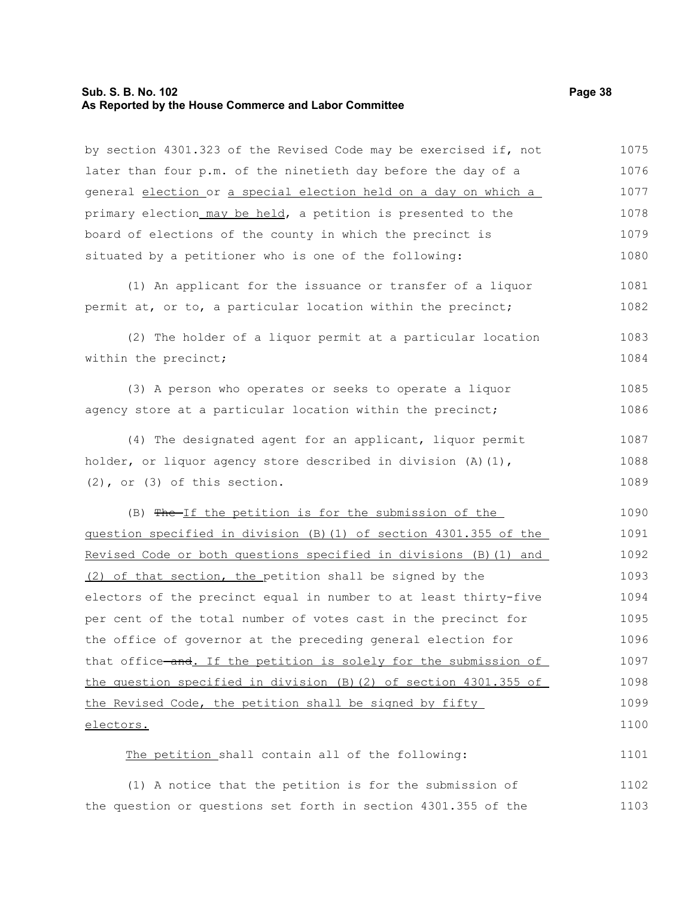#### **Sub. S. B. No. 102 Page 38 As Reported by the House Commerce and Labor Committee**

by section 4301.323 of the Revised Code may be exercised if, not later than four p.m. of the ninetieth day before the day of a general election or a special election held on a day on which a primary election may be held, a petition is presented to the board of elections of the county in which the precinct is situated by a petitioner who is one of the following: 1075 1076 1077 1078 1079 1080

(1) An applicant for the issuance or transfer of a liquor permit at, or to, a particular location within the precinct; 1081 1082

(2) The holder of a liquor permit at a particular location within the precinct; 1083 1084

(3) A person who operates or seeks to operate a liquor agency store at a particular location within the precinct; 1085 1086

(4) The designated agent for an applicant, liquor permit holder, or liquor agency store described in division (A)(1), (2), or (3) of this section. 1087 1088 1089

(B) The If the petition is for the submission of the question specified in division (B)(1) of section 4301.355 of the Revised Code or both questions specified in divisions (B)(1) and (2) of that section, the petition shall be signed by the electors of the precinct equal in number to at least thirty-five per cent of the total number of votes cast in the precinct for the office of governor at the preceding general election for that office—and. If the petition is solely for the submission of the question specified in division (B)(2) of section 4301.355 of the Revised Code, the petition shall be signed by fifty electors. 1090 1091 1092 1093 1094 1095 1096 1097 1098 1099 1100

The petition shall contain all of the following: 1101

(1) A notice that the petition is for the submission of the question or questions set forth in section 4301.355 of the 1102 1103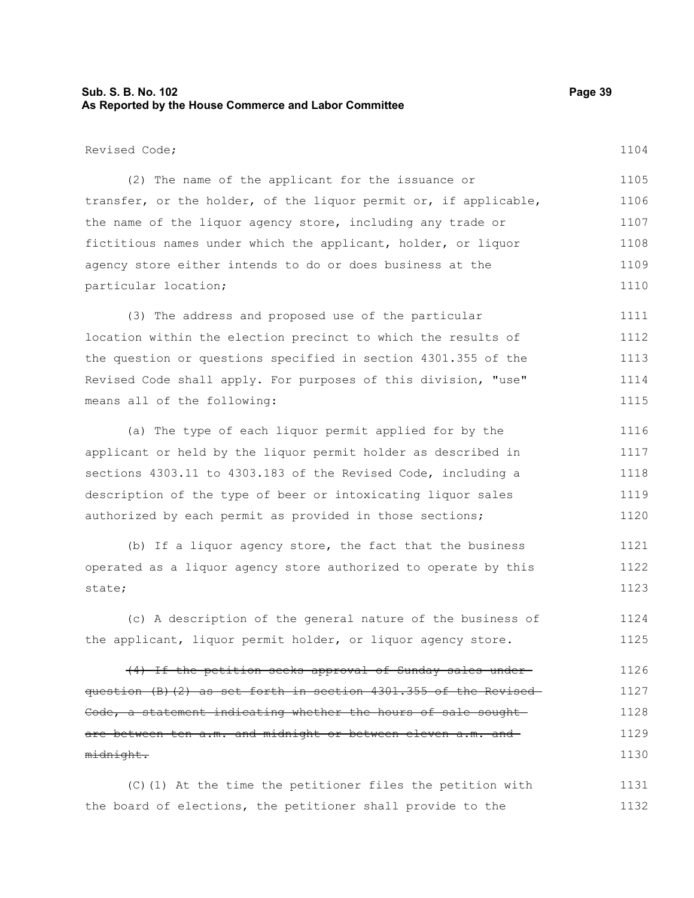# **Sub. S. B. No. 102 Page 39 As Reported by the House Commerce and Labor Committee**

Revised Code;

1104

| (2) The name of the applicant for the issuance or                | 1105 |
|------------------------------------------------------------------|------|
| transfer, or the holder, of the liquor permit or, if applicable, | 1106 |
| the name of the liquor agency store, including any trade or      | 1107 |
| fictitious names under which the applicant, holder, or liquor    | 1108 |
| agency store either intends to do or does business at the        | 1109 |
| particular location;                                             | 1110 |

(3) The address and proposed use of the particular location within the election precinct to which the results of the question or questions specified in section 4301.355 of the Revised Code shall apply. For purposes of this division, "use" means all of the following: 1111 1112 1113 1114 1115

(a) The type of each liquor permit applied for by the applicant or held by the liquor permit holder as described in sections 4303.11 to 4303.183 of the Revised Code, including a description of the type of beer or intoxicating liquor sales authorized by each permit as provided in those sections; 1116 1117 1118 1119 1120

(b) If a liquor agency store, the fact that the business operated as a liquor agency store authorized to operate by this state; 1121 1122 1123

(c) A description of the general nature of the business of the applicant, liquor permit holder, or liquor agency store. 1124 1125

(4) If the petition seeks approval of Sunday sales under question (B)(2) as set forth in section 4301.355 of the Revised Code, a statement indicating whether the hours of sale sought are between ten a.m. and midnight or between eleven a.m. and midnight. 1126 1127 1128 1129 1130

(C)(1) At the time the petitioner files the petition with the board of elections, the petitioner shall provide to the 1131 1132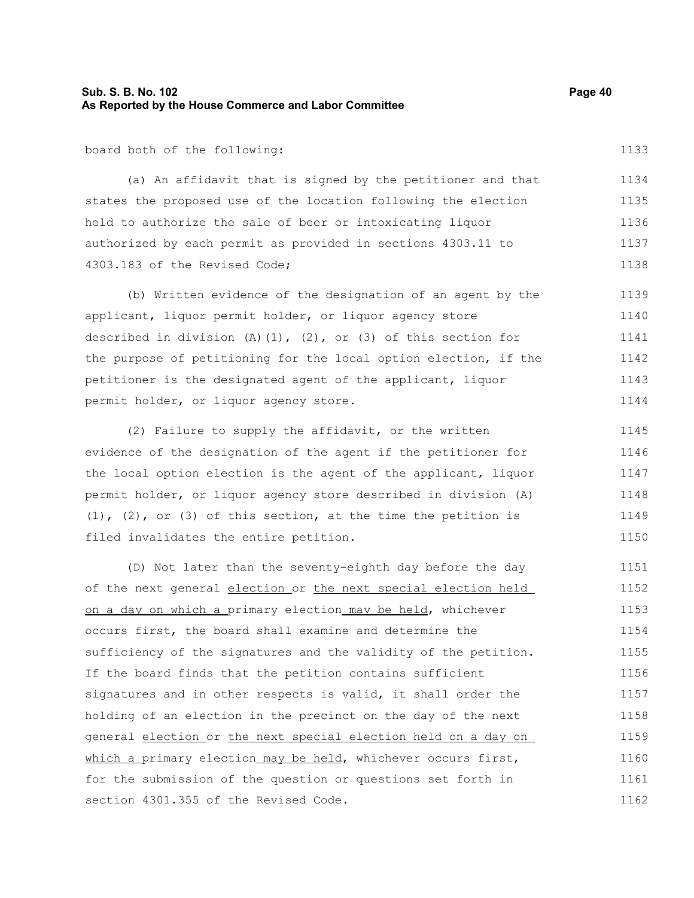# **Sub. S. B. No. 102 Page 40 As Reported by the House Commerce and Labor Committee**

board both of the following:

(a) An affidavit that is signed by the petitioner and that states the proposed use of the location following the election held to authorize the sale of beer or intoxicating liquor authorized by each permit as provided in sections 4303.11 to 4303.183 of the Revised Code; 1134 1135 1136 1137 1138

(b) Written evidence of the designation of an agent by the applicant, liquor permit holder, or liquor agency store described in division (A)(1), (2), or (3) of this section for the purpose of petitioning for the local option election, if the petitioner is the designated agent of the applicant, liquor permit holder, or liquor agency store. 1139 1140 1141 1142 1143 1144

(2) Failure to supply the affidavit, or the written evidence of the designation of the agent if the petitioner for the local option election is the agent of the applicant, liquor permit holder, or liquor agency store described in division (A) (1), (2), or (3) of this section, at the time the petition is filed invalidates the entire petition. 1145 1146 1147 1148 1149 1150

(D) Not later than the seventy-eighth day before the day of the next general election or the next special election held on a day on which a primary election may be held, whichever occurs first, the board shall examine and determine the sufficiency of the signatures and the validity of the petition. If the board finds that the petition contains sufficient signatures and in other respects is valid, it shall order the holding of an election in the precinct on the day of the next general election or the next special election held on a day on which a primary election may be held, whichever occurs first, for the submission of the question or questions set forth in section 4301.355 of the Revised Code. 1151 1152 1153 1154 1155 1156 1157 1158 1159 1160 1161 1162

1133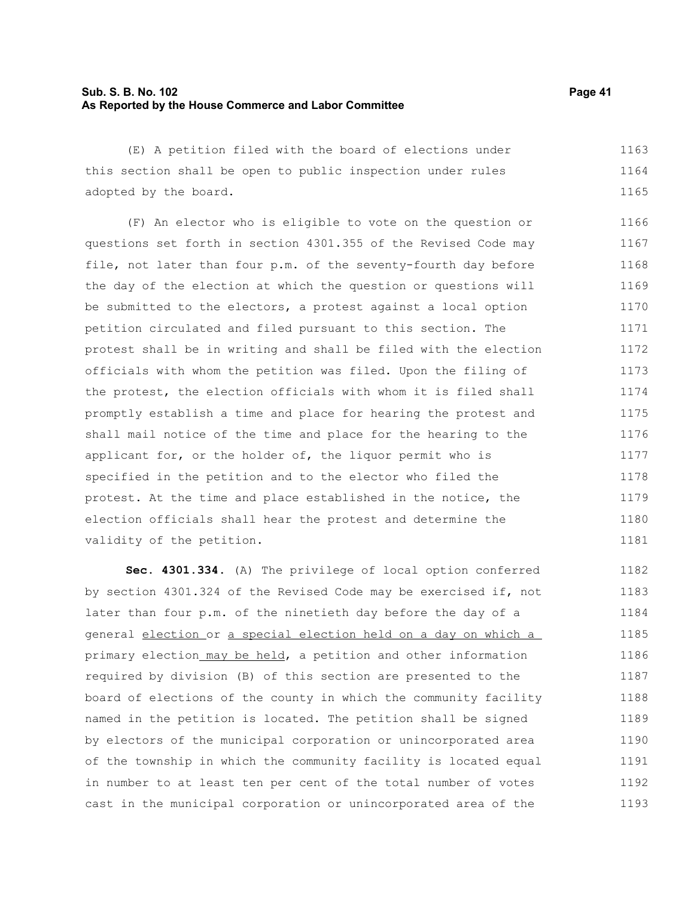# **Sub. S. B. No. 102 Page 41 As Reported by the House Commerce and Labor Committee**

(E) A petition filed with the board of elections under this section shall be open to public inspection under rules adopted by the board. 1163 1164 1165

(F) An elector who is eligible to vote on the question or questions set forth in section 4301.355 of the Revised Code may file, not later than four p.m. of the seventy-fourth day before the day of the election at which the question or questions will be submitted to the electors, a protest against a local option petition circulated and filed pursuant to this section. The protest shall be in writing and shall be filed with the election officials with whom the petition was filed. Upon the filing of the protest, the election officials with whom it is filed shall promptly establish a time and place for hearing the protest and shall mail notice of the time and place for the hearing to the applicant for, or the holder of, the liquor permit who is specified in the petition and to the elector who filed the protest. At the time and place established in the notice, the election officials shall hear the protest and determine the validity of the petition. 1166 1167 1168 1169 1170 1171 1172 1173 1174 1175 1176 1177 1178 1179 1180 1181

**Sec. 4301.334.** (A) The privilege of local option conferred by section 4301.324 of the Revised Code may be exercised if, not later than four p.m. of the ninetieth day before the day of a general election or a special election held on a day on which a primary election may be held, a petition and other information required by division (B) of this section are presented to the board of elections of the county in which the community facility named in the petition is located. The petition shall be signed by electors of the municipal corporation or unincorporated area of the township in which the community facility is located equal in number to at least ten per cent of the total number of votes cast in the municipal corporation or unincorporated area of the 1182 1183 1184 1185 1186 1187 1188 1189 1190 1191 1192 1193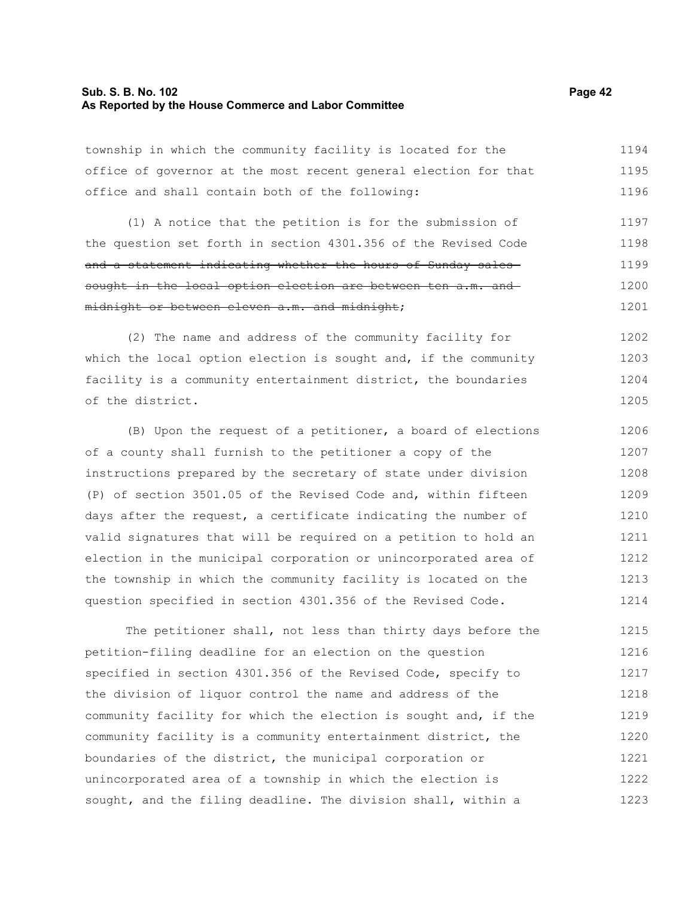## **Sub. S. B. No. 102 Page 42 As Reported by the House Commerce and Labor Committee**

township in which the community facility is located for the office of governor at the most recent general election for that office and shall contain both of the following: 1194 1195 1196

(1) A notice that the petition is for the submission of the question set forth in section 4301.356 of the Revised Code and a statement indicating whether the hours of Sunday salessought in the local option election are between ten a.m. and midnight or between eleven a.m. and midnight; 1197 1198 1199 1200 1201

(2) The name and address of the community facility for which the local option election is sought and, if the community facility is a community entertainment district, the boundaries of the district. 1202 1203 1204 1205

(B) Upon the request of a petitioner, a board of elections of a county shall furnish to the petitioner a copy of the instructions prepared by the secretary of state under division (P) of section 3501.05 of the Revised Code and, within fifteen days after the request, a certificate indicating the number of valid signatures that will be required on a petition to hold an election in the municipal corporation or unincorporated area of the township in which the community facility is located on the question specified in section 4301.356 of the Revised Code. 1206 1207 1208 1209 1210 1211 1212 1213 1214

The petitioner shall, not less than thirty days before the petition-filing deadline for an election on the question specified in section 4301.356 of the Revised Code, specify to the division of liquor control the name and address of the community facility for which the election is sought and, if the community facility is a community entertainment district, the boundaries of the district, the municipal corporation or unincorporated area of a township in which the election is sought, and the filing deadline. The division shall, within a 1215 1216 1217 1218 1219 1220 1221 1222 1223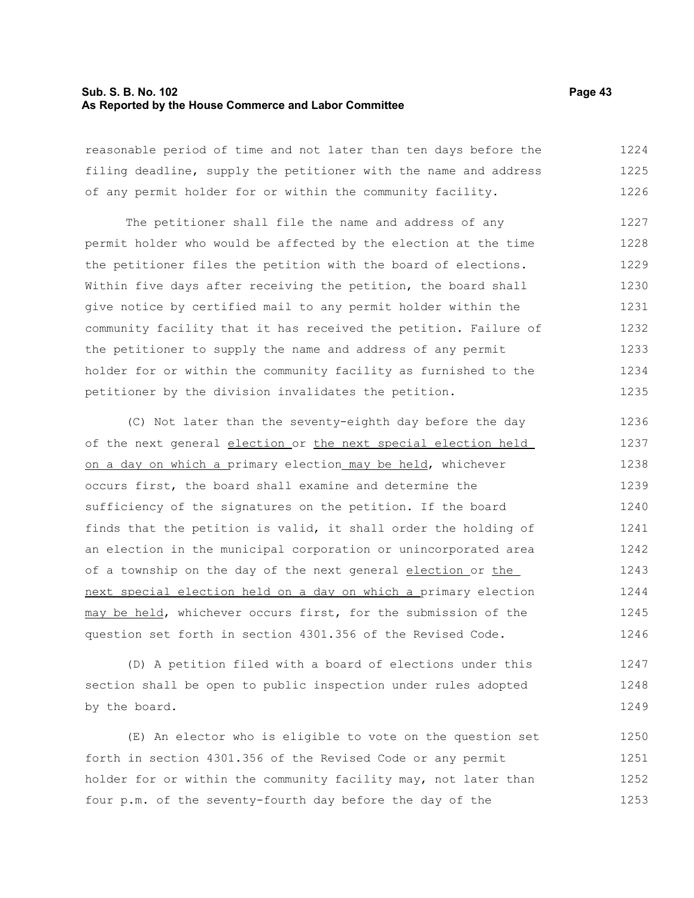## **Sub. S. B. No. 102 Page 43 As Reported by the House Commerce and Labor Committee**

reasonable period of time and not later than ten days before the filing deadline, supply the petitioner with the name and address of any permit holder for or within the community facility. 1224 1225 1226

The petitioner shall file the name and address of any permit holder who would be affected by the election at the time the petitioner files the petition with the board of elections. Within five days after receiving the petition, the board shall give notice by certified mail to any permit holder within the community facility that it has received the petition. Failure of the petitioner to supply the name and address of any permit holder for or within the community facility as furnished to the petitioner by the division invalidates the petition. 1227 1228 1229 1230 1231 1232 1233 1234 1235

(C) Not later than the seventy-eighth day before the day of the next general election or the next special election held on a day on which a primary election may be held, whichever occurs first, the board shall examine and determine the sufficiency of the signatures on the petition. If the board finds that the petition is valid, it shall order the holding of an election in the municipal corporation or unincorporated area of a township on the day of the next general election or the next special election held on a day on which a primary election may be held, whichever occurs first, for the submission of the question set forth in section 4301.356 of the Revised Code. 1236 1237 1238 1239 1240 1241 1242 1243 1244 1245 1246

(D) A petition filed with a board of elections under this section shall be open to public inspection under rules adopted by the board. 1247 1248 1249

(E) An elector who is eligible to vote on the question set forth in section 4301.356 of the Revised Code or any permit holder for or within the community facility may, not later than four p.m. of the seventy-fourth day before the day of the 1250 1251 1252 1253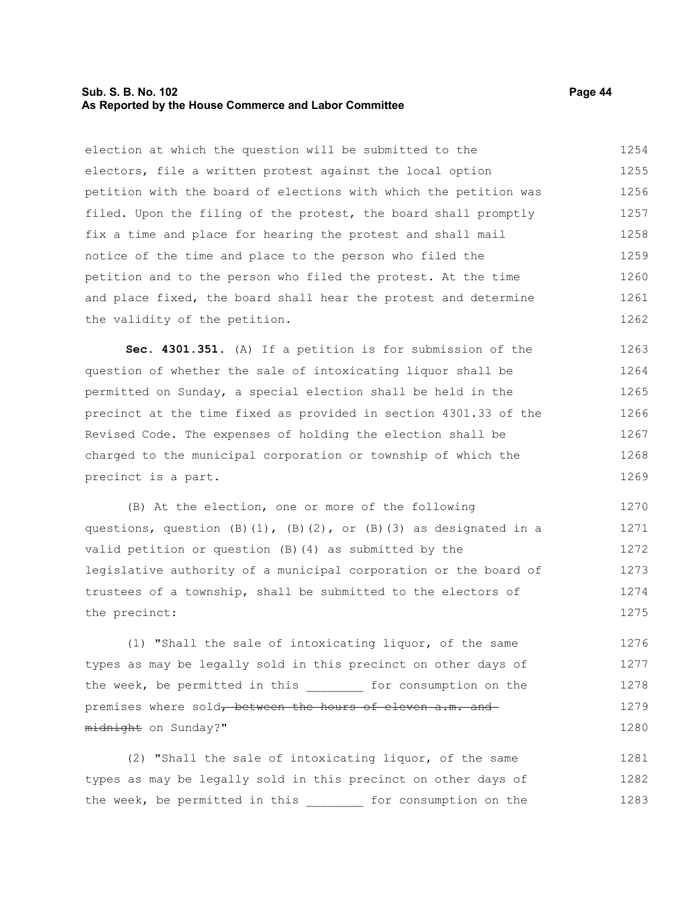## **Sub. S. B. No. 102 Page 44 As Reported by the House Commerce and Labor Committee**

election at which the question will be submitted to the electors, file a written protest against the local option petition with the board of elections with which the petition was filed. Upon the filing of the protest, the board shall promptly fix a time and place for hearing the protest and shall mail notice of the time and place to the person who filed the petition and to the person who filed the protest. At the time and place fixed, the board shall hear the protest and determine the validity of the petition. 1254 1255 1256 1257 1258 1259 1260 1261 1262

**Sec. 4301.351.** (A) If a petition is for submission of the question of whether the sale of intoxicating liquor shall be permitted on Sunday, a special election shall be held in the precinct at the time fixed as provided in section 4301.33 of the Revised Code. The expenses of holding the election shall be charged to the municipal corporation or township of which the precinct is a part. 1263 1264 1265 1266 1267 1268 1269

(B) At the election, one or more of the following questions, question  $(B)(1)$ ,  $(B)(2)$ , or  $(B)(3)$  as designated in a valid petition or question (B)(4) as submitted by the legislative authority of a municipal corporation or the board of trustees of a township, shall be submitted to the electors of the precinct: 1270 1271 1272 1273 1274 1275

(1) "Shall the sale of intoxicating liquor, of the same types as may be legally sold in this precinct on other days of the week, be permitted in this \_\_\_\_\_\_\_\_ for consumption on the premises where sold, between the hours of eleven a.m. and midnight on Sunday?" 1276 1277 1278 1279 1280

(2) "Shall the sale of intoxicating liquor, of the same types as may be legally sold in this precinct on other days of the week, be permitted in this for consumption on the 1281 1282 1283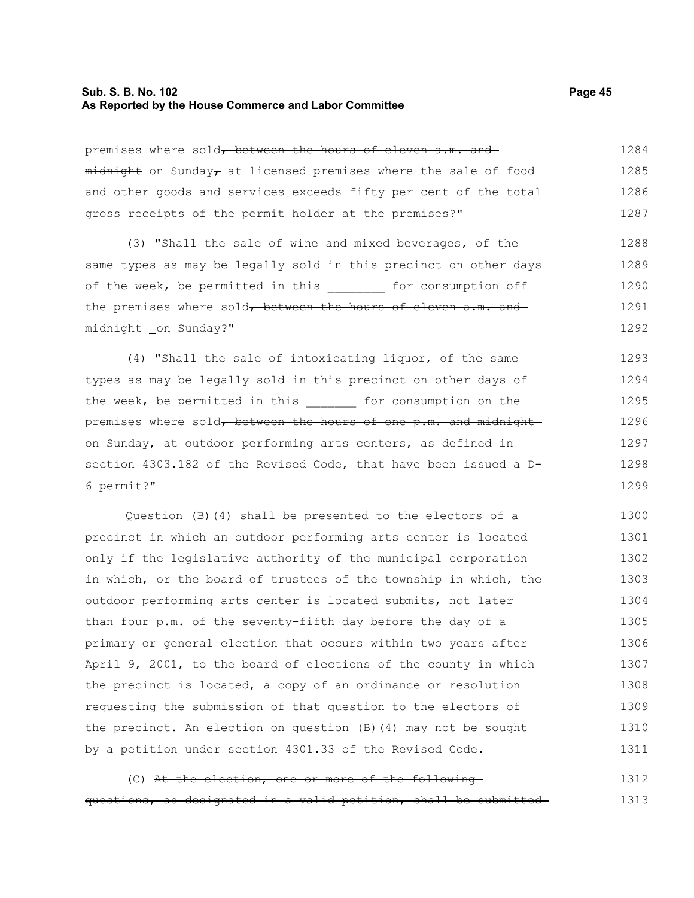### **Sub. S. B. No. 102 Page 45 As Reported by the House Commerce and Labor Committee**

premises where sold, between the hours of eleven a.m. and  $m$ idnight on Sunday, at licensed premises where the sale of food and other goods and services exceeds fifty per cent of the total gross receipts of the permit holder at the premises?" 1284 1285 1286 1287

(3) "Shall the sale of wine and mixed beverages, of the same types as may be legally sold in this precinct on other days of the week, be permitted in this for consumption off the premises where sold<del>, between the hours of eleven a.m. and</del> midnight on Sunday?" 1288 1289 1290 1291 1292

(4) "Shall the sale of intoxicating liquor, of the same types as may be legally sold in this precinct on other days of the week, be permitted in this \_\_\_\_\_\_\_ for consumption on the premises where sold, between the hours of one p.m. and midnight on Sunday, at outdoor performing arts centers, as defined in section 4303.182 of the Revised Code, that have been issued a D-6 permit?" 1293 1294 1295 1296 1297 1298 1299

Question (B)(4) shall be presented to the electors of a precinct in which an outdoor performing arts center is located only if the legislative authority of the municipal corporation in which, or the board of trustees of the township in which, the outdoor performing arts center is located submits, not later than four p.m. of the seventy-fifth day before the day of a primary or general election that occurs within two years after April 9, 2001, to the board of elections of the county in which the precinct is located, a copy of an ordinance or resolution requesting the submission of that question to the electors of the precinct. An election on question (B)(4) may not be sought by a petition under section 4301.33 of the Revised Code. 1300 1301 1302 1303 1304 1305 1306 1307 1308 1309 1310 1311

(C) At the election, one or more of the following questions, as designated in a valid petition, shall be submitted 1312 1313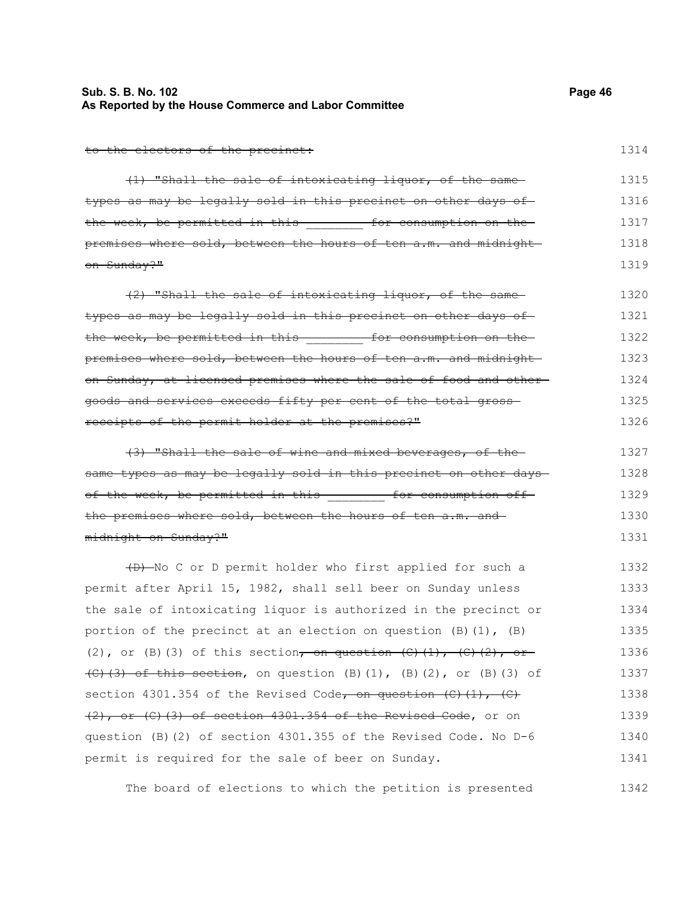# **Sub. S. B. No. 102 Page 46 As Reported by the House Commerce and Labor Committee**

to the electors of the precinct:

(1) "Shall the sale of intoxicating liquor, of the same types as may be legally sold in this precinct on other days ofthe week, be permitted in this **Example 10** for consumption on the premises where sold, between the hours of ten a.m. and midnight on Sunday?" 1315 1316 1317 1318 1319

(2) "Shall the sale of intoxicating liquor, of the same types as may be legally sold in this precinct on other days of the week, be permitted in this **the set of consumption** on the premises where sold, between the hours of ten a.m. and midnight on Sunday, at licensed premises where the sale of food and other goods and services exceeds fifty per cent of the total gross receipts of the permit holder at the premises?" 1320 1321 1322 1323 1324 1325 1326

(3) "Shall the sale of wine and mixed beverages, of the same types as may be legally sold in this precinct on other days of the week, be permitted in this - - - for consumption offthe premises where sold, between the hours of ten a.m. and midnight on Sunday?" 1327 1328 1329 1330 1331

(D) No C or D permit holder who first applied for such a permit after April 15, 1982, shall sell beer on Sunday unless the sale of intoxicating liquor is authorized in the precinct or portion of the precinct at an election on question  $(B)$   $(1)$ ,  $(B)$ (2), or (B)(3) of this section, on question  $(C)$  (1),  $(C)$  (2), or  $\left\{ \left( \left( \left( \mathcal{L} \right) \right) \right) \right\}$  of this section, on question (B)(1), (B)(2), or (B)(3) of section 4301.354 of the Revised Code, on question  $(C)$   $(1)$ ,  $(C)$ (2), or (C)(3) of section 4301.354 of the Revised Code, or on question (B)(2) of section 4301.355 of the Revised Code. No D-6 permit is required for the sale of beer on Sunday. 1332 1333 1334 1335 1336 1337 1338 1339 1340 1341

The board of elections to which the petition is presented 1342

1314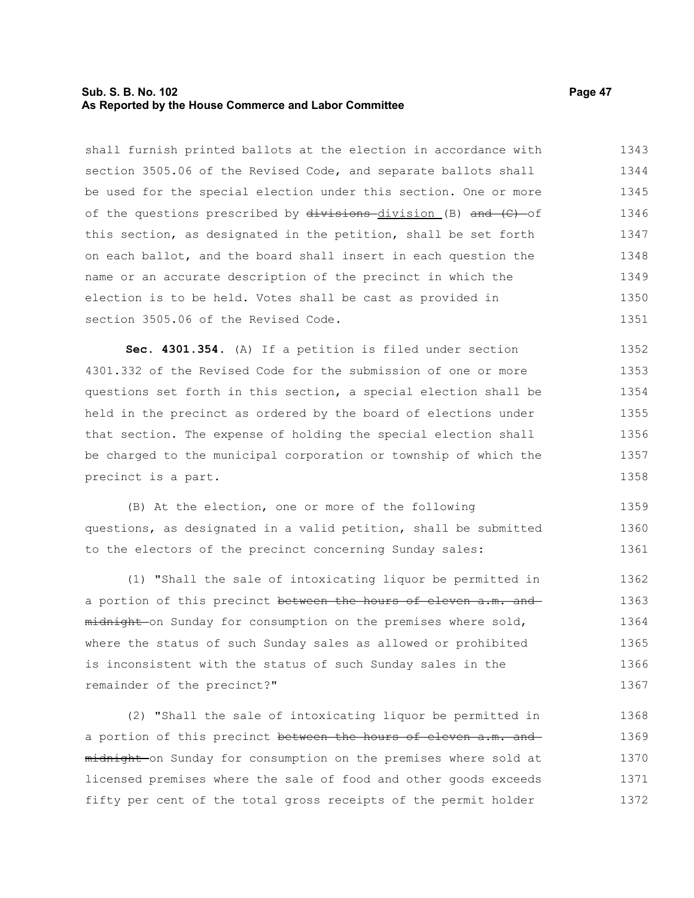## **Sub. S. B. No. 102 Page 47 As Reported by the House Commerce and Labor Committee**

shall furnish printed ballots at the election in accordance with section 3505.06 of the Revised Code, and separate ballots shall be used for the special election under this section. One or more of the questions prescribed by  $divisions-division$  (B) and  $(C)$  of this section, as designated in the petition, shall be set forth on each ballot, and the board shall insert in each question the name or an accurate description of the precinct in which the election is to be held. Votes shall be cast as provided in section 3505.06 of the Revised Code. 1343 1344 1345 1346 1347 1348 1349 1350 1351

**Sec. 4301.354.** (A) If a petition is filed under section 4301.332 of the Revised Code for the submission of one or more questions set forth in this section, a special election shall be held in the precinct as ordered by the board of elections under that section. The expense of holding the special election shall be charged to the municipal corporation or township of which the precinct is a part. 1352 1353 1354 1355 1356 1357 1358

(B) At the election, one or more of the following questions, as designated in a valid petition, shall be submitted to the electors of the precinct concerning Sunday sales: 1359 1360 1361

(1) "Shall the sale of intoxicating liquor be permitted in a portion of this precinct between the hours of eleven a.m. and midnight on Sunday for consumption on the premises where sold, where the status of such Sunday sales as allowed or prohibited is inconsistent with the status of such Sunday sales in the remainder of the precinct?" 1362 1363 1364 1365 1366 1367

(2) "Shall the sale of intoxicating liquor be permitted in a portion of this precinct between the hours of eleven a.m. and midnight on Sunday for consumption on the premises where sold at licensed premises where the sale of food and other goods exceeds fifty per cent of the total gross receipts of the permit holder 1368 1369 1370 1371 1372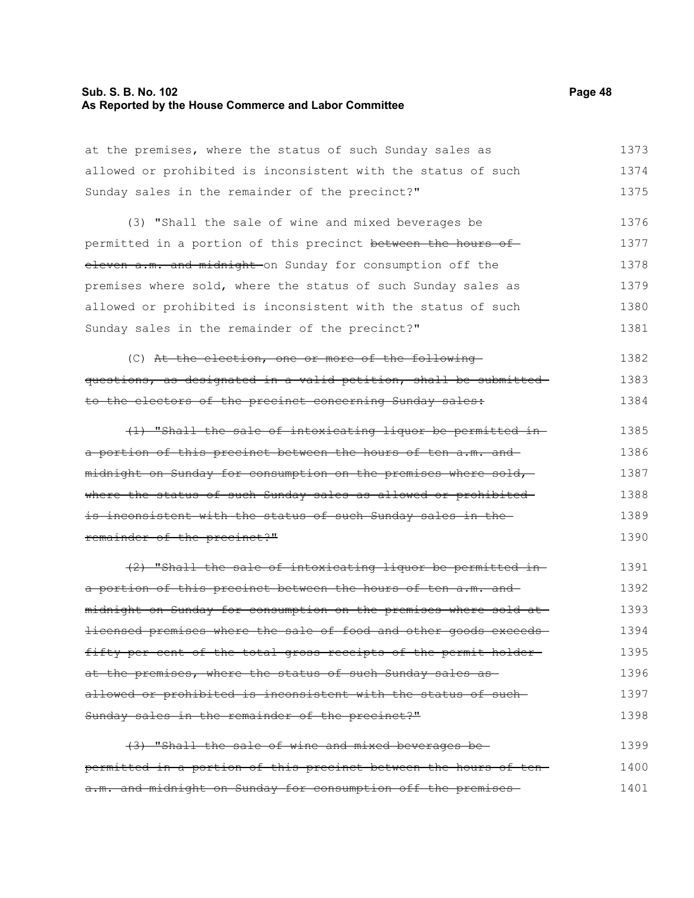# **Sub. S. B. No. 102 Page 48 As Reported by the House Commerce and Labor Committee**

| at the premises, where the status of such Sunday sales as         | 1373 |
|-------------------------------------------------------------------|------|
| allowed or prohibited is inconsistent with the status of such     | 1374 |
| Sunday sales in the remainder of the precinct?"                   | 1375 |
| (3) "Shall the sale of wine and mixed beverages be                | 1376 |
| permitted in a portion of this precinct between the hours of      | 1377 |
| eleven a.m. and midnight on Sunday for consumption off the        | 1378 |
| premises where sold, where the status of such Sunday sales as     | 1379 |
| allowed or prohibited is inconsistent with the status of such     | 1380 |
| Sunday sales in the remainder of the precinct?"                   | 1381 |
| (C) At the election, one or more of the following-                | 1382 |
| questions, as designated in a valid petition, shall be submitted- | 1383 |
| to the electors of the precinct concerning Sunday sales:          | 1384 |
| (1) "Shall the sale of intoxicating liquor be permitted in-       | 1385 |
| a portion of this precinct between the hours of ten a.m. and      | 1386 |
| midnight on Sunday for consumption on the premises where sold,    | 1387 |
| where the status of such Sunday sales as allowed or prohibited-   | 1388 |
| is inconsistent with the status of such Sunday sales in the       | 1389 |
| remainder of the precinct?"                                       | 1390 |
| $(2)$ "Shall the sale of intoxicating liquor be permitted in-     | 1391 |
| a portion of this precinct between the hours of ten a.m. and      | 1392 |
| midnight on Sunday for consumption on the premises where sold at  | 1393 |
| licensed premises where the sale of food and other goods exceeds- | 1394 |
| fifty per cent of the total gross receipts of the permit holder-  | 1395 |
| at the premises, where the status of such Sunday sales as-        | 1396 |
| allowed or prohibited is inconsistent with the status of such-    | 1397 |
| Sunday sales in the remainder of the precinct?"                   | 1398 |
| (3) "Shall the sale of wine and mixed beverages be-               | 1399 |
| permitted in a portion of this precinct between the hours of ten- | 1400 |
| a.m. and midnight on Sunday for consumption off the premises-     | 1401 |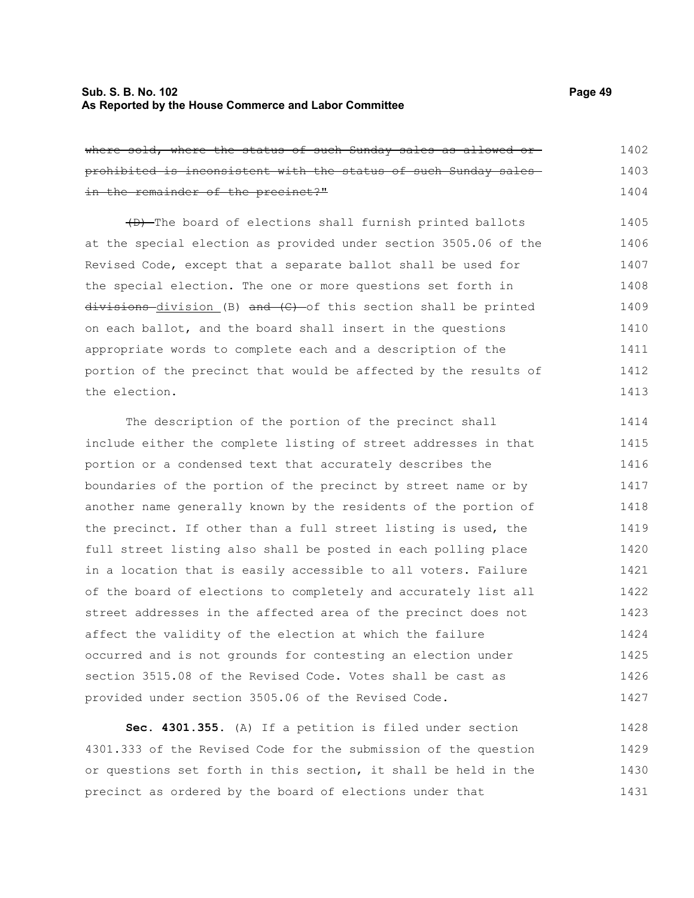# **Sub. S. B. No. 102 Page 49 As Reported by the House Commerce and Labor Committee**

where sold, where the status of such Sunday sales as allowed orprohibited is inconsistent with the status of such Sunday sales in the remainder of the precinct?" 1402 1403 1404

(D) The board of elections shall furnish printed ballots at the special election as provided under section 3505.06 of the Revised Code, except that a separate ballot shall be used for the special election. The one or more questions set forth in  $divisions-division (B) and (C) -of this section shall be printed$ on each ballot, and the board shall insert in the questions appropriate words to complete each and a description of the portion of the precinct that would be affected by the results of the election. 1405 1406 1407 1408 1409 1410 1411 1412 1413

The description of the portion of the precinct shall include either the complete listing of street addresses in that portion or a condensed text that accurately describes the boundaries of the portion of the precinct by street name or by another name generally known by the residents of the portion of the precinct. If other than a full street listing is used, the full street listing also shall be posted in each polling place in a location that is easily accessible to all voters. Failure of the board of elections to completely and accurately list all street addresses in the affected area of the precinct does not affect the validity of the election at which the failure occurred and is not grounds for contesting an election under section 3515.08 of the Revised Code. Votes shall be cast as provided under section 3505.06 of the Revised Code. 1414 1415 1416 1417 1418 1419 1420 1421 1422 1423 1424 1425 1426 1427

**Sec. 4301.355.** (A) If a petition is filed under section 4301.333 of the Revised Code for the submission of the question or questions set forth in this section, it shall be held in the precinct as ordered by the board of elections under that 1428 1429 1430 1431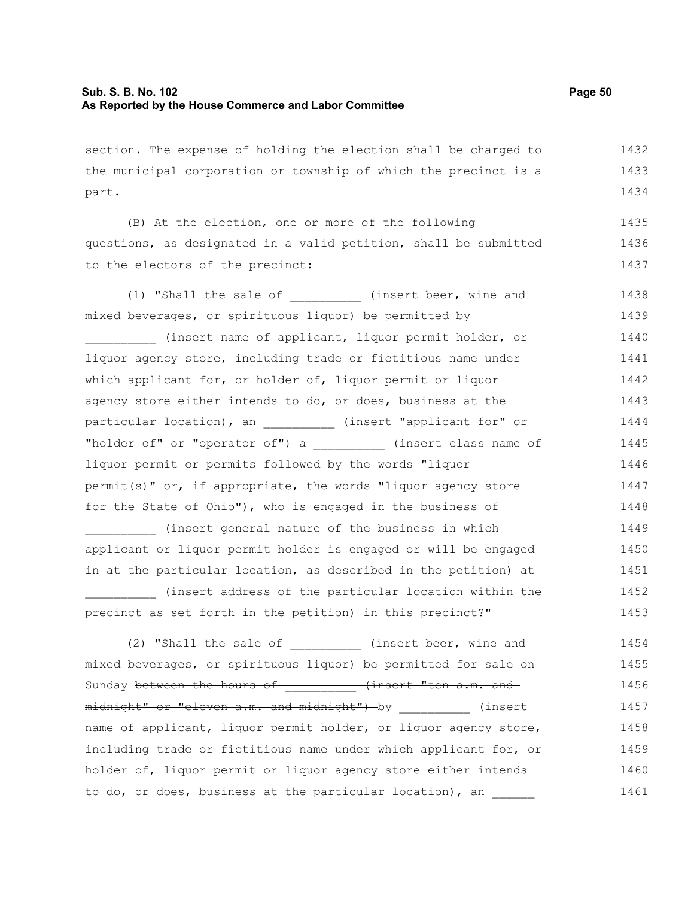| section. The expense of holding the election shall be charged to  | 1432 |
|-------------------------------------------------------------------|------|
| the municipal corporation or township of which the precinct is a  | 1433 |
| part.                                                             | 1434 |
| (B) At the election, one or more of the following                 | 1435 |
| questions, as designated in a valid petition, shall be submitted  | 1436 |
| to the electors of the precinct:                                  | 1437 |
| (1) "Shall the sale of (insert beer, wine and                     | 1438 |
| mixed beverages, or spirituous liquor) be permitted by            | 1439 |
| (insert name of applicant, liquor permit holder, or               | 1440 |
| liquor agency store, including trade or fictitious name under     | 1441 |
| which applicant for, or holder of, liquor permit or liquor        | 1442 |
| agency store either intends to do, or does, business at the       | 1443 |
| particular location), an __________ (insert "applicant for" or    | 1444 |
| "holder of" or "operator of") a ___________ (insert class name of | 1445 |
| liquor permit or permits followed by the words "liquor            | 1446 |
| permit(s)" or, if appropriate, the words "liquor agency store     | 1447 |
| for the State of Ohio"), who is engaged in the business of        | 1448 |
| (insert general nature of the business in which                   | 1449 |
| applicant or liquor permit holder is engaged or will be engaged   | 1450 |
| in at the particular location, as described in the petition) at   | 1451 |
| (insert address of the particular location within the             | 1452 |
| precinct as set forth in the petition) in this precinct?"         | 1453 |
| (2) "Shall the sale of __________ (insert beer, wine and          | 1454 |
| mixed beverages, or spirituous liquor) be permitted for sale on   | 1455 |
| Sunday between the hours of (insert "ten a.m. and                 | 1456 |
| midnight" or "eleven a.m. and midnight") by (insert               | 1457 |
| name of applicant, liquor permit holder, or liquor agency store,  | 1458 |
| including trade or fictitious name under which applicant for, or  | 1459 |
| holder of, liquor permit or liquor agency store either intends    | 1460 |
| to do, or does, business at the particular location), an          | 1461 |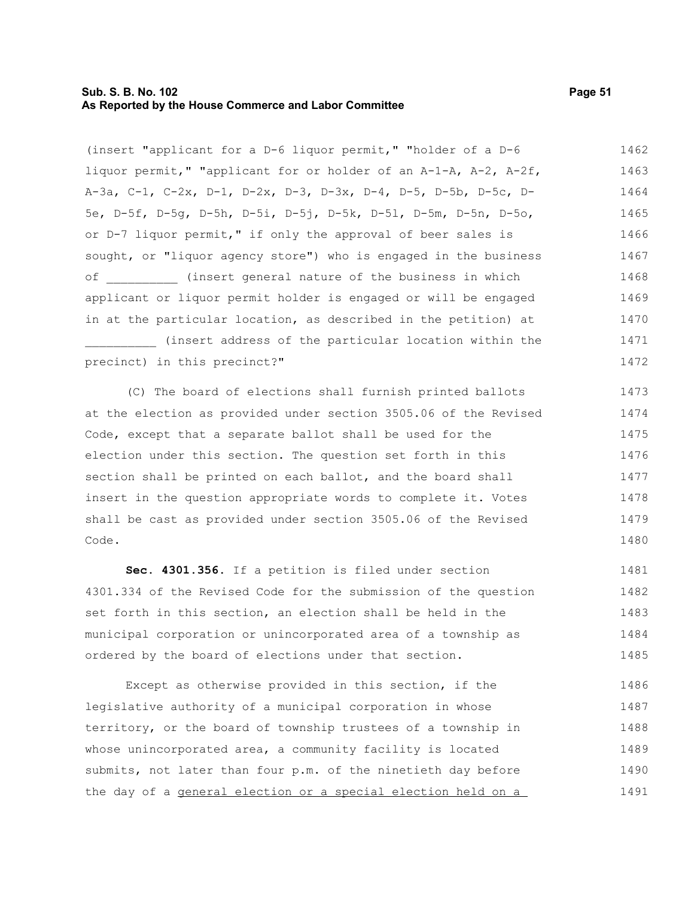## **Sub. S. B. No. 102 Page 51 As Reported by the House Commerce and Labor Committee**

(insert "applicant for a D-6 liquor permit," "holder of a D-6 liquor permit," "applicant for or holder of an A-1-A, A-2, A-2f, A-3a, C-1, C-2x, D-1, D-2x, D-3, D-3x, D-4, D-5, D-5b, D-5c, D-5e, D-5f, D-5g, D-5h, D-5i, D-5j, D-5k, D-5l, D-5m, D-5n, D-5o, or D-7 liquor permit," if only the approval of beer sales is sought, or "liquor agency store") who is engaged in the business of **the insert general nature of the business in which** applicant or liquor permit holder is engaged or will be engaged in at the particular location, as described in the petition) at \_\_\_\_\_\_\_\_\_\_ (insert address of the particular location within the precinct) in this precinct?" 1462 1463 1464 1465 1466 1467 1468 1469 1470 1471 1472

(C) The board of elections shall furnish printed ballots at the election as provided under section 3505.06 of the Revised Code, except that a separate ballot shall be used for the election under this section. The question set forth in this section shall be printed on each ballot, and the board shall insert in the question appropriate words to complete it. Votes shall be cast as provided under section 3505.06 of the Revised Code. 1473 1474 1475 1476 1477 1478 1479 1480

**Sec. 4301.356.** If a petition is filed under section 4301.334 of the Revised Code for the submission of the question set forth in this section, an election shall be held in the municipal corporation or unincorporated area of a township as ordered by the board of elections under that section. 1481 1482 1483 1484 1485

Except as otherwise provided in this section, if the legislative authority of a municipal corporation in whose territory, or the board of township trustees of a township in whose unincorporated area, a community facility is located submits, not later than four p.m. of the ninetieth day before the day of a general election or a special election held on a 1486 1487 1488 1489 1490 1491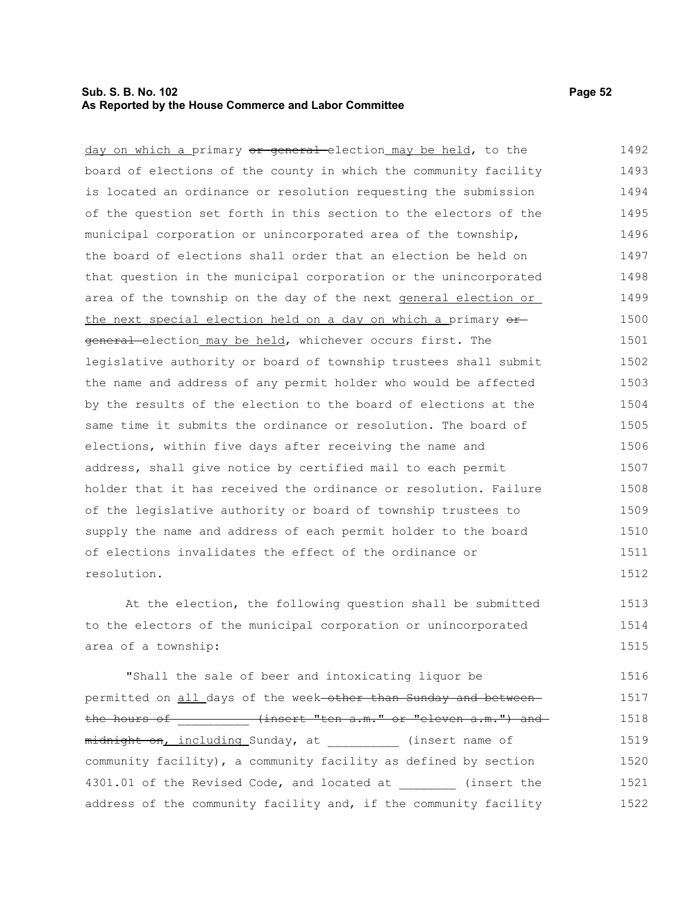# **Sub. S. B. No. 102 Page 52 As Reported by the House Commerce and Labor Committee**

day on which a primary or general election may be held, to the board of elections of the county in which the community facility is located an ordinance or resolution requesting the submission of the question set forth in this section to the electors of the municipal corporation or unincorporated area of the township, the board of elections shall order that an election be held on that question in the municipal corporation or the unincorporated area of the township on the day of the next general election or the next special election held on a day on which a primary  $\Theta$ <sup> $\pm$ </sup> general-election\_may be held, whichever occurs first. The legislative authority or board of township trustees shall submit the name and address of any permit holder who would be affected by the results of the election to the board of elections at the same time it submits the ordinance or resolution. The board of elections, within five days after receiving the name and address, shall give notice by certified mail to each permit holder that it has received the ordinance or resolution. Failure of the legislative authority or board of township trustees to supply the name and address of each permit holder to the board of elections invalidates the effect of the ordinance or resolution. 1492 1493 1494 1495 1496 1497 1498 1499 1500 1501 1502 1503 1504 1505 1506 1507 1508 1509 1510 1511 1512

At the election, the following question shall be submitted to the electors of the municipal corporation or unincorporated area of a township: 1513 1514 1515

"Shall the sale of beer and intoxicating liquor be permitted on all days of the week-other than Sunday and betweenthe hours of \_\_\_\_\_\_\_\_\_\_ (insert "ten a.m." or "eleven a.m.") and midnight on, including Sunday, at (insert name of community facility), a community facility as defined by section 4301.01 of the Revised Code, and located at (insert the address of the community facility and, if the community facility 1516 1517 1518 1519 1520 1521 1522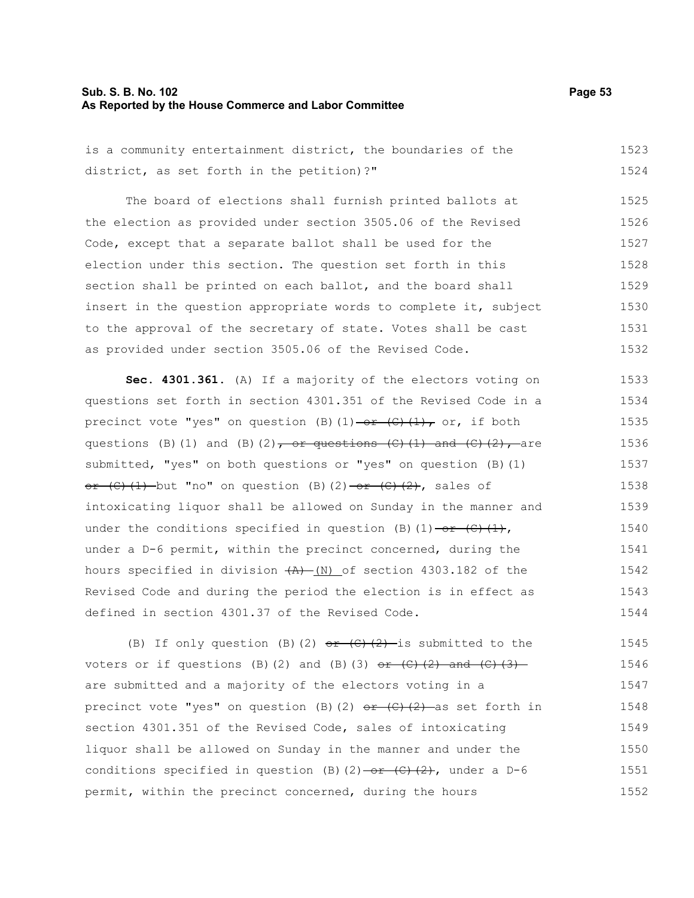## **Sub. S. B. No. 102 Page 53 As Reported by the House Commerce and Labor Committee**

is a community entertainment district, the boundaries of the district, as set forth in the petition)?" 1523 1524

The board of elections shall furnish printed ballots at the election as provided under section 3505.06 of the Revised Code, except that a separate ballot shall be used for the election under this section. The question set forth in this section shall be printed on each ballot, and the board shall insert in the question appropriate words to complete it, subject to the approval of the secretary of state. Votes shall be cast as provided under section 3505.06 of the Revised Code. 1525 1526 1527 1528 1529 1530 1531 1532

**Sec. 4301.361.** (A) If a majority of the electors voting on questions set forth in section 4301.351 of the Revised Code in a precinct vote "yes" on question (B)(1) -or (C)(1), or, if both questions (B)(1) and (B)(2), or questions  $(C)$  (1) and  $(C)$  (2), are submitted, "yes" on both questions or "yes" on question (B)(1)  $or$   $(C)$   $(1)$  but "no" on question (B)(2) or  $(C)$   $(2)$ , sales of intoxicating liquor shall be allowed on Sunday in the manner and under the conditions specified in question (B)(1)  $-$ or (C)(1), under a D-6 permit, within the precinct concerned, during the hours specified in division  $(A) - (N)$  of section 4303.182 of the Revised Code and during the period the election is in effect as defined in section 4301.37 of the Revised Code. 1533 1534 1535 1536 1537 1538 1539 1540 1541 1542 1543 1544

(B) If only question (B)(2)  $or$   $(C)$   $(2)$  is submitted to the voters or if questions (B)(2) and (B)(3)  $\sigma$  (C)(2) and (C)(3) are submitted and a majority of the electors voting in a precinct vote "yes" on question (B)(2)  $\theta$  + (C)(2) as set forth in section 4301.351 of the Revised Code, sales of intoxicating liquor shall be allowed on Sunday in the manner and under the conditions specified in question (B)(2)  $-$  or (C)(2), under a D-6 permit, within the precinct concerned, during the hours 1545 1546 1547 1548 1549 1550 1551 1552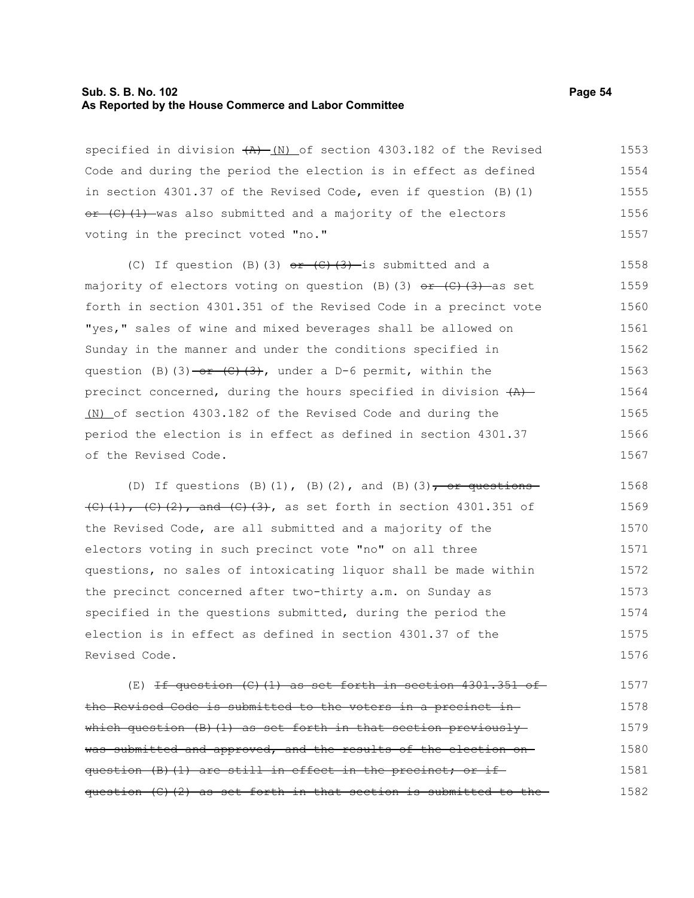#### **Sub. S. B. No. 102 Page 54 As Reported by the House Commerce and Labor Committee**

specified in division  $(A)$  (N) of section 4303.182 of the Revised Code and during the period the election is in effect as defined in section 4301.37 of the Revised Code, even if question (B)(1)  $e^{i}$  (C)(1) was also submitted and a majority of the electors voting in the precinct voted "no." 1553 1554 1555 1556 1557

(C) If question (B)(3)  $e^{+}(C)(3)$  is submitted and a majority of electors voting on question (B)(3)  $or$  (C)(3) as set forth in section 4301.351 of the Revised Code in a precinct vote "yes," sales of wine and mixed beverages shall be allowed on Sunday in the manner and under the conditions specified in question (B)(3)  $-$ or (C)(3), under a D-6 permit, within the precinct concerned, during the hours specified in division  $(A)$ (N) of section 4303.182 of the Revised Code and during the period the election is in effect as defined in section 4301.37 of the Revised Code. 1558 1559 1560 1561 1562 1563 1564 1565 1566 1567

(D) If questions (B)(1), (B)(2), and (B)(3), or questions  $(C)$ (1), (C)(2), and (C)(3), as set forth in section 4301.351 of the Revised Code, are all submitted and a majority of the electors voting in such precinct vote "no" on all three questions, no sales of intoxicating liquor shall be made within the precinct concerned after two-thirty a.m. on Sunday as specified in the questions submitted, during the period the election is in effect as defined in section 4301.37 of the Revised Code. 1568 1569 1570 1571 1572 1573 1574 1575 1576

 $(E)$  <del>If question  $(C)$  (1) as set forth in section 4301.351 of</del> the Revised Code is submitted to the voters in a precinct in which question  $(B)$  (1) as set forth in that section previously was submitted and approved, and the results of the election onquestion (B)(1) are still in effect in the precinct; or ifquestion  $(C)$   $(2)$  as set forth in that section is submitted to the 1577 1578 1579 1580 1581 1582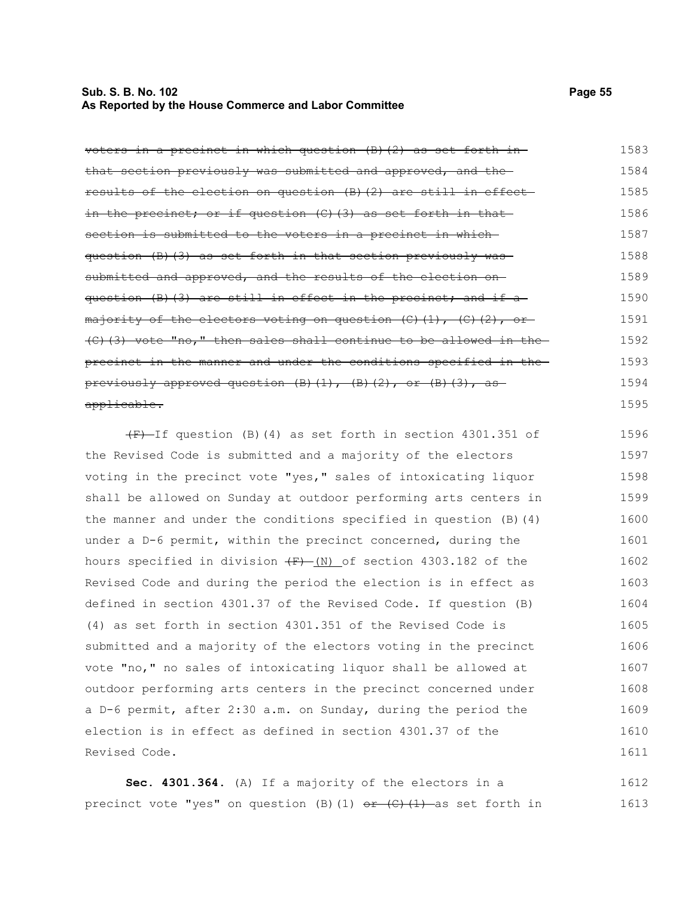## **Sub. S. B. No. 102 Page 55 As Reported by the House Commerce and Labor Committee**

voters in a precinct in which question (B)(2) as set forth in that section previously was submitted and approved, and the results of the election on question (B)(2) are still in effect in the precinct; or if question  $(C)$  (3) as set forth in that section is submitted to the voters in a precinct in whichquestion (B)(3) as set forth in that section previously was submitted and approved, and the results of the election onquestion (B)(3) are still in effect in the precinct; and if a majority of the electors voting on question  $(C)$   $(1)$ ,  $(C)$   $(2)$ , or-(C)(3) vote "no," then sales shall continue to be allowed in the precinct in the manner and under the conditions specified in the previously approved question  $(B)$   $(1)$ ,  $(B)$   $(2)$ , or  $(B)$   $(3)$ , as applicable. 1583 1584 1585 1586 1587 1588 1589 1590 1591 1592 1593 1594 1595

 $(F)$ -If question (B)(4) as set forth in section 4301.351 of the Revised Code is submitted and a majority of the electors voting in the precinct vote "yes," sales of intoxicating liquor shall be allowed on Sunday at outdoor performing arts centers in the manner and under the conditions specified in question  $(B)$   $(4)$ under a D-6 permit, within the precinct concerned, during the hours specified in division  $(F)$  (N) of section 4303.182 of the Revised Code and during the period the election is in effect as defined in section 4301.37 of the Revised Code. If question (B) (4) as set forth in section 4301.351 of the Revised Code is submitted and a majority of the electors voting in the precinct vote "no," no sales of intoxicating liquor shall be allowed at outdoor performing arts centers in the precinct concerned under a D-6 permit, after 2:30 a.m. on Sunday, during the period the election is in effect as defined in section 4301.37 of the Revised Code. 1596 1597 1598 1599 1600 1601 1602 1603 1604 1605 1606 1607 1608 1609 1610 1611

**Sec. 4301.364.** (A) If a majority of the electors in a precinct vote "yes" on question (B)(1)  $or$  (C)(1) as set forth in 1612 1613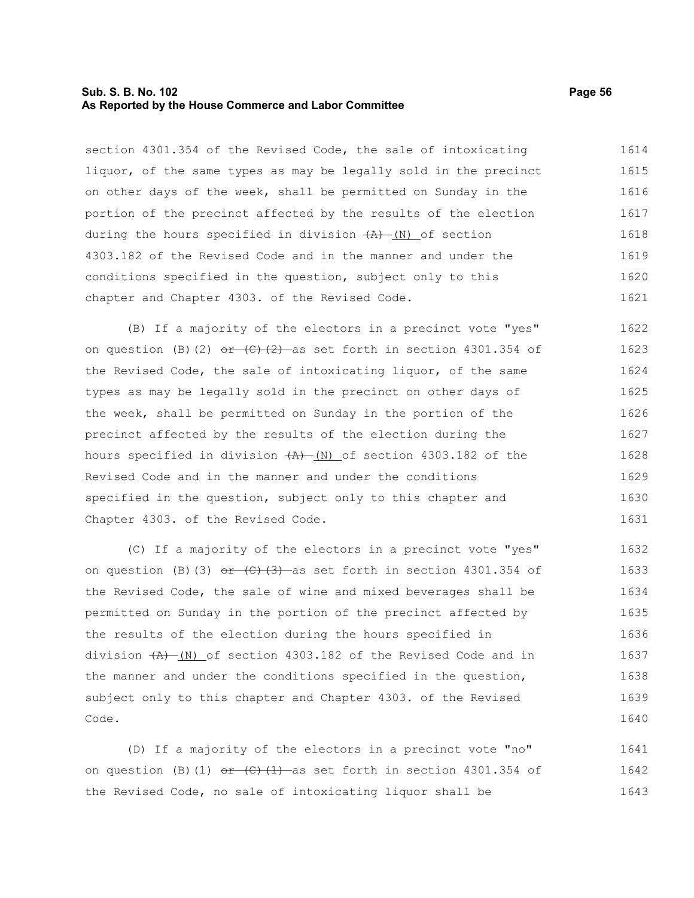## **Sub. S. B. No. 102 Page 56 As Reported by the House Commerce and Labor Committee**

section 4301.354 of the Revised Code, the sale of intoxicating liquor, of the same types as may be legally sold in the precinct on other days of the week, shall be permitted on Sunday in the portion of the precinct affected by the results of the election during the hours specified in division  $(A)$  (N) of section 4303.182 of the Revised Code and in the manner and under the conditions specified in the question, subject only to this chapter and Chapter 4303. of the Revised Code. 1614 1615 1616 1617 1618 1619 1620 1621

(B) If a majority of the electors in a precinct vote "yes" on question (B)(2)  $e^2 + (c^2)^2$  as set forth in section 4301.354 of the Revised Code, the sale of intoxicating liquor, of the same types as may be legally sold in the precinct on other days of the week, shall be permitted on Sunday in the portion of the precinct affected by the results of the election during the hours specified in division  $(A)$  (N) of section 4303.182 of the Revised Code and in the manner and under the conditions specified in the question, subject only to this chapter and Chapter 4303. of the Revised Code. 1622 1623 1624 1625 1626 1627 1628 1629 1630 1631

(C) If a majority of the electors in a precinct vote "yes" on question (B)(3)  $e^2 + (c^2 + 3)$  as set forth in section 4301.354 of the Revised Code, the sale of wine and mixed beverages shall be permitted on Sunday in the portion of the precinct affected by the results of the election during the hours specified in division  $(A)$  (N) of section 4303.182 of the Revised Code and in the manner and under the conditions specified in the question, subject only to this chapter and Chapter 4303. of the Revised Code. 1632 1633 1634 1635 1636 1637 1638 1639 1640

(D) If a majority of the electors in a precinct vote "no" on question (B)(1)  $e^+$  (C)(1) as set forth in section 4301.354 of the Revised Code, no sale of intoxicating liquor shall be 1641 1642 1643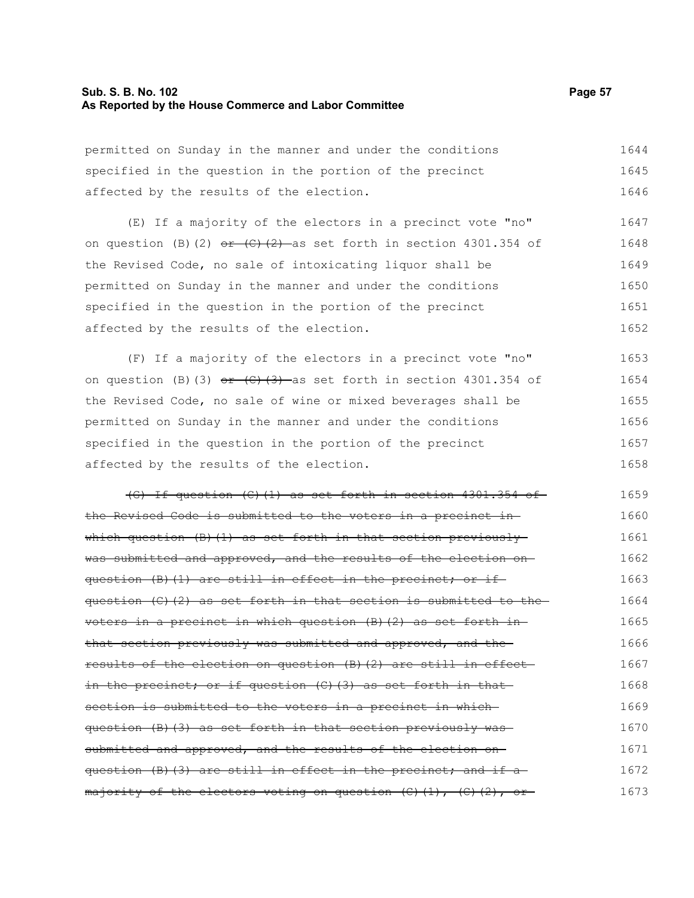### **Sub. S. B. No. 102 Page 57 As Reported by the House Commerce and Labor Committee**

permitted on Sunday in the manner and under the conditions specified in the question in the portion of the precinct affected by the results of the election. 1644 1645 1646

(E) If a majority of the electors in a precinct vote "no" on question (B)(2)  $e^+$  (C)(2) as set forth in section 4301.354 of the Revised Code, no sale of intoxicating liquor shall be permitted on Sunday in the manner and under the conditions specified in the question in the portion of the precinct affected by the results of the election. 1647 1648 1649 1650 1651 1652

(F) If a majority of the electors in a precinct vote "no" on question (B)(3)  $e^2 + (c^2 + 3)$  as set forth in section 4301.354 of the Revised Code, no sale of wine or mixed beverages shall be permitted on Sunday in the manner and under the conditions specified in the question in the portion of the precinct affected by the results of the election. 1653 1654 1655 1656 1657 1658

(G) If question (C)(1) as set forth in section 4301.354 of the Revised Code is submitted to the voters in a precinct in which question (B)(1) as set forth in that section previously was submitted and approved, and the results of the election onquestion (B)(1) are still in effect in the precinct; or ifquestion  $(C)$   $(2)$  as set forth in that section is submitted to the voters in a precinct in which question (B)(2) as set forth in that section previously was submitted and approved, and the results of the election on question (B)(2) are still in effect in the precinct; or if question (C)(3) as set forth in that section is submitted to the voters in a precinct in whichquestion (B)(3) as set forth in that section previously was submitted and approved, and the results of the election onquestion (B)(3) are still in effect in the precinct; and if amajority of the electors voting on question (C)(1), (C)(2), or-1659 1660 1661 1662 1663 1664 1665 1666 1667 1668 1669 1670 1671 1672 1673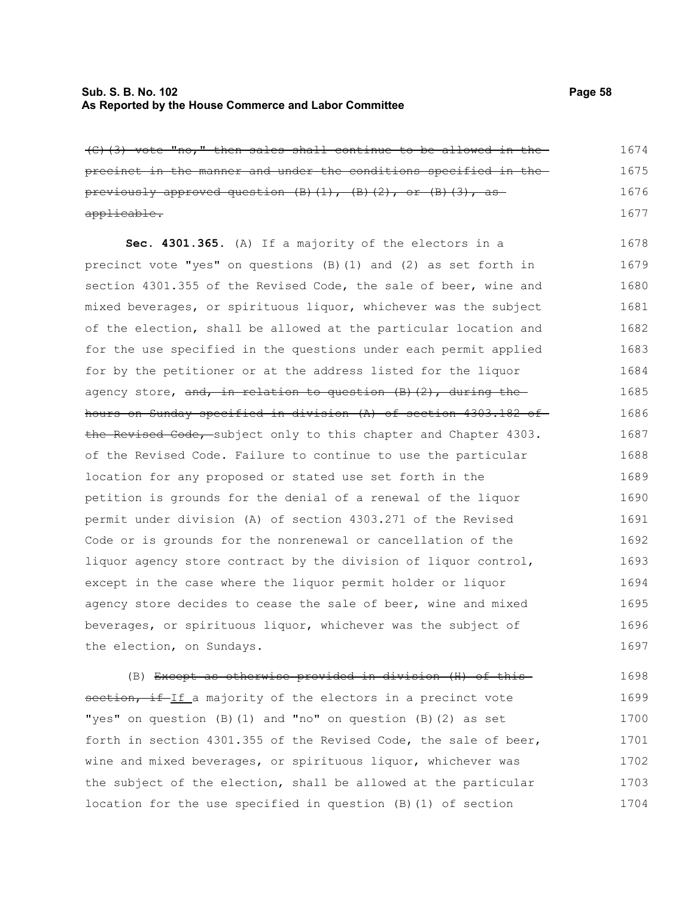## **Sub. S. B. No. 102 Page 58 As Reported by the House Commerce and Labor Committee**

(C)(3) vote "no," then sales shall continue to be allowed in the precinct in the manner and under the conditions specified in the previously approved question (B)(1), (B)(2), or (B)(3), asapplicable. 1674 1675 1676 1677

**Sec. 4301.365.** (A) If a majority of the electors in a precinct vote "yes" on questions (B)(1) and (2) as set forth in section 4301.355 of the Revised Code, the sale of beer, wine and mixed beverages, or spirituous liquor, whichever was the subject of the election, shall be allowed at the particular location and for the use specified in the questions under each permit applied for by the petitioner or at the address listed for the liquor agency store, and, in relation to question  $(B)$  (2), during the hours on Sunday specified in division (A) of section 4303.182 of the Revised Code, subject only to this chapter and Chapter 4303. of the Revised Code. Failure to continue to use the particular location for any proposed or stated use set forth in the petition is grounds for the denial of a renewal of the liquor permit under division (A) of section 4303.271 of the Revised Code or is grounds for the nonrenewal or cancellation of the liquor agency store contract by the division of liquor control, except in the case where the liquor permit holder or liquor agency store decides to cease the sale of beer, wine and mixed beverages, or spirituous liquor, whichever was the subject of the election, on Sundays. 1678 1679 1680 1681 1682 1683 1684 1685 1686 1687 1688 1689 1690 1691 1692 1693 1694 1695 1696 1697

(B) Except as otherwise provided in division (H) of this section, if If a majority of the electors in a precinct vote "yes" on question (B)(1) and "no" on question (B)(2) as set forth in section 4301.355 of the Revised Code, the sale of beer, wine and mixed beverages, or spirituous liquor, whichever was the subject of the election, shall be allowed at the particular location for the use specified in question (B)(1) of section 1698 1699 1700 1701 1702 1703 1704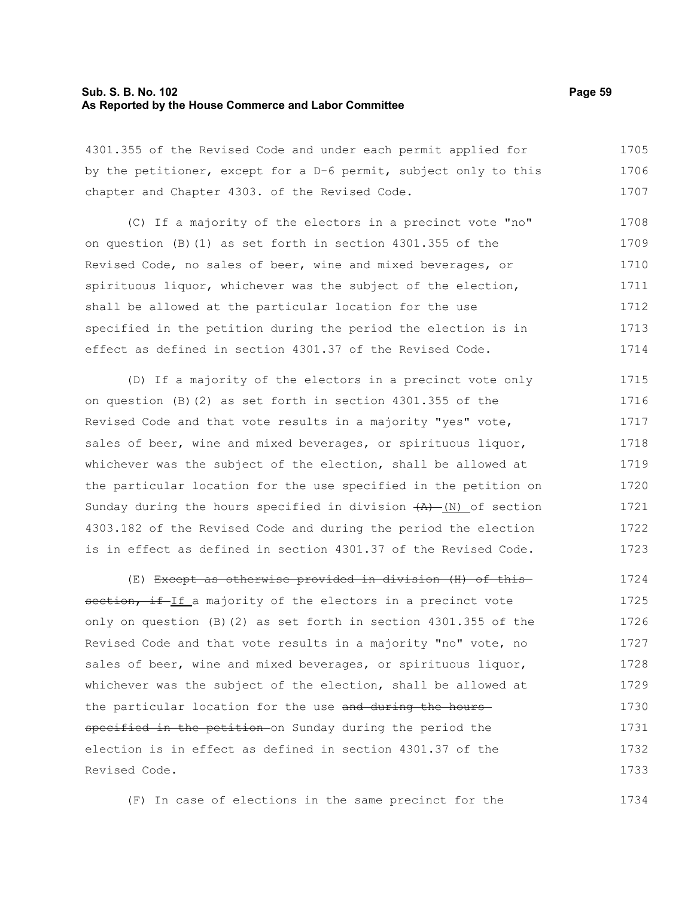## **Sub. S. B. No. 102 Page 59 As Reported by the House Commerce and Labor Committee**

4301.355 of the Revised Code and under each permit applied for by the petitioner, except for a D-6 permit, subject only to this chapter and Chapter 4303. of the Revised Code. 1705 1706 1707

(C) If a majority of the electors in a precinct vote "no" on question (B)(1) as set forth in section 4301.355 of the Revised Code, no sales of beer, wine and mixed beverages, or spirituous liquor, whichever was the subject of the election, shall be allowed at the particular location for the use specified in the petition during the period the election is in effect as defined in section 4301.37 of the Revised Code. 1708 1709 1710 1711 1712 1713 1714

(D) If a majority of the electors in a precinct vote only on question (B)(2) as set forth in section 4301.355 of the Revised Code and that vote results in a majority "yes" vote, sales of beer, wine and mixed beverages, or spirituous liquor, whichever was the subject of the election, shall be allowed at the particular location for the use specified in the petition on Sunday during the hours specified in division  $+A$ ) (N) of section 4303.182 of the Revised Code and during the period the election is in effect as defined in section 4301.37 of the Revised Code. 1715 1716 1717 1718 1719 1720 1721 1722 1723

(E) Except as otherwise provided in division (H) of this section, if If a majority of the electors in a precinct vote only on question (B)(2) as set forth in section 4301.355 of the Revised Code and that vote results in a majority "no" vote, no sales of beer, wine and mixed beverages, or spirituous liquor, whichever was the subject of the election, shall be allowed at the particular location for the use and during the hoursspecified in the petition on Sunday during the period the election is in effect as defined in section 4301.37 of the Revised Code. 1724 1725 1726 1727 1728 1729 1730 1731 1732 1733

(F) In case of elections in the same precinct for the

1734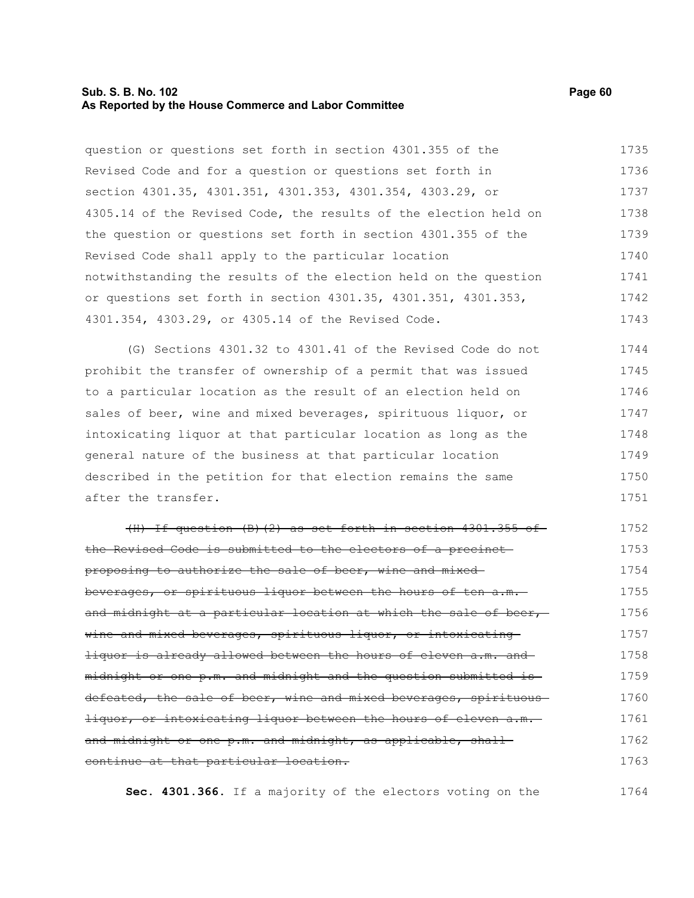## **Sub. S. B. No. 102 Page 60 As Reported by the House Commerce and Labor Committee**

question or questions set forth in section 4301.355 of the Revised Code and for a question or questions set forth in section 4301.35, 4301.351, 4301.353, 4301.354, 4303.29, or 4305.14 of the Revised Code, the results of the election held on the question or questions set forth in section 4301.355 of the Revised Code shall apply to the particular location notwithstanding the results of the election held on the question or questions set forth in section 4301.35, 4301.351, 4301.353, 4301.354, 4303.29, or 4305.14 of the Revised Code. 1735 1736 1737 1738 1739 1740 1741 1742 1743

(G) Sections 4301.32 to 4301.41 of the Revised Code do not prohibit the transfer of ownership of a permit that was issued to a particular location as the result of an election held on sales of beer, wine and mixed beverages, spirituous liquor, or intoxicating liquor at that particular location as long as the general nature of the business at that particular location described in the petition for that election remains the same after the transfer. 1744 1745 1746 1747 1748 1749 1750 1751

(H) If question (B)(2) as set forth in section 4301.355 of the Revised Code is submitted to the electors of a precinct proposing to authorize the sale of beer, wine and mixed beverages, or spirituous liquor between the hours of ten a.m. and midnight at a particular location at which the sale of beer,wine and mixed beverages, spirituous liquor, or intoxicating liquor is already allowed between the hours of eleven a.m. and midnight or one p.m. and midnight and the question submitted is defeated, the sale of beer, wine and mixed beverages, spirituousliquor, or intoxicating liquor between the hours of eleven a.m. and midnight or one p.m. and midnight, as applicable, shallcontinue at that particular location. 1752 1753 1754 1755 1756 1757 1758 1759 1760 1761 1762 1763

**Sec. 4301.366.** If a majority of the electors voting on the 1764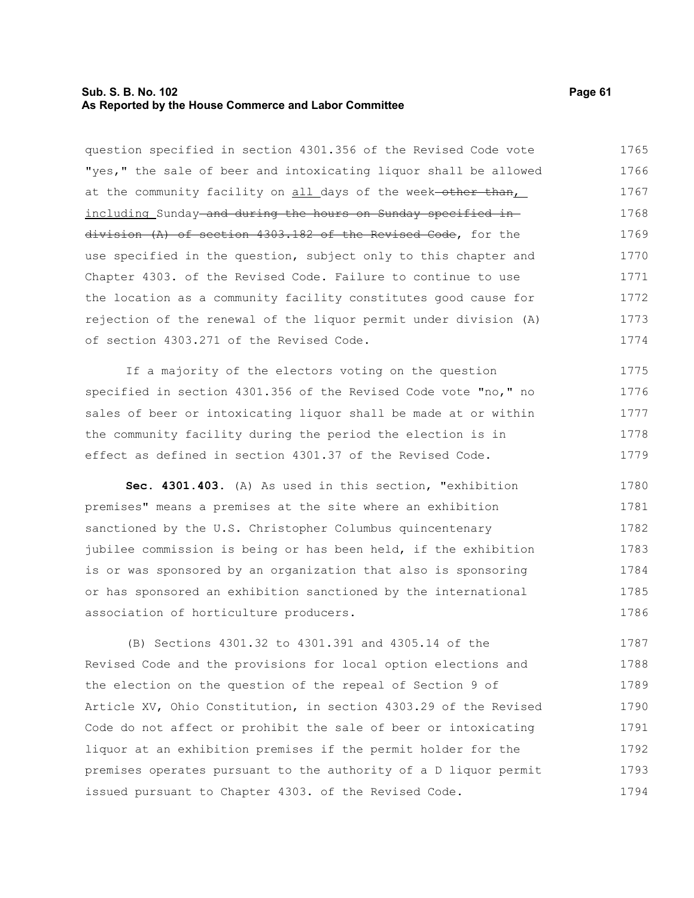## **Sub. S. B. No. 102 Page 61 As Reported by the House Commerce and Labor Committee**

question specified in section 4301.356 of the Revised Code vote "yes," the sale of beer and intoxicating liquor shall be allowed at the community facility on all days of the week-other than, including Sunday and during the hours on Sunday specified in division (A) of section 4303.182 of the Revised Code, for the use specified in the question, subject only to this chapter and Chapter 4303. of the Revised Code. Failure to continue to use the location as a community facility constitutes good cause for rejection of the renewal of the liquor permit under division (A) of section 4303.271 of the Revised Code. 1765 1766 1767 1768 1769 1770 1771 1772 1773 1774

If a majority of the electors voting on the question specified in section 4301.356 of the Revised Code vote "no," no sales of beer or intoxicating liquor shall be made at or within the community facility during the period the election is in effect as defined in section 4301.37 of the Revised Code. 1775 1776 1777 1778 1779

**Sec. 4301.403.** (A) As used in this section, "exhibition premises" means a premises at the site where an exhibition sanctioned by the U.S. Christopher Columbus quincentenary jubilee commission is being or has been held, if the exhibition is or was sponsored by an organization that also is sponsoring or has sponsored an exhibition sanctioned by the international association of horticulture producers. 1780 1781 1782 1783 1784 1785 1786

(B) Sections 4301.32 to 4301.391 and 4305.14 of the Revised Code and the provisions for local option elections and the election on the question of the repeal of Section 9 of Article XV, Ohio Constitution, in section 4303.29 of the Revised Code do not affect or prohibit the sale of beer or intoxicating liquor at an exhibition premises if the permit holder for the premises operates pursuant to the authority of a D liquor permit issued pursuant to Chapter 4303. of the Revised Code. 1787 1788 1789 1790 1791 1792 1793 1794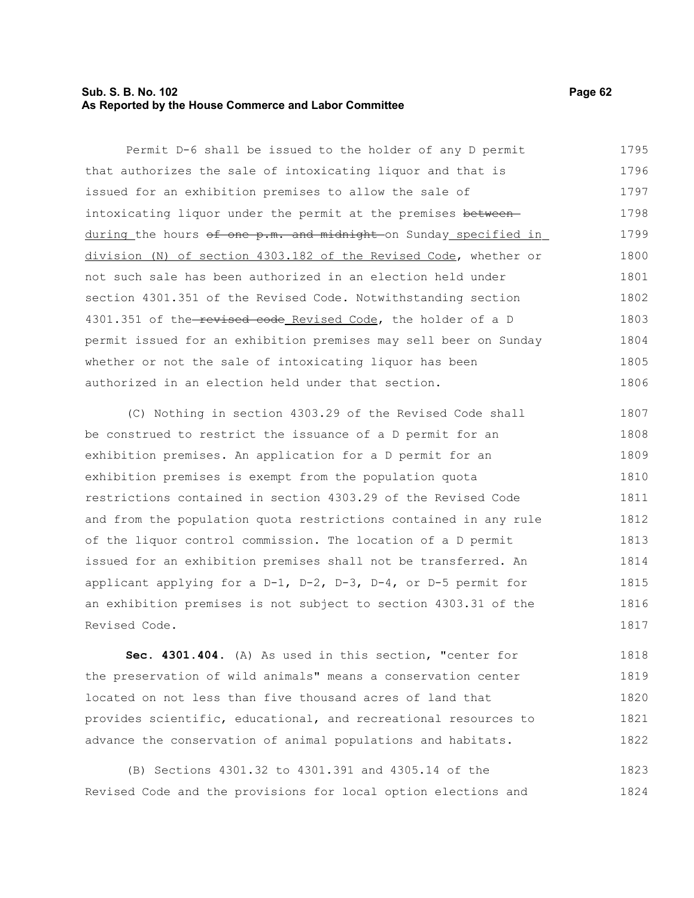# **Sub. S. B. No. 102 Page 62 As Reported by the House Commerce and Labor Committee**

Permit D-6 shall be issued to the holder of any D permit that authorizes the sale of intoxicating liquor and that is issued for an exhibition premises to allow the sale of intoxicating liquor under the permit at the premises betweenduring the hours of one p.m. and midnight on Sunday specified in division (N) of section 4303.182 of the Revised Code, whether or not such sale has been authorized in an election held under section 4301.351 of the Revised Code. Notwithstanding section 4301.351 of the-revised code Revised Code, the holder of a D permit issued for an exhibition premises may sell beer on Sunday whether or not the sale of intoxicating liquor has been authorized in an election held under that section. 1795 1796 1797 1798 1799 1800 1801 1802 1803 1804 1805 1806

(C) Nothing in section 4303.29 of the Revised Code shall be construed to restrict the issuance of a D permit for an exhibition premises. An application for a D permit for an exhibition premises is exempt from the population quota restrictions contained in section 4303.29 of the Revised Code and from the population quota restrictions contained in any rule of the liquor control commission. The location of a D permit issued for an exhibition premises shall not be transferred. An applicant applying for a  $D-1$ ,  $D-2$ ,  $D-3$ ,  $D-4$ , or  $D-5$  permit for an exhibition premises is not subject to section 4303.31 of the Revised Code. 1807 1808 1809 1810 1811 1812 1813 1814 1815 1816 1817

**Sec. 4301.404.** (A) As used in this section, "center for the preservation of wild animals" means a conservation center located on not less than five thousand acres of land that provides scientific, educational, and recreational resources to advance the conservation of animal populations and habitats. 1818 1819 1820 1821 1822

(B) Sections 4301.32 to 4301.391 and 4305.14 of the Revised Code and the provisions for local option elections and 1823 1824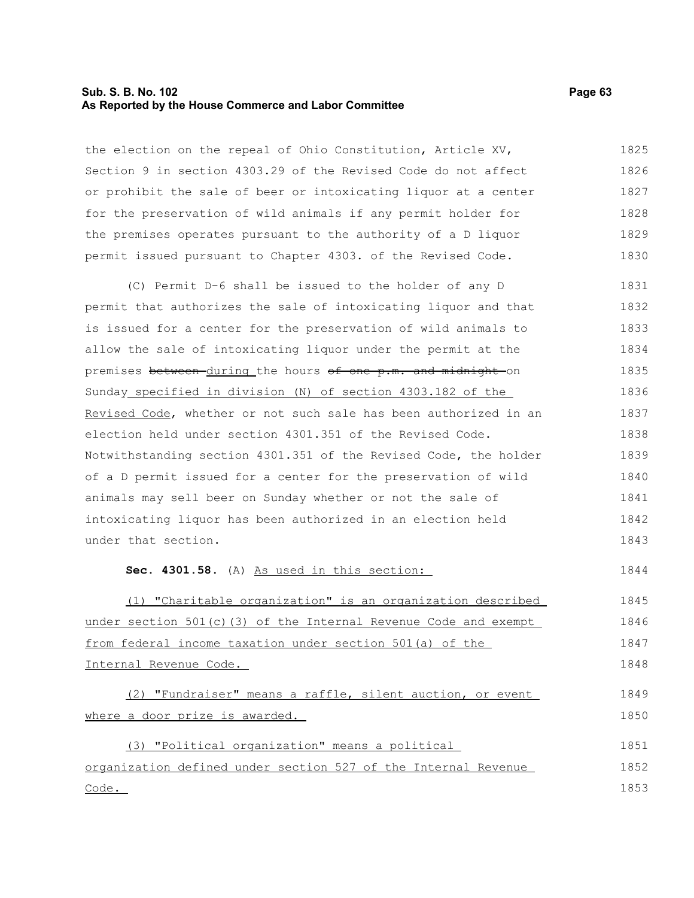## **Sub. S. B. No. 102 Page 63 As Reported by the House Commerce and Labor Committee**

the election on the repeal of Ohio Constitution, Article XV, Section 9 in section 4303.29 of the Revised Code do not affect or prohibit the sale of beer or intoxicating liquor at a center for the preservation of wild animals if any permit holder for the premises operates pursuant to the authority of a D liquor permit issued pursuant to Chapter 4303. of the Revised Code. 1825 1826 1827 1828 1829 1830

(C) Permit D-6 shall be issued to the holder of any D permit that authorizes the sale of intoxicating liquor and that is issued for a center for the preservation of wild animals to allow the sale of intoxicating liquor under the permit at the premises between during the hours of one p.m. and midnight on Sunday specified in division (N) of section 4303.182 of the Revised Code, whether or not such sale has been authorized in an election held under section 4301.351 of the Revised Code. Notwithstanding section 4301.351 of the Revised Code, the holder of a D permit issued for a center for the preservation of wild animals may sell beer on Sunday whether or not the sale of intoxicating liquor has been authorized in an election held under that section. 1831 1832 1833 1834 1835 1836 1837 1838 1839 1840 1841 1842 1843

**Sec. 4301.58.** (A) As used in this section:

(1) "Charitable organization" is an organization described under section 501(c)(3) of the Internal Revenue Code and exempt from federal income taxation under section 501(a) of the Internal Revenue Code. 1845 1846 1847 1848

(2) "Fundraiser" means a raffle, silent auction, or event where a door prize is awarded. 1849 1850

(3) "Political organization" means a political organization defined under section 527 of the Internal Revenue Code. 1851 1852 1853

1844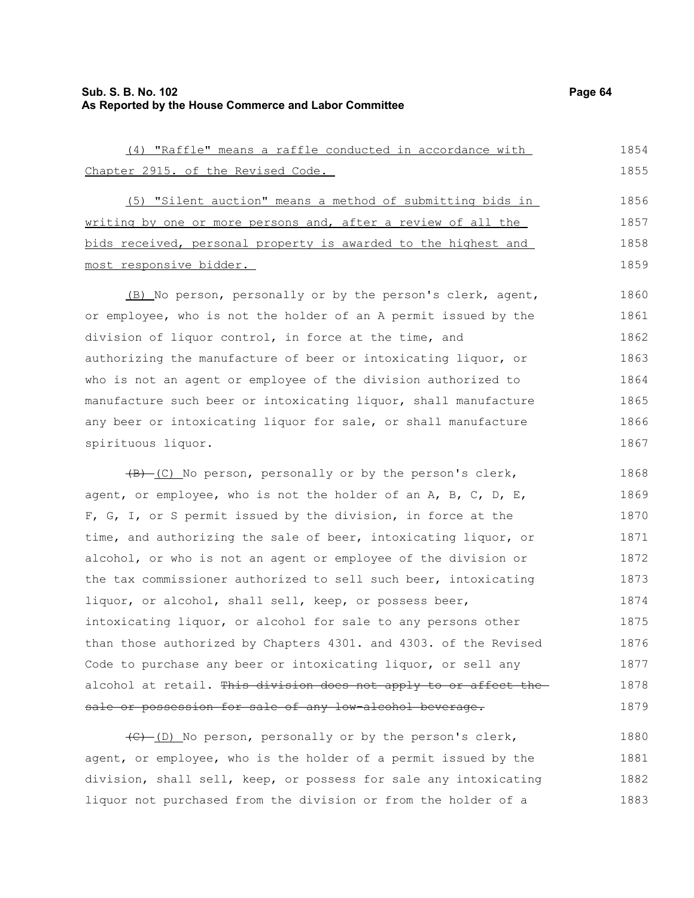1878 1879

| (4) "Raffle" means a raffle conducted in accordance with         | 1854 |
|------------------------------------------------------------------|------|
| Chapter 2915. of the Revised Code.                               | 1855 |
| (5) "Silent auction" means a method of submitting bids in        | 1856 |
| writing by one or more persons and, after a review of all the    | 1857 |
| bids received, personal property is awarded to the highest and   | 1858 |
| most responsive bidder.                                          | 1859 |
| (B) No person, personally or by the person's clerk, agent,       | 1860 |
| or employee, who is not the holder of an A permit issued by the  | 1861 |
| division of liquor control, in force at the time, and            | 1862 |
| authorizing the manufacture of beer or intoxicating liquor, or   | 1863 |
| who is not an agent or employee of the division authorized to    | 1864 |
| manufacture such beer or intoxicating liquor, shall manufacture  | 1865 |
| any beer or intoxicating liquor for sale, or shall manufacture   | 1866 |
| spirituous liquor.                                               | 1867 |
| (B) (C) No person, personally or by the person's clerk,          | 1868 |
| agent, or employee, who is not the holder of an A, B, C, D, E,   | 1869 |
| F, G, I, or S permit issued by the division, in force at the     | 1870 |
| time, and authorizing the sale of beer, intoxicating liquor, or  | 1871 |
| alcohol, or who is not an agent or employee of the division or   | 1872 |
| the tax commissioner authorized to sell such beer, intoxicating  | 1873 |
| liquor, or alcohol, shall sell, keep, or possess beer,           | 1874 |
| intoxicating liquor, or alcohol for sale to any persons other    | 1875 |
| than those authorized by Chapters 4301. and 4303. of the Revised | 1876 |
| Code to purchase any beer or intoxicating liquor, or sell any    | 1877 |

alcohol at retail. This division does not apply to or affect the sale or possession for sale of any low-alcohol beverage.

(C) (D) No person, personally or by the person's clerk, agent, or employee, who is the holder of a permit issued by the division, shall sell, keep, or possess for sale any intoxicating liquor not purchased from the division or from the holder of a 1880 1881 1882 1883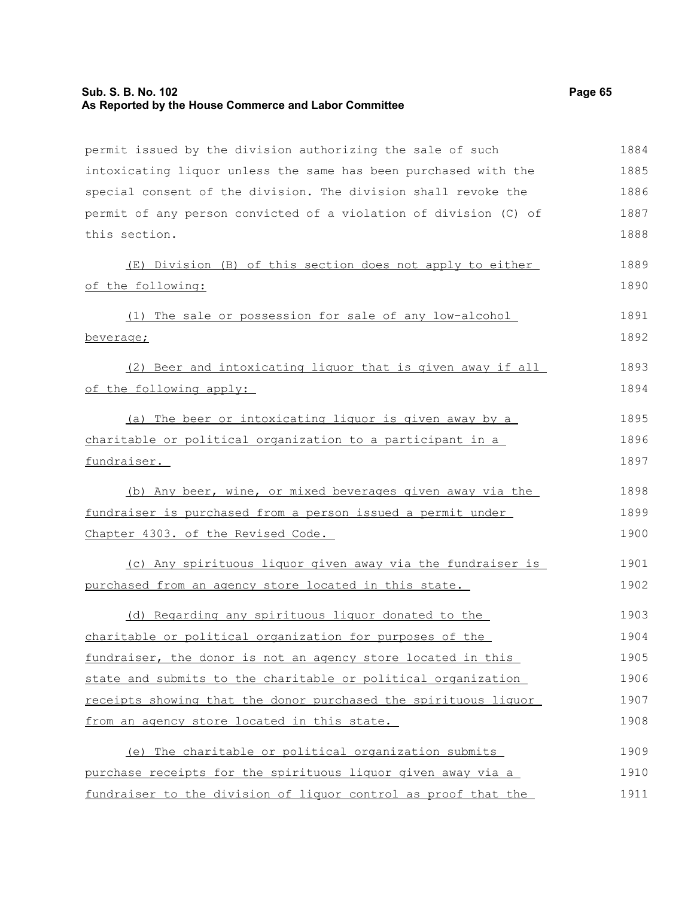# **Sub. S. B. No. 102 Page 65 As Reported by the House Commerce and Labor Committee**

permit issued by the division authorizing the sale of such intoxicating liquor unless the same has been purchased with the special consent of the division. The division shall revoke the permit of any person convicted of a violation of division (C) of this section. (E) Division (B) of this section does not apply to either of the following: (1) The sale or possession for sale of any low-alcohol beverage; (2) Beer and intoxicating liquor that is given away if all of the following apply: (a) The beer or intoxicating liquor is given away by a charitable or political organization to a participant in a fundraiser. (b) Any beer, wine, or mixed beverages given away via the fundraiser is purchased from a person issued a permit under Chapter 4303. of the Revised Code. (c) Any spirituous liquor given away via the fundraiser is purchased from an agency store located in this state. (d) Regarding any spirituous liquor donated to the charitable or political organization for purposes of the fundraiser, the donor is not an agency store located in this state and submits to the charitable or political organization receipts showing that the donor purchased the spirituous liquor from an agency store located in this state. (e) The charitable or political organization submits purchase receipts for the spirituous liquor given away via a fundraiser to the division of liquor control as proof that the 1884 1885 1886 1887 1888 1889 1890 1891 1892 1893 1894 1895 1896 1897 1898 1899 1900 1901 1902 1903 1904 1905 1906 1907 1908 1909 1910 1911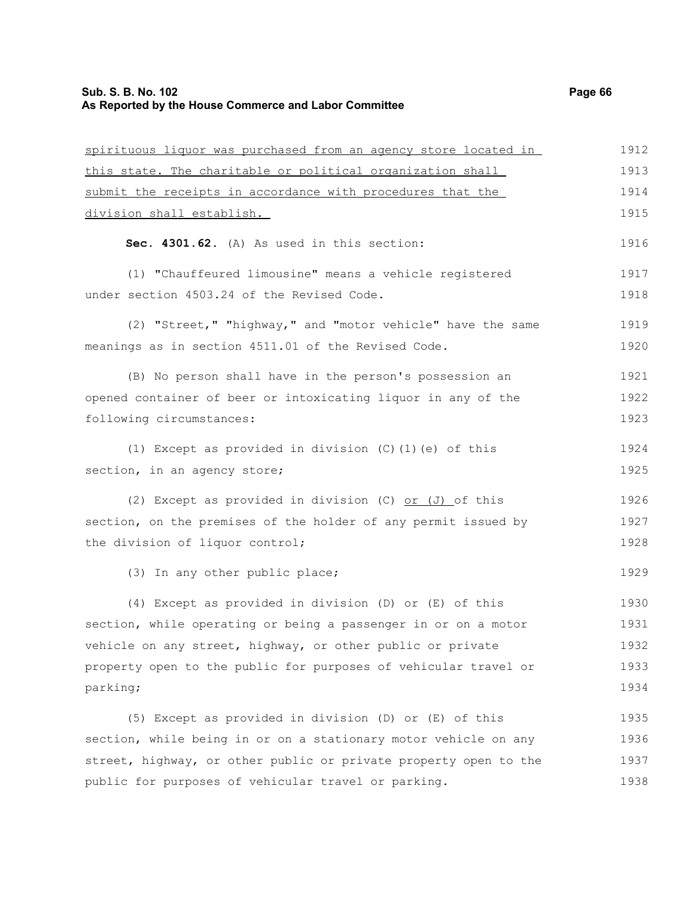| spirituous liquor was purchased from an agency store located in  | 1912 |
|------------------------------------------------------------------|------|
| this state. The charitable or political organization shall       | 1913 |
| submit the receipts in accordance with procedures that the       | 1914 |
| division shall establish.                                        | 1915 |
| Sec. 4301.62. (A) As used in this section:                       | 1916 |
| (1) "Chauffeured limousine" means a vehicle registered           | 1917 |
| under section 4503.24 of the Revised Code.                       | 1918 |
| (2) "Street," "highway," and "motor vehicle" have the same       | 1919 |
| meanings as in section 4511.01 of the Revised Code.              | 1920 |
| (B) No person shall have in the person's possession an           | 1921 |
| opened container of beer or intoxicating liquor in any of the    | 1922 |
| following circumstances:                                         | 1923 |
| (1) Except as provided in division (C) (1) (e) of this           | 1924 |
| section, in an agency store;                                     | 1925 |
| (2) Except as provided in division (C) or $(J)$ of this          | 1926 |
| section, on the premises of the holder of any permit issued by   | 1927 |
| the division of liquor control;                                  | 1928 |
| (3) In any other public place;                                   | 1929 |
| (4) Except as provided in division (D) or (E) of this            | 1930 |
| section, while operating or being a passenger in or on a motor   | 1931 |
| vehicle on any street, highway, or other public or private       | 1932 |
| property open to the public for purposes of vehicular travel or  | 1933 |
| parking;                                                         | 1934 |
| (5) Except as provided in division (D) or (E) of this            | 1935 |
| section, while being in or on a stationary motor vehicle on any  | 1936 |
| street, highway, or other public or private property open to the | 1937 |
| public for purposes of vehicular travel or parking.              | 1938 |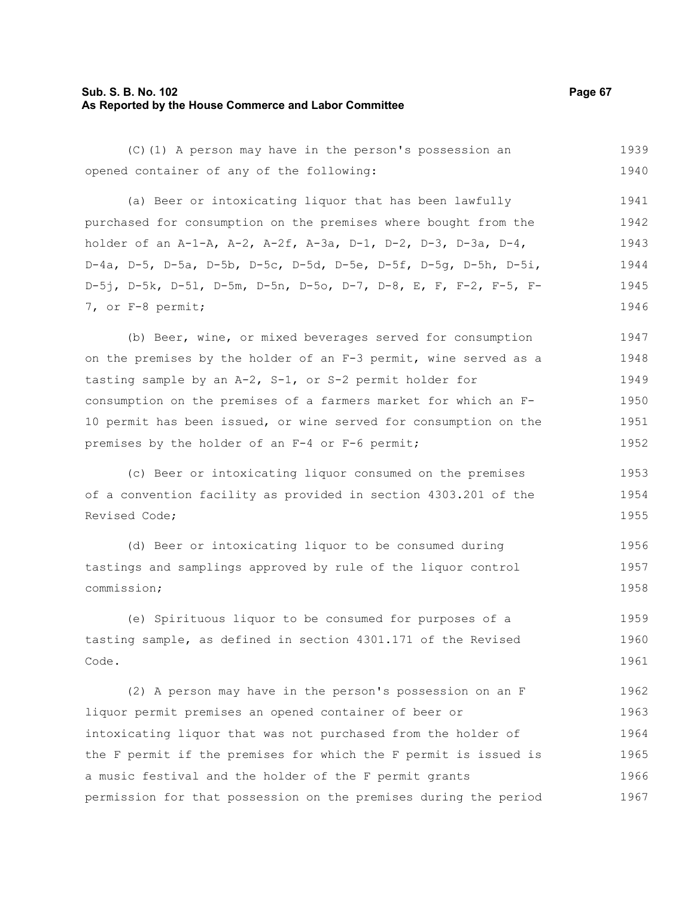# **Sub. S. B. No. 102 Page 67 As Reported by the House Commerce and Labor Committee**

| (C) (1) A person may have in the person's possession an          | 1939 |
|------------------------------------------------------------------|------|
| opened container of any of the following:                        | 1940 |
| (a) Beer or intoxicating liquor that has been lawfully           | 1941 |
| purchased for consumption on the premises where bought from the  | 1942 |
| holder of an A-1-A, A-2, A-2f, A-3a, D-1, D-2, D-3, D-3a, D-4,   | 1943 |
| D-4a, D-5, D-5a, D-5b, D-5c, D-5d, D-5e, D-5f, D-5g, D-5h, D-5i, | 1944 |
| D-5j, D-5k, D-51, D-5m, D-5n, D-5o, D-7, D-8, E, F, F-2, F-5, F- | 1945 |
| 7, or F-8 permit;                                                | 1946 |
| (b) Beer, wine, or mixed beverages served for consumption        | 1947 |
| on the premises by the holder of an F-3 permit, wine served as a | 1948 |
| tasting sample by an A-2, S-1, or S-2 permit holder for          | 1949 |
| consumption on the premises of a farmers market for which an F-  | 1950 |
| 10 permit has been issued, or wine served for consumption on the | 1951 |
| premises by the holder of an F-4 or F-6 permit;                  | 1952 |
| (c) Beer or intoxicating liquor consumed on the premises         | 1953 |
| of a convention facility as provided in section 4303.201 of the  | 1954 |
| Revised Code;                                                    | 1955 |
| (d) Beer or intoxicating liquor to be consumed during            | 1956 |
| tastings and samplings approved by rule of the liquor control    | 1957 |
| commission;                                                      | 1958 |
| (e) Spirituous liquor to be consumed for purposes of a           | 1959 |
| tasting sample, as defined in section 4301.171 of the Revised    | 1960 |
| Code.                                                            | 1961 |
| (2) A person may have in the person's possession on an F         | 1962 |
| liquor permit premises an opened container of beer or            | 1963 |
| intoxicating liquor that was not purchased from the holder of    | 1964 |
| the F permit if the premises for which the F permit is issued is | 1965 |
| a music festival and the holder of the F permit grants           | 1966 |
| permission for that possession on the premises during the period | 1967 |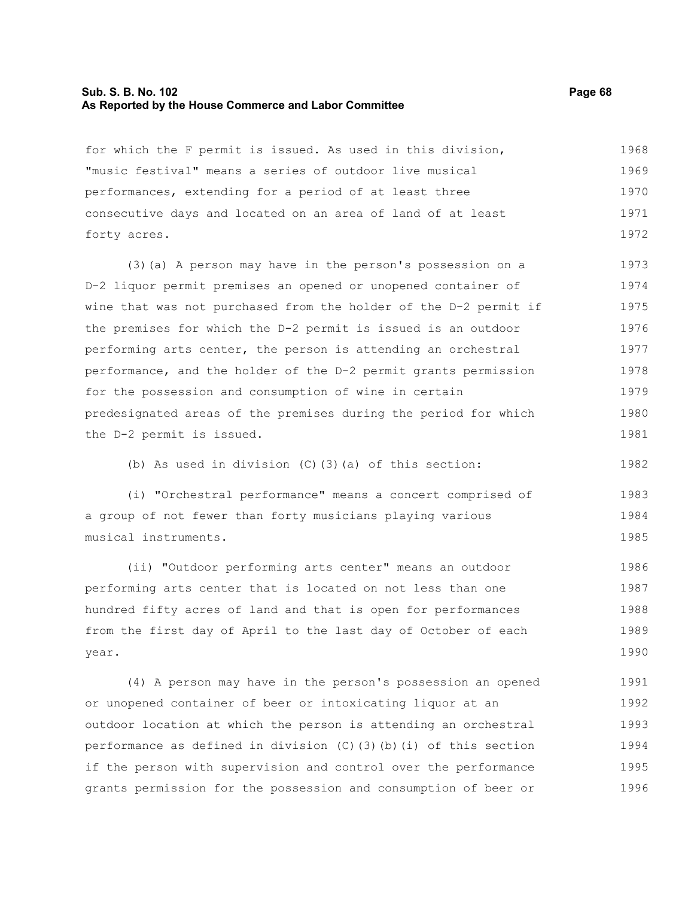#### **Sub. S. B. No. 102 Page 68 As Reported by the House Commerce and Labor Committee**

for which the F permit is issued. As used in this division, "music festival" means a series of outdoor live musical performances, extending for a period of at least three consecutive days and located on an area of land of at least forty acres. 1968 1969 1970 1971 1972

(3)(a) A person may have in the person's possession on a D-2 liquor permit premises an opened or unopened container of wine that was not purchased from the holder of the D-2 permit if the premises for which the D-2 permit is issued is an outdoor performing arts center, the person is attending an orchestral performance, and the holder of the D-2 permit grants permission for the possession and consumption of wine in certain predesignated areas of the premises during the period for which the D-2 permit is issued. 1973 1974 1975 1976 1977 1978 1979 1980 1981

(b) As used in division (C)(3)(a) of this section:

(i) "Orchestral performance" means a concert comprised of a group of not fewer than forty musicians playing various musical instruments. 1983 1984 1985

(ii) "Outdoor performing arts center" means an outdoor performing arts center that is located on not less than one hundred fifty acres of land and that is open for performances from the first day of April to the last day of October of each year. 1986 1987 1988 1989 1990

(4) A person may have in the person's possession an opened or unopened container of beer or intoxicating liquor at an outdoor location at which the person is attending an orchestral performance as defined in division  $(C)$  (3)(b)(i) of this section if the person with supervision and control over the performance grants permission for the possession and consumption of beer or 1991 1992 1993 1994 1995 1996

1982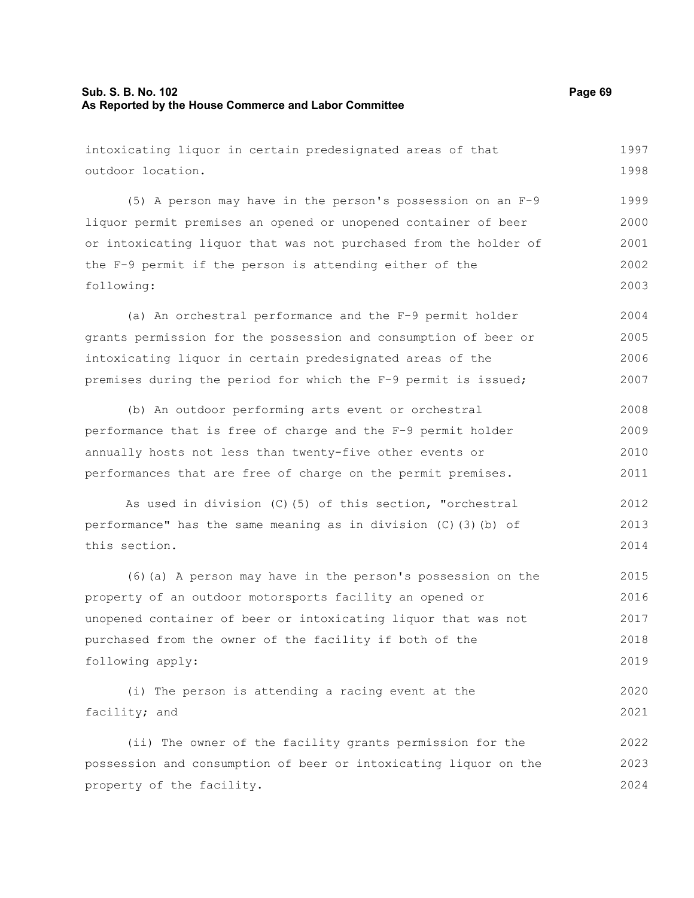# **Sub. S. B. No. 102 Page 69 As Reported by the House Commerce and Labor Committee**

| intoxicating liquor in certain predesignated areas of that       | 1997 |
|------------------------------------------------------------------|------|
| outdoor location.                                                | 1998 |
| (5) A person may have in the person's possession on an F-9       | 1999 |
| liquor permit premises an opened or unopened container of beer   | 2000 |
| or intoxicating liquor that was not purchased from the holder of | 2001 |
| the F-9 permit if the person is attending either of the          | 2002 |
| following:                                                       | 2003 |
| (a) An orchestral performance and the F-9 permit holder          | 2004 |
| grants permission for the possession and consumption of beer or  | 2005 |
| intoxicating liquor in certain predesignated areas of the        | 2006 |
| premises during the period for which the F-9 permit is issued;   | 2007 |
| (b) An outdoor performing arts event or orchestral               | 2008 |
| performance that is free of charge and the F-9 permit holder     | 2009 |
| annually hosts not less than twenty-five other events or         | 2010 |
| performances that are free of charge on the permit premises.     | 2011 |
| As used in division (C) (5) of this section, "orchestral         | 2012 |
| performance" has the same meaning as in division (C) (3) (b) of  | 2013 |
| this section.                                                    | 2014 |
| (6) (a) A person may have in the person's possession on the      | 2015 |
| property of an outdoor motorsports facility an opened or         | 2016 |
| unopened container of beer or intoxicating liquor that was not   | 2017 |
| purchased from the owner of the facility if both of the          | 2018 |
| following apply:                                                 | 2019 |
| (i) The person is attending a racing event at the                | 2020 |
| facility; and                                                    | 2021 |
| (ii) The owner of the facility grants permission for the         | 2022 |
| possession and consumption of beer or intoxicating liquor on the | 2023 |
| property of the facility.                                        | 2024 |
|                                                                  |      |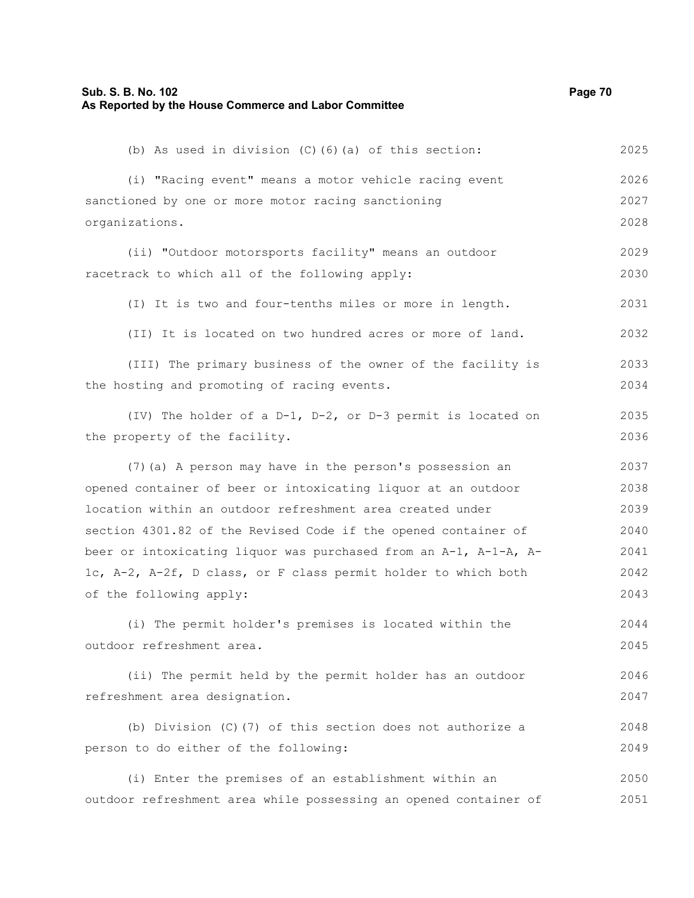# **Sub. S. B. No. 102 Page 70 As Reported by the House Commerce and Labor Committee**

| (b) As used in division $(C)$ $(6)$ $(a)$ of this section:       | 2025 |
|------------------------------------------------------------------|------|
| (i) "Racing event" means a motor vehicle racing event            | 2026 |
| sanctioned by one or more motor racing sanctioning               | 2027 |
| organizations.                                                   | 2028 |
| (ii) "Outdoor motorsports facility" means an outdoor             | 2029 |
| racetrack to which all of the following apply:                   | 2030 |
| (I) It is two and four-tenths miles or more in length.           | 2031 |
| (II) It is located on two hundred acres or more of land.         | 2032 |
| (III) The primary business of the owner of the facility is       | 2033 |
| the hosting and promoting of racing events.                      | 2034 |
| (IV) The holder of a D-1, D-2, or D-3 permit is located on       | 2035 |
| the property of the facility.                                    | 2036 |
| (7) (a) A person may have in the person's possession an          | 2037 |
| opened container of beer or intoxicating liquor at an outdoor    | 2038 |
| location within an outdoor refreshment area created under        | 2039 |
| section 4301.82 of the Revised Code if the opened container of   | 2040 |
| beer or intoxicating liquor was purchased from an A-1, A-1-A, A- | 2041 |
| 1c, A-2, A-2f, D class, or F class permit holder to which both   | 2042 |
| of the following apply:                                          | 2043 |
| (i) The permit holder's premises is located within the           | 2044 |
| outdoor refreshment area.                                        | 2045 |
| (ii) The permit held by the permit holder has an outdoor         | 2046 |
| refreshment area designation.                                    | 2047 |
| (b) Division (C) (7) of this section does not authorize a        | 2048 |
| person to do either of the following:                            | 2049 |
| (i) Enter the premises of an establishment within an             | 2050 |

outdoor refreshment area while possessing an opened container of 2051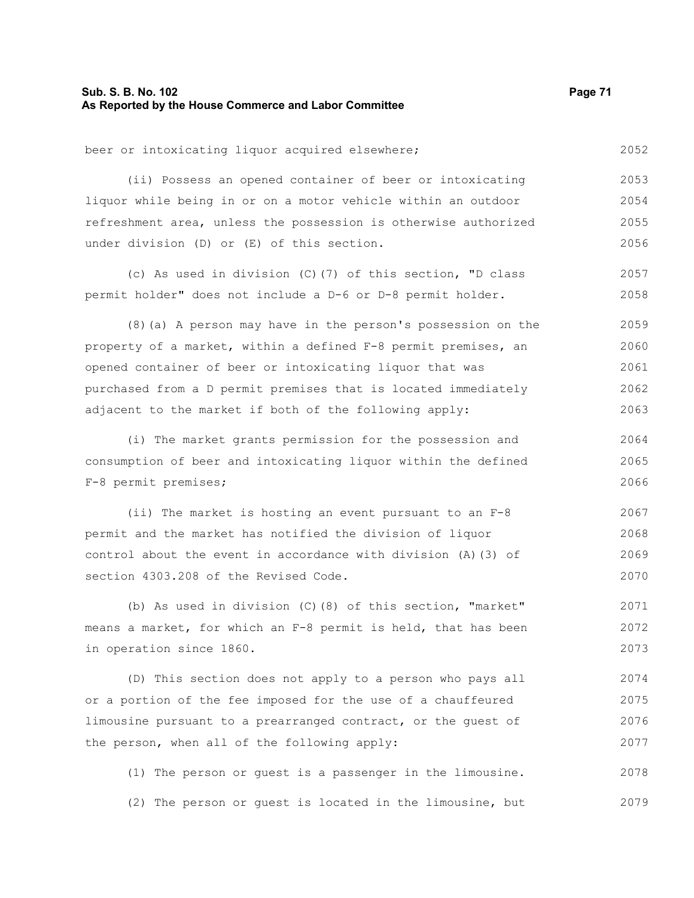## **Sub. S. B. No. 102 Page 71 As Reported by the House Commerce and Labor Committee**

beer or intoxicating liquor acquired elsewhere; 2052

(ii) Possess an opened container of beer or intoxicating liquor while being in or on a motor vehicle within an outdoor refreshment area, unless the possession is otherwise authorized under division (D) or (E) of this section. 2053 2054 2055 2056

(c) As used in division (C)(7) of this section, "D class permit holder" does not include a D-6 or D-8 permit holder. 2057 2058

(8)(a) A person may have in the person's possession on the property of a market, within a defined F-8 permit premises, an opened container of beer or intoxicating liquor that was purchased from a D permit premises that is located immediately adjacent to the market if both of the following apply: 2059 2060 2061 2062 2063

(i) The market grants permission for the possession and consumption of beer and intoxicating liquor within the defined F-8 permit premises; 2064 2065 2066

(ii) The market is hosting an event pursuant to an F-8 permit and the market has notified the division of liquor control about the event in accordance with division (A)(3) of section 4303.208 of the Revised Code. 2067 2068 2069 2070

(b) As used in division (C)(8) of this section, "market" means a market, for which an F-8 permit is held, that has been in operation since 1860. 2071 2072 2073

(D) This section does not apply to a person who pays all or a portion of the fee imposed for the use of a chauffeured limousine pursuant to a prearranged contract, or the guest of the person, when all of the following apply: 2074 2075 2076 2077

(1) The person or guest is a passenger in the limousine. (2) The person or guest is located in the limousine, but 2078 2079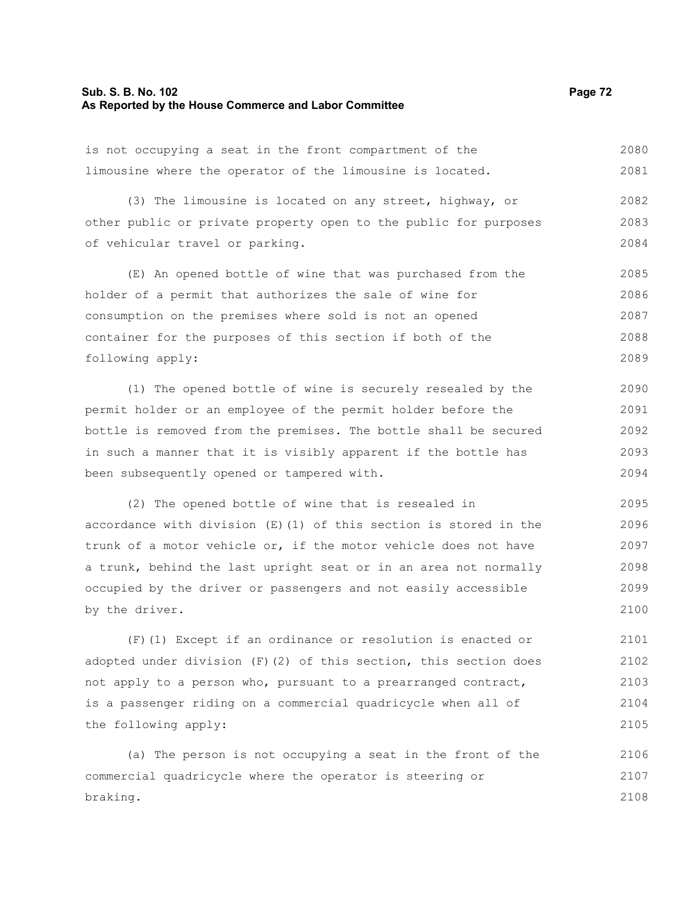#### **Sub. S. B. No. 102 Page 72 As Reported by the House Commerce and Labor Committee**

is not occupying a seat in the front compartment of the limousine where the operator of the limousine is located. 2080 2081

(3) The limousine is located on any street, highway, or other public or private property open to the public for purposes of vehicular travel or parking. 2082 2083 2084

(E) An opened bottle of wine that was purchased from the holder of a permit that authorizes the sale of wine for consumption on the premises where sold is not an opened container for the purposes of this section if both of the following apply: 2085 2086 2087 2088 2089

(1) The opened bottle of wine is securely resealed by the permit holder or an employee of the permit holder before the bottle is removed from the premises. The bottle shall be secured in such a manner that it is visibly apparent if the bottle has been subsequently opened or tampered with. 2090 2091 2092 2093 2094

(2) The opened bottle of wine that is resealed in accordance with division (E)(1) of this section is stored in the trunk of a motor vehicle or, if the motor vehicle does not have a trunk, behind the last upright seat or in an area not normally occupied by the driver or passengers and not easily accessible by the driver. 2095 2096 2097 2098 2099 2100

(F)(1) Except if an ordinance or resolution is enacted or adopted under division  $(F)(2)$  of this section, this section does not apply to a person who, pursuant to a prearranged contract, is a passenger riding on a commercial quadricycle when all of the following apply: 2101 2102 2103 2104 2105

(a) The person is not occupying a seat in the front of the commercial quadricycle where the operator is steering or braking. 2106 2107 2108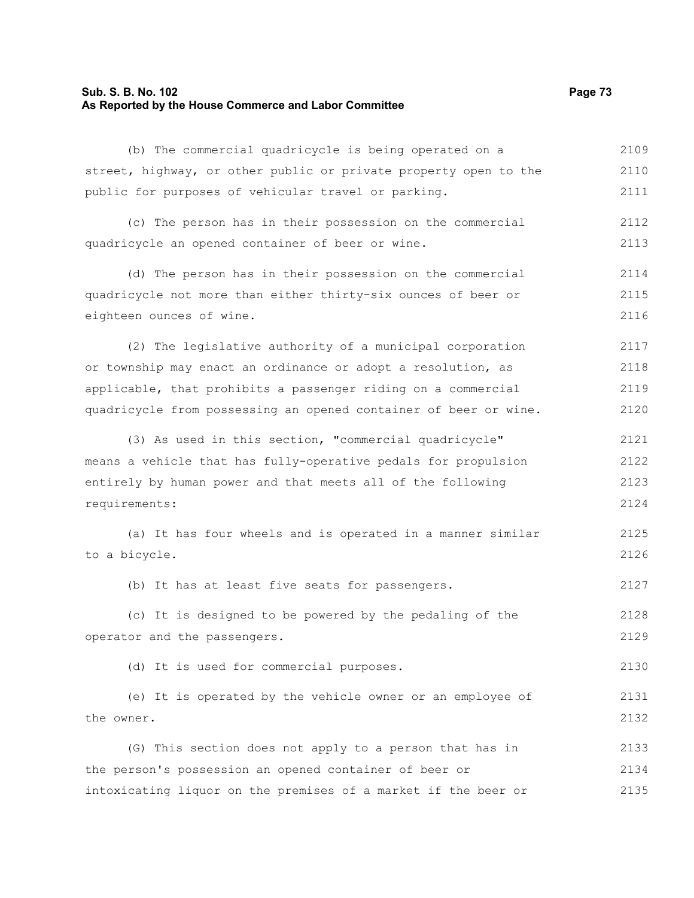### **Sub. S. B. No. 102 Page 73 As Reported by the House Commerce and Labor Committee**

(b) The commercial quadricycle is being operated on a street, highway, or other public or private property open to the public for purposes of vehicular travel or parking. 2109 2110 2111

(c) The person has in their possession on the commercial quadricycle an opened container of beer or wine. 2112 2113

(d) The person has in their possession on the commercial quadricycle not more than either thirty-six ounces of beer or eighteen ounces of wine. 2114 2115 2116

(2) The legislative authority of a municipal corporation or township may enact an ordinance or adopt a resolution, as applicable, that prohibits a passenger riding on a commercial quadricycle from possessing an opened container of beer or wine. 2117 2118 2119 2120

(3) As used in this section, "commercial quadricycle" means a vehicle that has fully-operative pedals for propulsion entirely by human power and that meets all of the following requirements: 2121 2122 2123 2124

(a) It has four wheels and is operated in a manner similar to a bicycle. 2125 2126

(b) It has at least five seats for passengers. 2127

(c) It is designed to be powered by the pedaling of the operator and the passengers. 2128 2129

(d) It is used for commercial purposes.

(e) It is operated by the vehicle owner or an employee of the owner. 2131 2132

(G) This section does not apply to a person that has in the person's possession an opened container of beer or intoxicating liquor on the premises of a market if the beer or 2133 2134 2135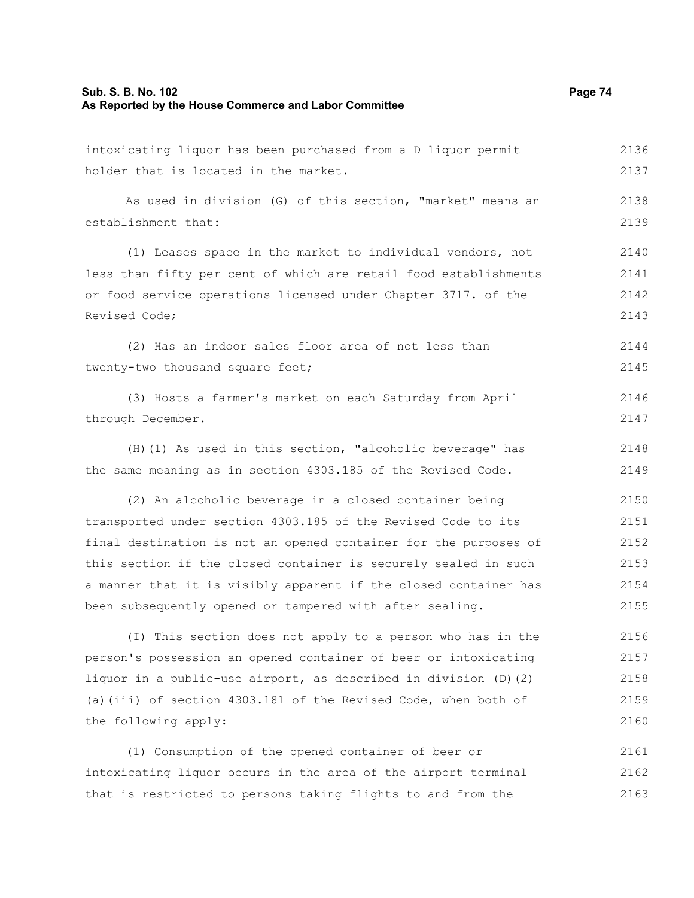# **Sub. S. B. No. 102 Page 74 As Reported by the House Commerce and Labor Committee**

| intoxicating liquor has been purchased from a D liquor permit    | 2136 |
|------------------------------------------------------------------|------|
| holder that is located in the market.                            | 2137 |
| As used in division (G) of this section, "market" means an       | 2138 |
| establishment that:                                              | 2139 |
| (1) Leases space in the market to individual vendors, not        | 2140 |
| less than fifty per cent of which are retail food establishments | 2141 |
| or food service operations licensed under Chapter 3717. of the   | 2142 |
| Revised Code;                                                    | 2143 |
| (2) Has an indoor sales floor area of not less than              | 2144 |
| twenty-two thousand square feet;                                 | 2145 |
| (3) Hosts a farmer's market on each Saturday from April          | 2146 |
| through December.                                                | 2147 |
| (H) (1) As used in this section, "alcoholic beverage" has        | 2148 |
| the same meaning as in section 4303.185 of the Revised Code.     | 2149 |
| (2) An alcoholic beverage in a closed container being            | 2150 |
| transported under section 4303.185 of the Revised Code to its    | 2151 |
| final destination is not an opened container for the purposes of | 2152 |
| this section if the closed container is securely sealed in such  | 2153 |
| a manner that it is visibly apparent if the closed container has | 2154 |
| been subsequently opened or tampered with after sealing.         | 2155 |
| (I) This section does not apply to a person who has in the       | 2156 |
| person's possession an opened container of beer or intoxicating  | 2157 |
| liquor in a public-use airport, as described in division (D) (2) | 2158 |
| (a) (iii) of section 4303.181 of the Revised Code, when both of  | 2159 |
| the following apply:                                             | 2160 |
| (1) Consumption of the opened container of beer or               | 2161 |
| intoxicating liquor occurs in the area of the airport terminal   | 2162 |
| that is restricted to persons taking flights to and from the     | 2163 |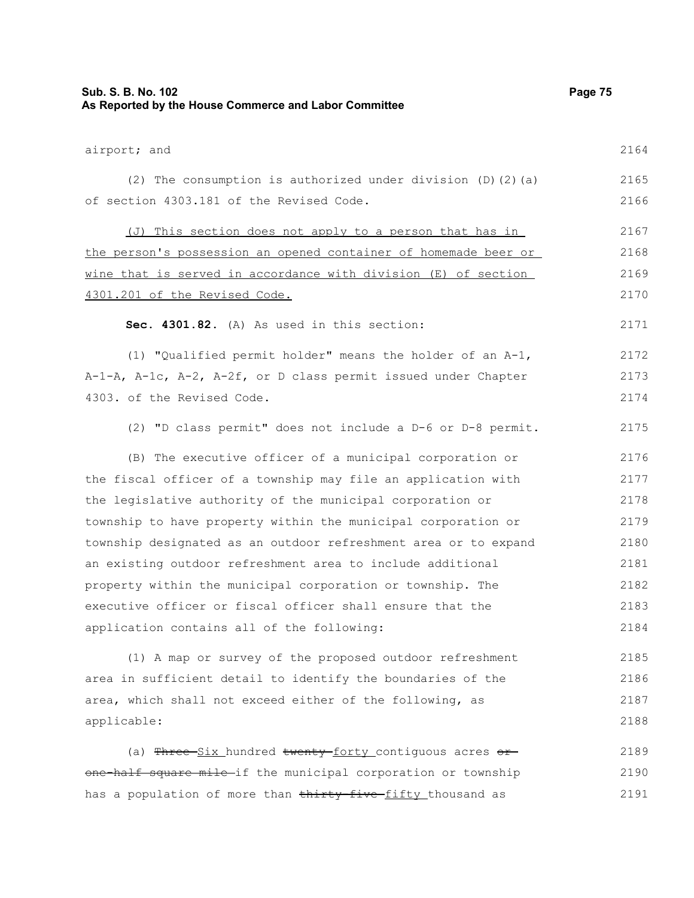| Sub. S. B. No. 102<br>As Reported by the House Commerce and Labor Committee | Page 75 |
|-----------------------------------------------------------------------------|---------|
| airport; and                                                                | 2164    |
| (2) The consumption is authorized under division $(D)$ (2) (a)              | 2165    |
| of section 4303.181 of the Revised Code.                                    | 2166    |
| (J) This section does not apply to a person that has in                     | 2167    |
| the person's possession an opened container of homemade beer or             | 2168    |
| wine that is served in accordance with division (E) of section              | 2169    |
| 4301.201 of the Revised Code.                                               | 2170    |
| Sec. 4301.82. (A) As used in this section:                                  | 2171    |
| (1) "Qualified permit holder" means the holder of an A-1,                   | 2172    |
| A-1-A, A-1c, A-2, A-2f, or D class permit issued under Chapter              | 2173    |
| 4303. of the Revised Code.                                                  | 2174    |
| (2) "D class permit" does not include a D-6 or D-8 permit.                  | 2175    |
| (B) The executive officer of a municipal corporation or                     | 2176    |
| the fiscal officer of a township may file an application with               | 2177    |
| the legislative authority of the municipal corporation or                   | 2178    |
| township to have property within the municipal corporation or               | 2179    |
| township designated as an outdoor refreshment area or to expand             | 2180    |
| an existing outdoor refreshment area to include additional                  | 2181    |
| property within the municipal corporation or township. The                  | 2182    |
| executive officer or fiscal officer shall ensure that the                   | 2183    |
| application contains all of the following:                                  | 2184    |
| (1) A map or survey of the proposed outdoor refreshment                     | 2185    |
| area in sufficient detail to identify the boundaries of the                 | 2186    |
| area, which shall not exceed either of the following, as                    | 2187    |
| applicable:                                                                 | 2188    |
| (a) Three-Six_hundred twenty-forty_contiguous acres or-                     | 2189    |
| one half square mile-if the municipal corporation or township               | 2190    |
| has a population of more than thirty-five-fifty thousand as                 | 2191    |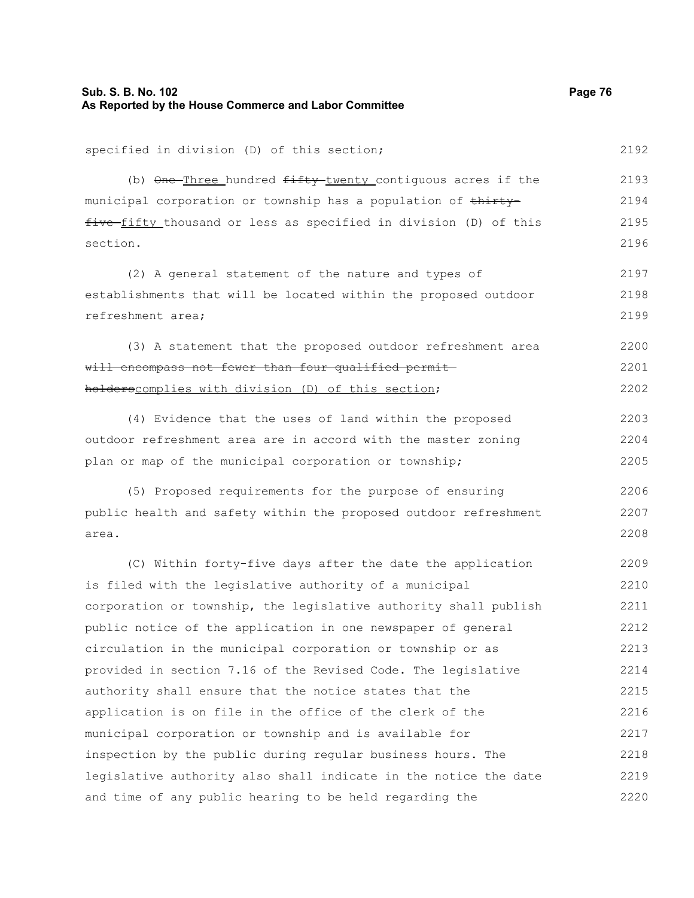## **Sub. S. B. No. 102 Page 76 As Reported by the House Commerce and Labor Committee**

specified in division (D) of this section; (b) One-Three hundred fifty-twenty contiguous acres if the municipal corporation or township has a population of thirtyfive fifty thousand or less as specified in division (D) of this section. (2) A general statement of the nature and types of establishments that will be located within the proposed outdoor refreshment area; (3) A statement that the proposed outdoor refreshment area will encompass not fewer than four qualified permitholderscomplies with division (D) of this section; (4) Evidence that the uses of land within the proposed outdoor refreshment area are in accord with the master zoning plan or map of the municipal corporation or township; (5) Proposed requirements for the purpose of ensuring public health and safety within the proposed outdoor refreshment area. (C) Within forty-five days after the date the application is filed with the legislative authority of a municipal corporation or township, the legislative authority shall publish public notice of the application in one newspaper of general circulation in the municipal corporation or township or as provided in section 7.16 of the Revised Code. The legislative authority shall ensure that the notice states that the application is on file in the office of the clerk of the municipal corporation or township and is available for inspection by the public during regular business hours. The legislative authority also shall indicate in the notice the date and time of any public hearing to be held regarding the 2192 2193 2194 2195 2196 2197 2198 2199 2200 2201 2202 2203 2204 2205 2206 2207 2208 2209 2210 2211 2212 2213 2214 2215 2216 2217 2218 2219 2220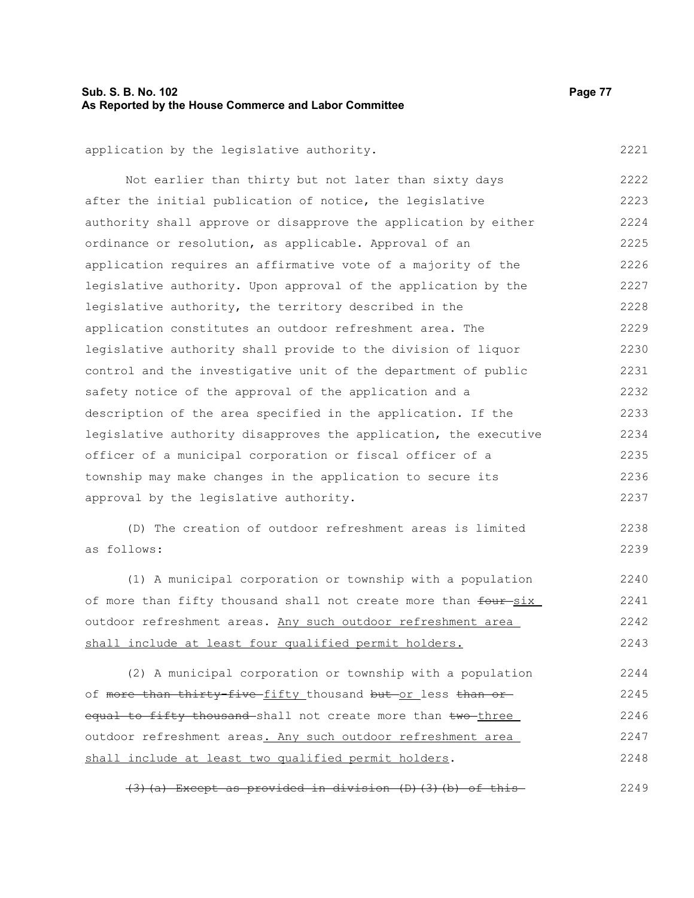# **Sub. S. B. No. 102 Page 77 As Reported by the House Commerce and Labor Committee**

2221

application by the legislative authority.

Not earlier than thirty but not later than sixty days after the initial publication of notice, the legislative authority shall approve or disapprove the application by either ordinance or resolution, as applicable. Approval of an application requires an affirmative vote of a majority of the legislative authority. Upon approval of the application by the legislative authority, the territory described in the application constitutes an outdoor refreshment area. The legislative authority shall provide to the division of liquor control and the investigative unit of the department of public safety notice of the approval of the application and a description of the area specified in the application. If the legislative authority disapproves the application, the executive officer of a municipal corporation or fiscal officer of a township may make changes in the application to secure its approval by the legislative authority. 2222 2223 2224 2225 2226 2227 2228 2229 2230 2231 2232 2233 2234 2235 2236 2237

(D) The creation of outdoor refreshment areas is limited as follows: 2238 2239

(1) A municipal corporation or township with a population of more than fifty thousand shall not create more than four-six outdoor refreshment areas. Any such outdoor refreshment area shall include at least four qualified permit holders. 2240 2241 2242 2243

(2) A municipal corporation or township with a population of more than thirty-five-fifty thousand but-or less than orequal to fifty thousand shall not create more than two three outdoor refreshment areas. Any such outdoor refreshment area shall include at least two qualified permit holders. 2244 2245 2246 2247 2248

(3)(a) Except as provided in division (D)(3)(b) of this 2249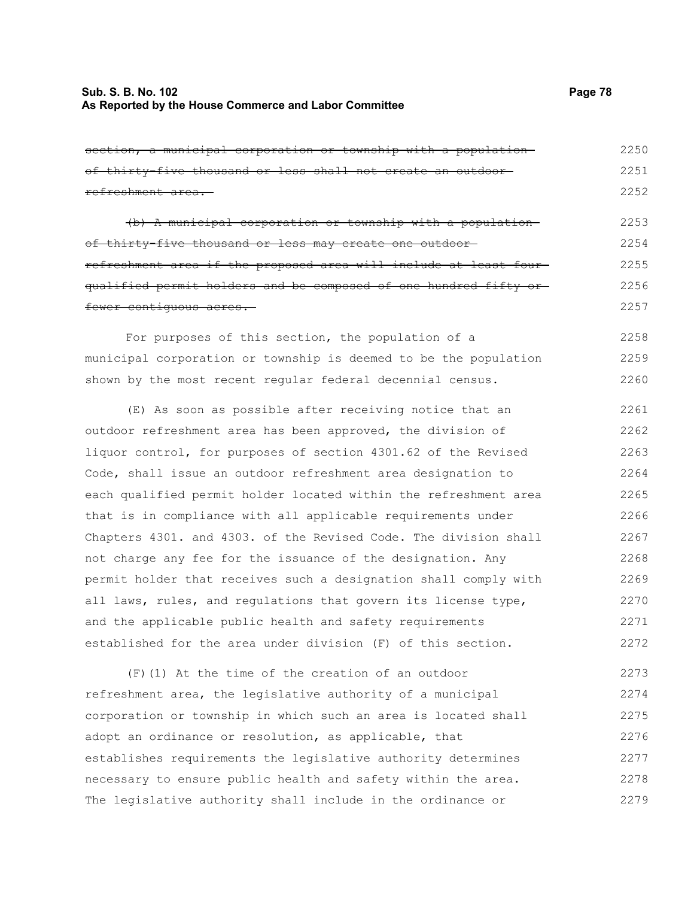# **Sub. S. B. No. 102 Page 78 As Reported by the House Commerce and Labor Committee**

| section, a municipal corporation or township with a population-   | 2250 |
|-------------------------------------------------------------------|------|
| of thirty-five thousand or less shall not create an outdoor-      | 2251 |
| refreshment area.                                                 | 2252 |
| (b) A municipal corporation or township with a population-        | 2253 |
|                                                                   |      |
| of thirty-five thousand or less may create one outdoor-           | 2254 |
| refreshment area if the proposed area will include at least four- | 2255 |
| qualified permit holders and be composed of one hundred fifty or  | 2256 |
| fewer contiguous acres.                                           | 2257 |
| For purposes of this section, the population of a                 | 2258 |
| municipal corporation or township is deemed to be the population  | 2259 |
| shown by the most recent reqular federal decennial census.        | 2260 |
| (E) As soon as possible after receiving notice that an            | 2261 |
| outdoor refreshment area has been approved, the division of       | 2262 |
|                                                                   |      |
| liquor control, for purposes of section 4301.62 of the Revised    | 2263 |
| Code, shall issue an outdoor refreshment area designation to      | 2264 |
| each qualified permit holder located within the refreshment area  | 2265 |
| that is in compliance with all applicable requirements under      | 2266 |
| Chapters 4301. and 4303. of the Revised Code. The division shall  | 2267 |
| not charge any fee for the issuance of the designation. Any       | 2268 |
| permit holder that receives such a designation shall comply with  | 2269 |
| all laws, rules, and regulations that govern its license type,    | 2270 |
| and the applicable public health and safety requirements          | 2271 |
| established for the area under division (F) of this section.      | 2272 |
| $(F)$ (1) At the time of the creation of an outdoor               | 2273 |
| refreshment area, the legislative authority of a municipal        | 2274 |
|                                                                   |      |

corporation or township in which such an area is located shall adopt an ordinance or resolution, as applicable, that establishes requirements the legislative authority determines necessary to ensure public health and safety within the area. The legislative authority shall include in the ordinance or 2275 2276 2277 2278 2279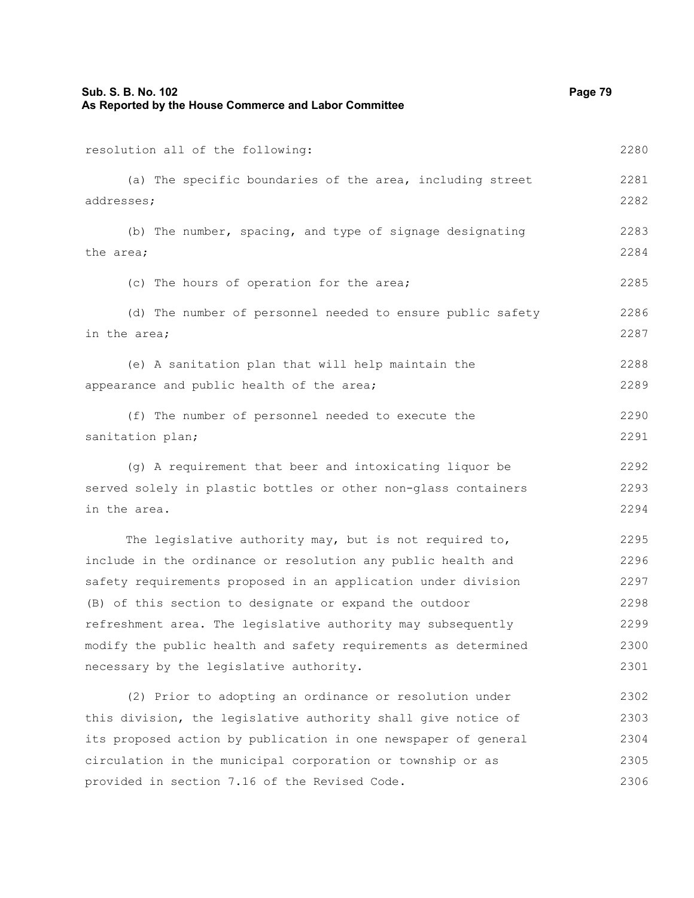| Sub. S. B. No. 102<br>As Reported by the House Commerce and Labor Committee | Page 79 |
|-----------------------------------------------------------------------------|---------|
| resolution all of the following:                                            | 2280    |
| (a) The specific boundaries of the area, including street                   | 2281    |
| addresses;                                                                  | 2282    |
| (b) The number, spacing, and type of signage designating                    | 2283    |
| the area;                                                                   | 2284    |
| (c) The hours of operation for the area;                                    | 2285    |
| (d) The number of personnel needed to ensure public safety                  | 2286    |
| in the area;                                                                | 2287    |
| (e) A sanitation plan that will help maintain the                           | 2288    |
| appearance and public health of the area;                                   | 2289    |
| (f) The number of personnel needed to execute the                           | 2290    |
| sanitation plan;                                                            | 2291    |
| (g) A requirement that beer and intoxicating liquor be                      | 2292    |
| served solely in plastic bottles or other non-glass containers              | 2293    |
| in the area.                                                                | 2294    |
| The legislative authority may, but is not required to,                      | 2295    |
| include in the ordinance or resolution any public health and                | 2296    |
| safety requirements proposed in an application under division               | 2297    |
| (B) of this section to designate or expand the outdoor                      | 2298    |
| refreshment area. The legislative authority may subsequently                | 2299    |
| modify the public health and safety requirements as determined              | 2300    |
| necessary by the legislative authority.                                     | 2301    |
| (2) Prior to adopting an ordinance or resolution under                      | 2302    |
| this division, the legislative authority shall give notice of               | 2303    |
| its proposed action by publication in one newspaper of general              | 2304    |
| circulation in the municipal corporation or township or as                  | 2305    |
| provided in section 7.16 of the Revised Code.                               | 2306    |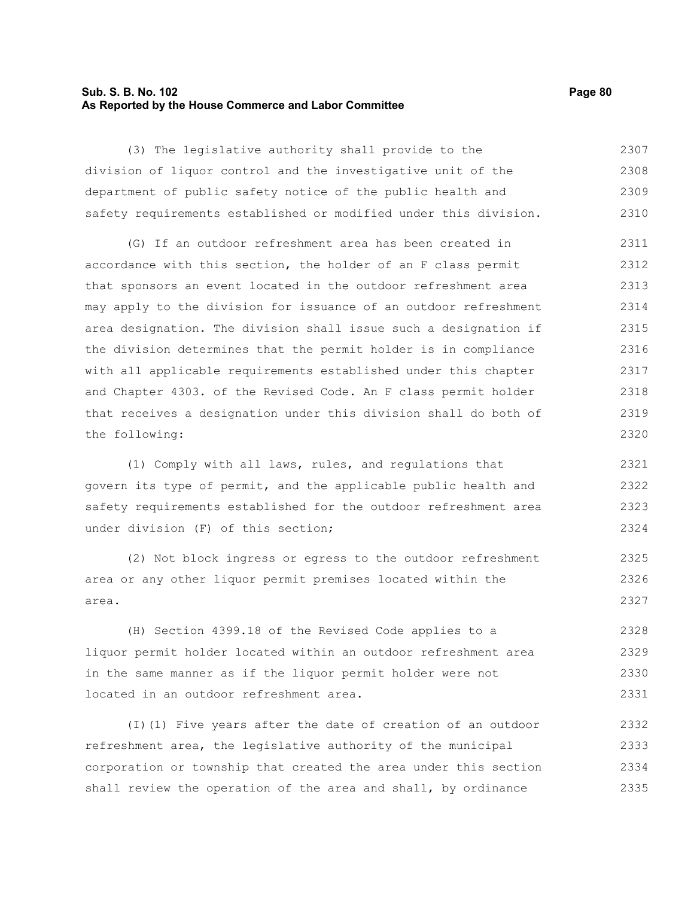## **Sub. S. B. No. 102 Page 80 As Reported by the House Commerce and Labor Committee**

(3) The legislative authority shall provide to the division of liquor control and the investigative unit of the department of public safety notice of the public health and safety requirements established or modified under this division. 2307 2308 2309 2310

(G) If an outdoor refreshment area has been created in accordance with this section, the holder of an F class permit that sponsors an event located in the outdoor refreshment area may apply to the division for issuance of an outdoor refreshment area designation. The division shall issue such a designation if the division determines that the permit holder is in compliance with all applicable requirements established under this chapter and Chapter 4303. of the Revised Code. An F class permit holder that receives a designation under this division shall do both of the following: 2311 2312 2313 2314 2315 2316 2317 2318 2319 2320

(1) Comply with all laws, rules, and regulations that govern its type of permit, and the applicable public health and safety requirements established for the outdoor refreshment area under division (F) of this section; 2321 2322 2324

(2) Not block ingress or egress to the outdoor refreshment area or any other liquor permit premises located within the area.

(H) Section 4399.18 of the Revised Code applies to a liquor permit holder located within an outdoor refreshment area in the same manner as if the liquor permit holder were not located in an outdoor refreshment area. 2328 2329 2330 2331

(I)(1) Five years after the date of creation of an outdoor refreshment area, the legislative authority of the municipal corporation or township that created the area under this section shall review the operation of the area and shall, by ordinance 2332 2333 2334 2335

2323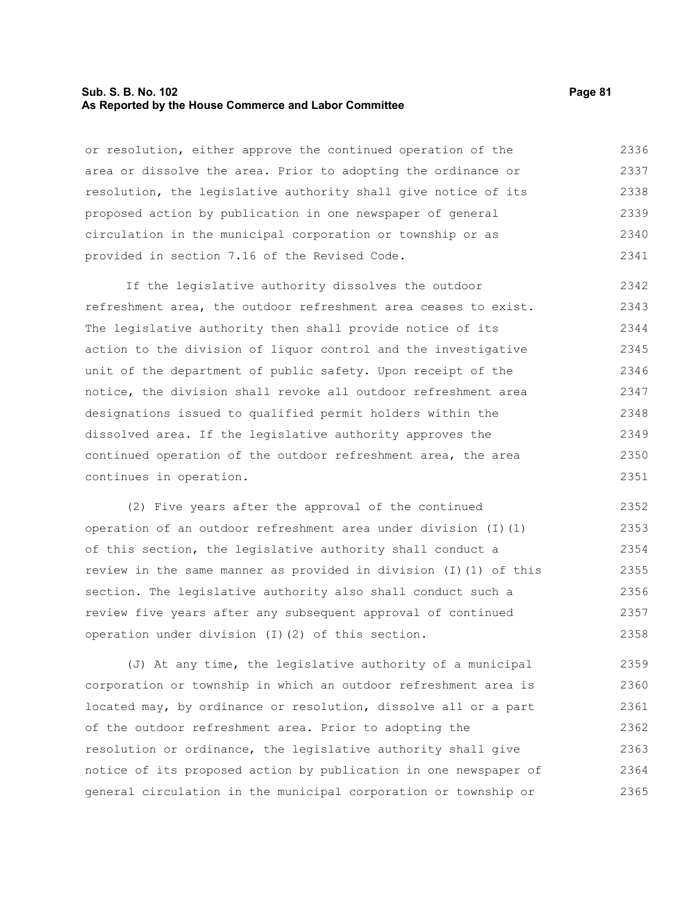#### **Sub. S. B. No. 102 Page 81 As Reported by the House Commerce and Labor Committee**

or resolution, either approve the continued operation of the area or dissolve the area. Prior to adopting the ordinance or resolution, the legislative authority shall give notice of its proposed action by publication in one newspaper of general circulation in the municipal corporation or township or as provided in section 7.16 of the Revised Code. 2336 2337 2338 2339 2340 2341

If the legislative authority dissolves the outdoor refreshment area, the outdoor refreshment area ceases to exist. The legislative authority then shall provide notice of its action to the division of liquor control and the investigative unit of the department of public safety. Upon receipt of the notice, the division shall revoke all outdoor refreshment area designations issued to qualified permit holders within the dissolved area. If the legislative authority approves the continued operation of the outdoor refreshment area, the area continues in operation. 2342 2343 2344 2345 2346 2347 2348 2349 2350 2351

(2) Five years after the approval of the continued operation of an outdoor refreshment area under division (I)(1) of this section, the legislative authority shall conduct a review in the same manner as provided in division (I)(1) of this section. The legislative authority also shall conduct such a review five years after any subsequent approval of continued operation under division (I)(2) of this section. 2352 2353 2354 2355 2356 2357 2358

(J) At any time, the legislative authority of a municipal corporation or township in which an outdoor refreshment area is located may, by ordinance or resolution, dissolve all or a part of the outdoor refreshment area. Prior to adopting the resolution or ordinance, the legislative authority shall give notice of its proposed action by publication in one newspaper of general circulation in the municipal corporation or township or 2359 2360 2361 2362 2363 2364 2365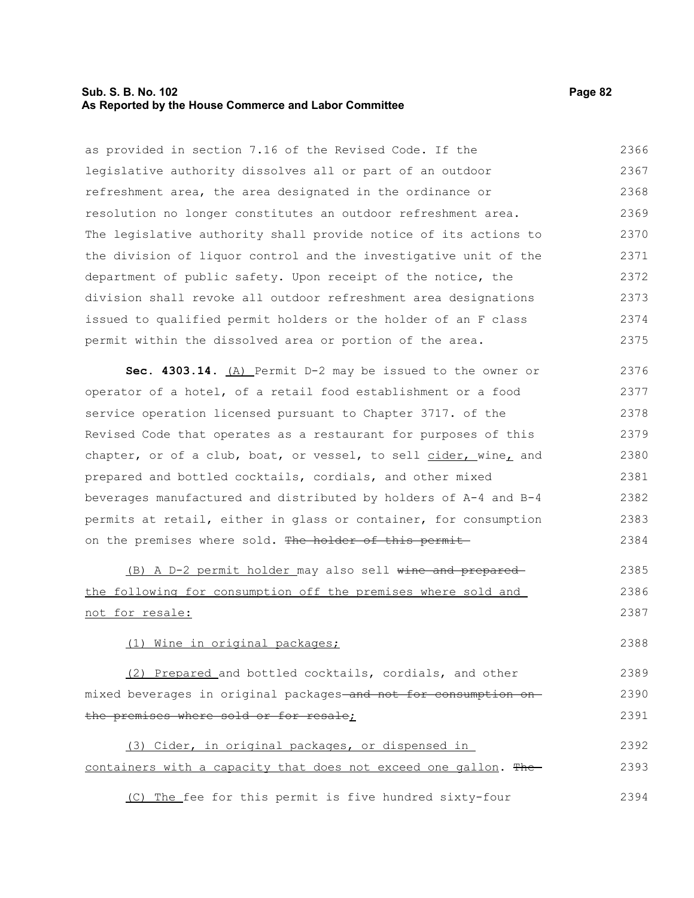## **Sub. S. B. No. 102 Page 82 As Reported by the House Commerce and Labor Committee**

as provided in section 7.16 of the Revised Code. If the legislative authority dissolves all or part of an outdoor refreshment area, the area designated in the ordinance or resolution no longer constitutes an outdoor refreshment area. The legislative authority shall provide notice of its actions to the division of liquor control and the investigative unit of the department of public safety. Upon receipt of the notice, the division shall revoke all outdoor refreshment area designations issued to qualified permit holders or the holder of an F class permit within the dissolved area or portion of the area. 2366 2367 2368 2369 2370 2371 2372 2373 2374 2375

**Sec. 4303.14.** (A) Permit D-2 may be issued to the owner or operator of a hotel, of a retail food establishment or a food service operation licensed pursuant to Chapter 3717. of the Revised Code that operates as a restaurant for purposes of this chapter, or of a club, boat, or vessel, to sell cider, wine, and prepared and bottled cocktails, cordials, and other mixed beverages manufactured and distributed by holders of A-4 and B-4 permits at retail, either in glass or container, for consumption on the premises where sold. The holder of this permit-2376 2377 2378 2379 2380 2381 2382 2383 2384

(B) A D-2 permit holder may also sell wine and prepared the following for consumption off the premises where sold and not for resale: 2385 2386 2387

(1) Wine in original packages;

2388

(2) Prepared and bottled cocktails, cordials, and other mixed beverages in original packages and not for consumption on the premises where sold or for resale; 2389 2390 2391

(3) Cider, in original packages, or dispensed in containers with a capacity that does not exceed one gallon. The 2392 2393

(C) The fee for this permit is five hundred sixty-four 2394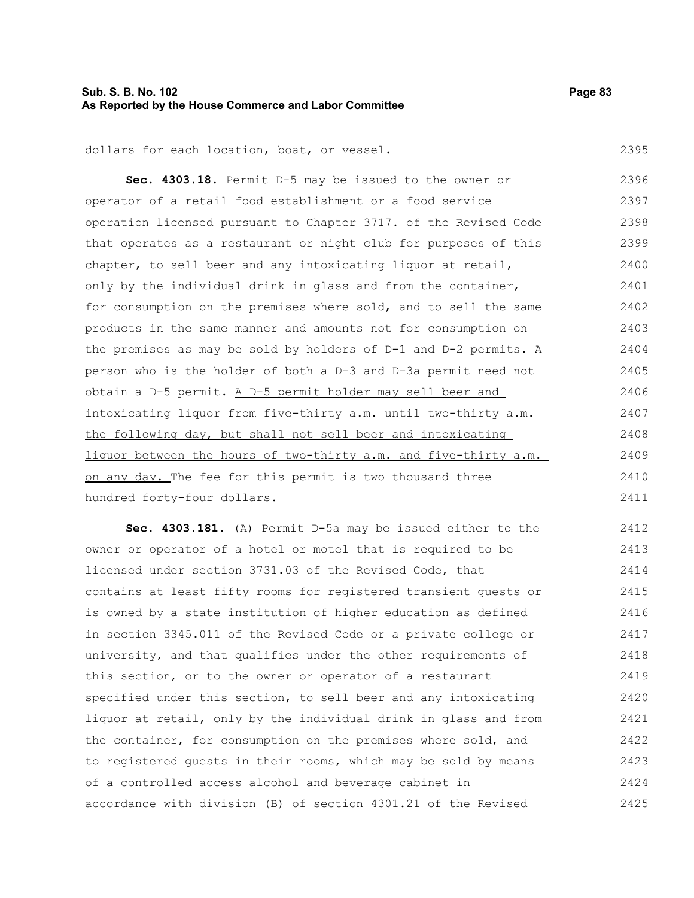# **Sub. S. B. No. 102 Page 83 As Reported by the House Commerce and Labor Committee**

2395

dollars for each location, boat, or vessel.

**Sec. 4303.18.** Permit D-5 may be issued to the owner or operator of a retail food establishment or a food service operation licensed pursuant to Chapter 3717. of the Revised Code that operates as a restaurant or night club for purposes of this chapter, to sell beer and any intoxicating liquor at retail, only by the individual drink in glass and from the container, for consumption on the premises where sold, and to sell the same products in the same manner and amounts not for consumption on the premises as may be sold by holders of D-1 and D-2 permits. A person who is the holder of both a D-3 and D-3a permit need not obtain a D-5 permit. A D-5 permit holder may sell beer and intoxicating liquor from five-thirty a.m. until two-thirty a.m. the following day, but shall not sell beer and intoxicating liquor between the hours of two-thirty a.m. and five-thirty a.m. on any day. The fee for this permit is two thousand three hundred forty-four dollars. 2396 2397 2398 2399 2400 2401 2402 2403 2404 2405 2406 2407 2408 2409 2410 2411

**Sec. 4303.181.** (A) Permit D-5a may be issued either to the owner or operator of a hotel or motel that is required to be licensed under section 3731.03 of the Revised Code, that contains at least fifty rooms for registered transient guests or is owned by a state institution of higher education as defined in section 3345.011 of the Revised Code or a private college or university, and that qualifies under the other requirements of this section, or to the owner or operator of a restaurant specified under this section, to sell beer and any intoxicating liquor at retail, only by the individual drink in glass and from the container, for consumption on the premises where sold, and to registered guests in their rooms, which may be sold by means of a controlled access alcohol and beverage cabinet in accordance with division (B) of section 4301.21 of the Revised 2412 2413 2414 2415 2416 2417 2418 2419 2420 2421 2422 2423 2424 2425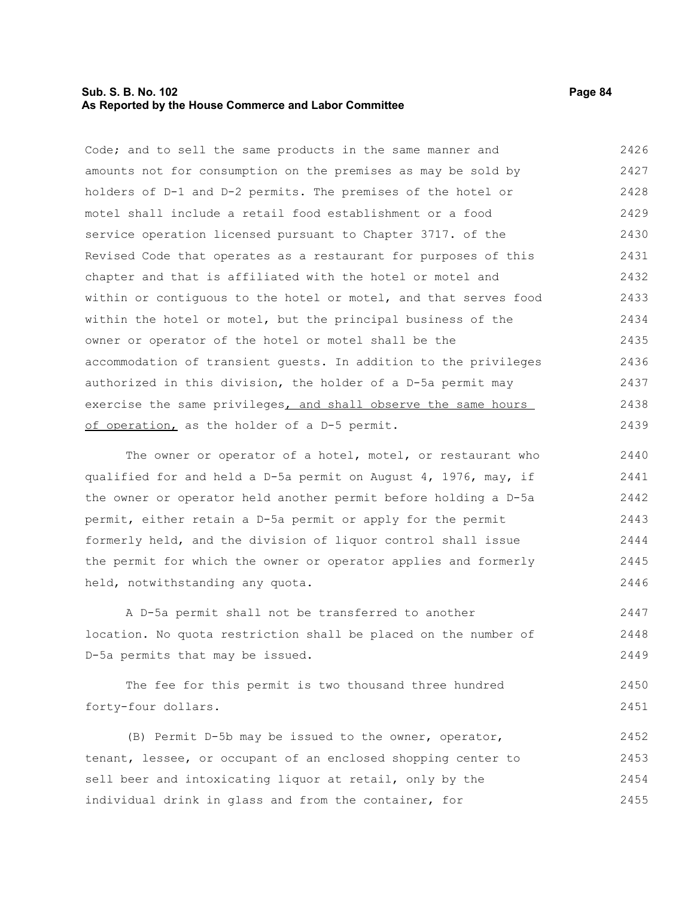## **Sub. S. B. No. 102 Page 84 As Reported by the House Commerce and Labor Committee**

Code; and to sell the same products in the same manner and amounts not for consumption on the premises as may be sold by holders of D-1 and D-2 permits. The premises of the hotel or motel shall include a retail food establishment or a food service operation licensed pursuant to Chapter 3717. of the Revised Code that operates as a restaurant for purposes of this chapter and that is affiliated with the hotel or motel and within or contiguous to the hotel or motel, and that serves food within the hotel or motel, but the principal business of the owner or operator of the hotel or motel shall be the accommodation of transient guests. In addition to the privileges authorized in this division, the holder of a D-5a permit may exercise the same privileges, and shall observe the same hours of operation, as the holder of a D-5 permit. 2426 2427 2428 2429 2430 2431 2432 2433 2434 2435 2436 2437 2438 2439

The owner or operator of a hotel, motel, or restaurant who qualified for and held a D-5a permit on August 4, 1976, may, if the owner or operator held another permit before holding a D-5a permit, either retain a D-5a permit or apply for the permit formerly held, and the division of liquor control shall issue the permit for which the owner or operator applies and formerly held, notwithstanding any quota. 2440 2441 2442 2443 2444 2445 2446

A D-5a permit shall not be transferred to another location. No quota restriction shall be placed on the number of D-5a permits that may be issued. 2447 2448 2449

The fee for this permit is two thousand three hundred forty-four dollars. 2450 2451

(B) Permit D-5b may be issued to the owner, operator, tenant, lessee, or occupant of an enclosed shopping center to sell beer and intoxicating liquor at retail, only by the individual drink in glass and from the container, for 2452 2453 2454 2455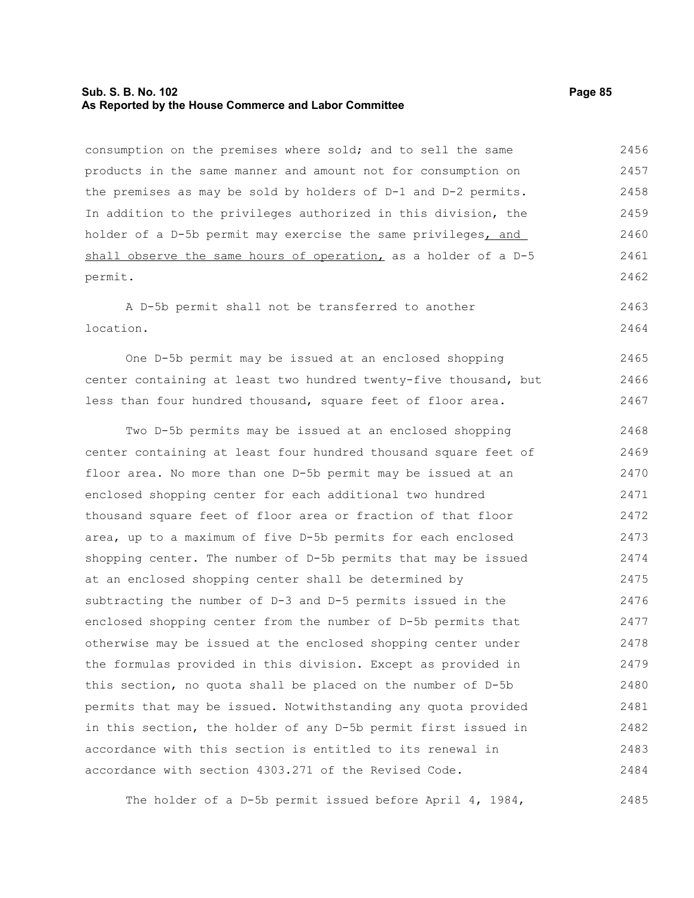## **Sub. S. B. No. 102 Page 85 As Reported by the House Commerce and Labor Committee**

consumption on the premises where sold; and to sell the same products in the same manner and amount not for consumption on the premises as may be sold by holders of D-1 and D-2 permits. In addition to the privileges authorized in this division, the holder of a D-5b permit may exercise the same privileges, and shall observe the same hours of operation, as a holder of a D-5 permit. 2456 2457 2458 2459 2460 2461 2462

A D-5b permit shall not be transferred to another location. 2463 2464

One D-5b permit may be issued at an enclosed shopping center containing at least two hundred twenty-five thousand, but less than four hundred thousand, square feet of floor area. 2465 2466 2467

Two D-5b permits may be issued at an enclosed shopping center containing at least four hundred thousand square feet of floor area. No more than one D-5b permit may be issued at an enclosed shopping center for each additional two hundred thousand square feet of floor area or fraction of that floor area, up to a maximum of five D-5b permits for each enclosed shopping center. The number of D-5b permits that may be issued at an enclosed shopping center shall be determined by subtracting the number of D-3 and D-5 permits issued in the enclosed shopping center from the number of D-5b permits that otherwise may be issued at the enclosed shopping center under the formulas provided in this division. Except as provided in this section, no quota shall be placed on the number of D-5b permits that may be issued. Notwithstanding any quota provided in this section, the holder of any D-5b permit first issued in accordance with this section is entitled to its renewal in accordance with section 4303.271 of the Revised Code. 2468 2469 2470 2471 2472 2473 2474 2475 2476 2477 2478 2479 2480 2481 2482 2483 2484

The holder of a D-5b permit issued before April 4, 1984, 2485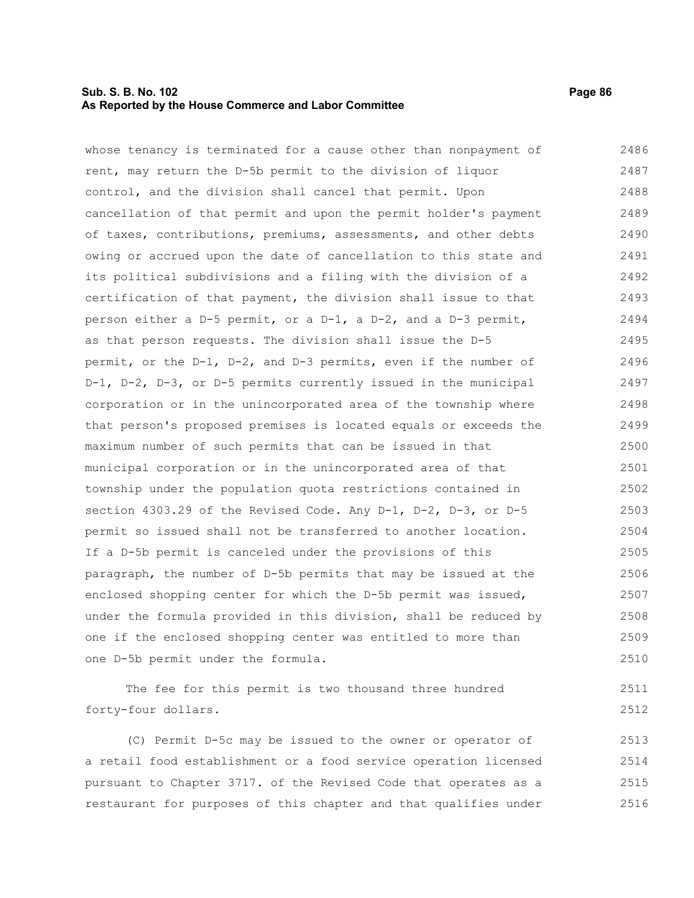## **Sub. S. B. No. 102 Page 86 As Reported by the House Commerce and Labor Committee**

whose tenancy is terminated for a cause other than nonpayment of rent, may return the D-5b permit to the division of liquor control, and the division shall cancel that permit. Upon cancellation of that permit and upon the permit holder's payment of taxes, contributions, premiums, assessments, and other debts owing or accrued upon the date of cancellation to this state and its political subdivisions and a filing with the division of a certification of that payment, the division shall issue to that person either a D-5 permit, or a D-1, a D-2, and a D-3 permit, as that person requests. The division shall issue the D-5 permit, or the D-1, D-2, and D-3 permits, even if the number of D-1, D-2, D-3, or D-5 permits currently issued in the municipal corporation or in the unincorporated area of the township where that person's proposed premises is located equals or exceeds the maximum number of such permits that can be issued in that municipal corporation or in the unincorporated area of that township under the population quota restrictions contained in section 4303.29 of the Revised Code. Any D-1, D-2, D-3, or D-5 permit so issued shall not be transferred to another location. If a D-5b permit is canceled under the provisions of this paragraph, the number of D-5b permits that may be issued at the enclosed shopping center for which the D-5b permit was issued, under the formula provided in this division, shall be reduced by one if the enclosed shopping center was entitled to more than one D-5b permit under the formula. 2486 2487 2488 2489 2490 2491 2492 2493 2494 2495 2496 2497 2498 2499 2500 2501 2502 2503 2504 2505 2506 2507 2508 2509 2510

The fee for this permit is two thousand three hundred forty-four dollars. 2511 2512

(C) Permit D-5c may be issued to the owner or operator of a retail food establishment or a food service operation licensed pursuant to Chapter 3717. of the Revised Code that operates as a restaurant for purposes of this chapter and that qualifies under 2513 2514 2515 2516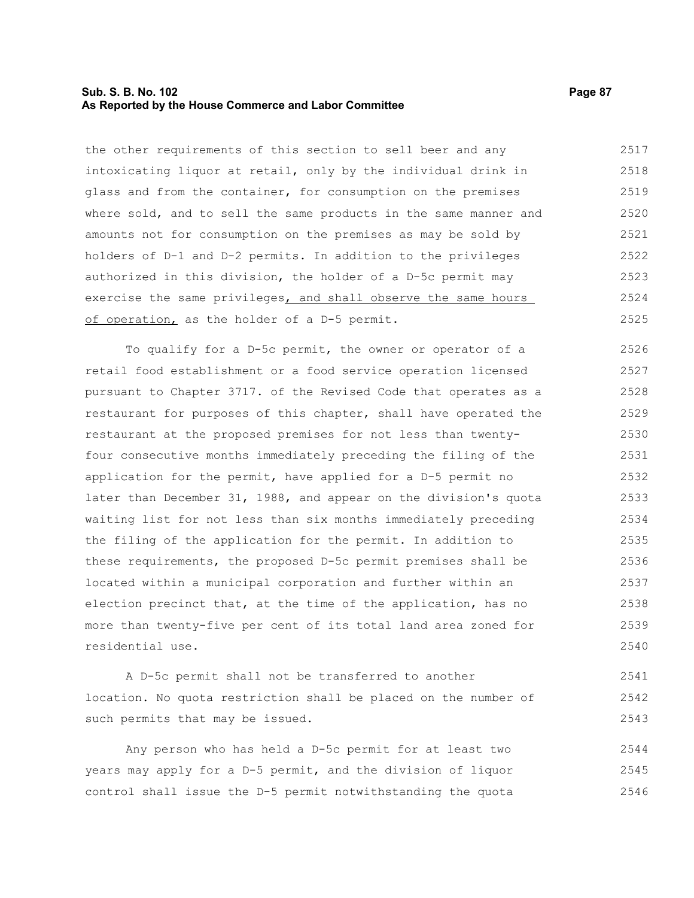### **Sub. S. B. No. 102 Page 87 As Reported by the House Commerce and Labor Committee**

the other requirements of this section to sell beer and any intoxicating liquor at retail, only by the individual drink in glass and from the container, for consumption on the premises where sold, and to sell the same products in the same manner and amounts not for consumption on the premises as may be sold by holders of D-1 and D-2 permits. In addition to the privileges authorized in this division, the holder of a D-5c permit may exercise the same privileges, and shall observe the same hours of operation, as the holder of a D-5 permit. 2517 2518 2519 2520 2521 2522 2523 2524 2525

To qualify for a D-5c permit, the owner or operator of a retail food establishment or a food service operation licensed pursuant to Chapter 3717. of the Revised Code that operates as a restaurant for purposes of this chapter, shall have operated the restaurant at the proposed premises for not less than twentyfour consecutive months immediately preceding the filing of the application for the permit, have applied for a D-5 permit no later than December 31, 1988, and appear on the division's quota waiting list for not less than six months immediately preceding the filing of the application for the permit. In addition to these requirements, the proposed D-5c permit premises shall be located within a municipal corporation and further within an election precinct that, at the time of the application, has no more than twenty-five per cent of its total land area zoned for residential use. 2526 2527 2528 2529 2530 2531 2532 2533 2534 2535 2536 2537 2538 2539 2540

A D-5c permit shall not be transferred to another location. No quota restriction shall be placed on the number of such permits that may be issued. 2541 2542 2543

Any person who has held a D-5c permit for at least two years may apply for a D-5 permit, and the division of liquor control shall issue the D-5 permit notwithstanding the quota 2544 2545 2546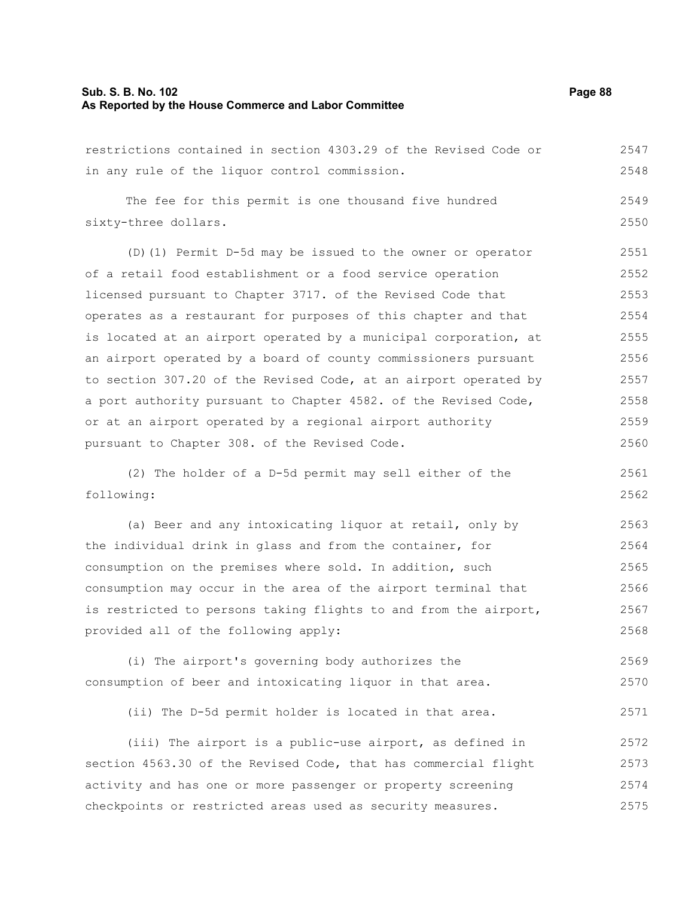# **Sub. S. B. No. 102 Page 88 As Reported by the House Commerce and Labor Committee**

| restrictions contained in section 4303.29 of the Revised Code or | 2547 |
|------------------------------------------------------------------|------|
| in any rule of the liquor control commission.                    | 2548 |
| The fee for this permit is one thousand five hundred             | 2549 |
| sixty-three dollars.                                             | 2550 |
| (D) (1) Permit D-5d may be issued to the owner or operator       | 2551 |
| of a retail food establishment or a food service operation       | 2552 |
| licensed pursuant to Chapter 3717. of the Revised Code that      | 2553 |
| operates as a restaurant for purposes of this chapter and that   | 2554 |
| is located at an airport operated by a municipal corporation, at | 2555 |
| an airport operated by a board of county commissioners pursuant  | 2556 |
| to section 307.20 of the Revised Code, at an airport operated by | 2557 |
| a port authority pursuant to Chapter 4582. of the Revised Code,  | 2558 |
| or at an airport operated by a regional airport authority        | 2559 |
| pursuant to Chapter 308. of the Revised Code.                    | 2560 |
| (2) The holder of a D-5d permit may sell either of the           | 2561 |
| following:                                                       | 2562 |
| (a) Beer and any intoxicating liquor at retail, only by          | 2563 |
| the individual drink in glass and from the container, for        | 2564 |
| consumption on the premises where sold. In addition, such        | 2565 |
| consumption may occur in the area of the airport terminal that   | 2566 |
| is restricted to persons taking flights to and from the airport, | 2567 |
| provided all of the following apply:                             | 2568 |
| (i) The airport's governing body authorizes the                  | 2569 |
| consumption of beer and intoxicating liquor in that area.        | 2570 |
| (ii) The D-5d permit holder is located in that area.             | 2571 |
| (iii) The airport is a public-use airport, as defined in         | 2572 |
| section 4563.30 of the Revised Code, that has commercial flight  | 2573 |
| activity and has one or more passenger or property screening     | 2574 |
| checkpoints or restricted areas used as security measures.       | 2575 |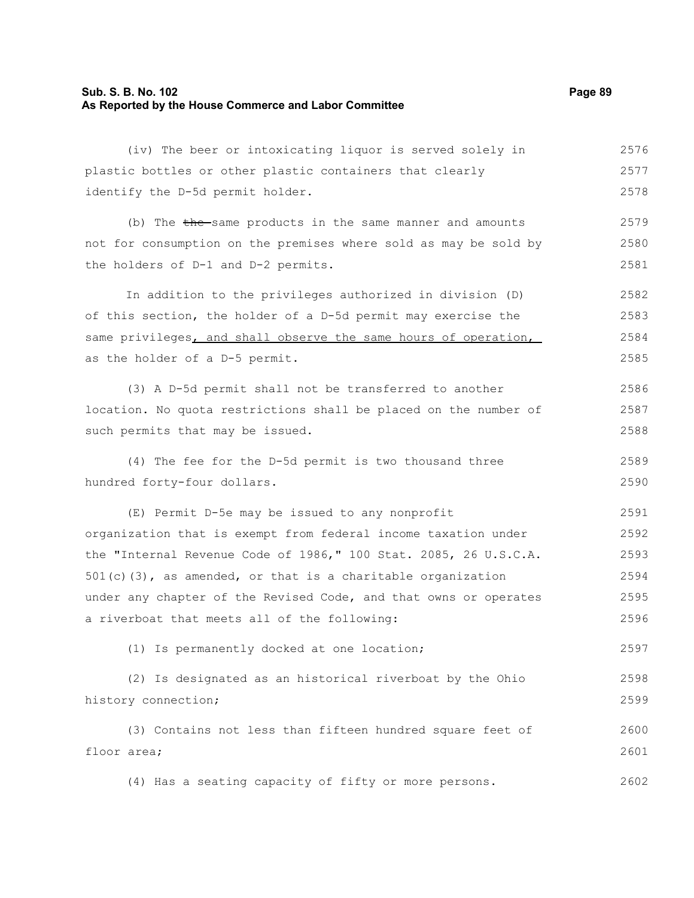# **Sub. S. B. No. 102 Page 89 As Reported by the House Commerce and Labor Committee**

| (iv) The beer or intoxicating liquor is served solely in         | 2576 |
|------------------------------------------------------------------|------|
| plastic bottles or other plastic containers that clearly         | 2577 |
| identify the D-5d permit holder.                                 | 2578 |
| (b) The the same products in the same manner and amounts         | 2579 |
| not for consumption on the premises where sold as may be sold by | 2580 |
| the holders of D-1 and D-2 permits.                              | 2581 |
| In addition to the privileges authorized in division (D)         | 2582 |
| of this section, the holder of a D-5d permit may exercise the    | 2583 |
| same privileges, and shall observe the same hours of operation,  | 2584 |
| as the holder of a D-5 permit.                                   | 2585 |
| (3) A D-5d permit shall not be transferred to another            | 2586 |
| location. No quota restrictions shall be placed on the number of | 2587 |
| such permits that may be issued.                                 | 2588 |
| (4) The fee for the D-5d permit is two thousand three            | 2589 |
| hundred forty-four dollars.                                      | 2590 |
| (E) Permit D-5e may be issued to any nonprofit                   | 2591 |
| organization that is exempt from federal income taxation under   | 2592 |
| the "Internal Revenue Code of 1986," 100 Stat. 2085, 26 U.S.C.A. | 2593 |
| $501(c)$ (3), as amended, or that is a charitable organization   | 2594 |
| under any chapter of the Revised Code, and that owns or operates | 2595 |
| a riverboat that meets all of the following:                     | 2596 |
| (1) Is permanently docked at one location;                       | 2597 |
| (2) Is designated as an historical riverboat by the Ohio         | 2598 |
| history connection;                                              | 2599 |
| (3) Contains not less than fifteen hundred square feet of        | 2600 |
| floor area;                                                      | 2601 |
| (4) Has a seating capacity of fifty or more persons.             | 2602 |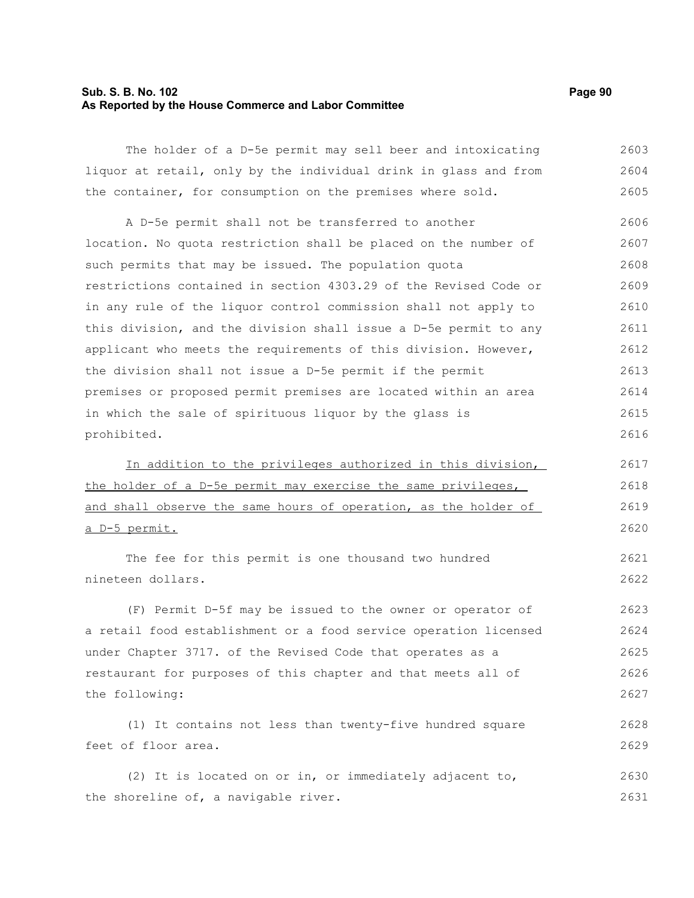# **Sub. S. B. No. 102 Page 90 As Reported by the House Commerce and Labor Committee**

| The holder of a D-5e permit may sell beer and intoxicating       | 2603 |
|------------------------------------------------------------------|------|
| liquor at retail, only by the individual drink in glass and from | 2604 |
| the container, for consumption on the premises where sold.       | 2605 |
| A D-5e permit shall not be transferred to another                | 2606 |
| location. No quota restriction shall be placed on the number of  | 2607 |
| such permits that may be issued. The population quota            | 2608 |
| restrictions contained in section 4303.29 of the Revised Code or | 2609 |
| in any rule of the liquor control commission shall not apply to  | 2610 |
| this division, and the division shall issue a D-5e permit to any | 2611 |
| applicant who meets the requirements of this division. However,  | 2612 |
| the division shall not issue a D-5e permit if the permit         | 2613 |
| premises or proposed permit premises are located within an area  | 2614 |
| in which the sale of spirituous liquor by the glass is           | 2615 |
| prohibited.                                                      | 2616 |
| In addition to the privileges authorized in this division,       | 2617 |
| the holder of a D-5e permit may exercise the same privileges,    | 2618 |
| and shall observe the same hours of operation, as the holder of  | 2619 |
|                                                                  |      |
| a D-5 permit.                                                    | 2620 |
| The fee for this permit is one thousand two hundred              | 2621 |
| nineteen dollars.                                                | 2622 |
| (F) Permit D-5f may be issued to the owner or operator of        | 2623 |
| a retail food establishment or a food service operation licensed | 2624 |
| under Chapter 3717. of the Revised Code that operates as a       | 2625 |
| restaurant for purposes of this chapter and that meets all of    | 2626 |
| the following:                                                   | 2627 |
| (1) It contains not less than twenty-five hundred square         | 2628 |
| feet of floor area.                                              | 2629 |
| (2) It is located on or in, or immediately adjacent to,          | 2630 |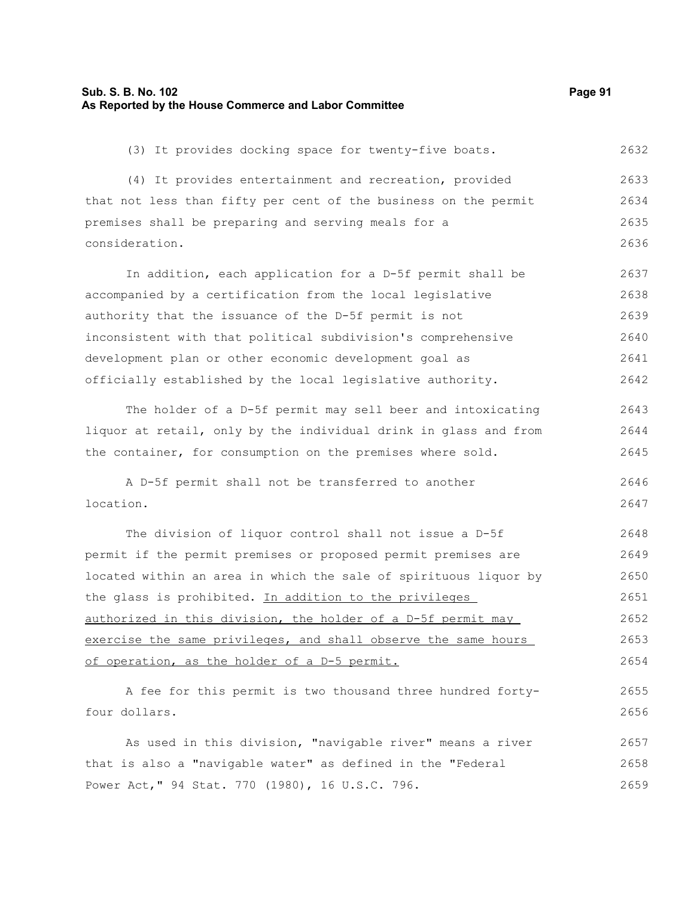### **Sub. S. B. No. 102 Page 91 As Reported by the House Commerce and Labor Committee**

(3) It provides docking space for twenty-five boats. 2632

(4) It provides entertainment and recreation, provided that not less than fifty per cent of the business on the permit premises shall be preparing and serving meals for a consideration. 2633 2634 2635 2636

In addition, each application for a D-5f permit shall be accompanied by a certification from the local legislative authority that the issuance of the D-5f permit is not inconsistent with that political subdivision's comprehensive development plan or other economic development goal as officially established by the local legislative authority. 2637 2638 2639 2640 2641 2642

The holder of a D-5f permit may sell beer and intoxicating liquor at retail, only by the individual drink in glass and from the container, for consumption on the premises where sold. 2643 2644 2645

A D-5f permit shall not be transferred to another location. 2646 2647

The division of liquor control shall not issue a D-5f permit if the permit premises or proposed permit premises are located within an area in which the sale of spirituous liquor by the glass is prohibited. In addition to the privileges authorized in this division, the holder of a D-5f permit may exercise the same privileges, and shall observe the same hours of operation, as the holder of a D-5 permit. 2648 2649 2650 2651 2652 2653 2654

A fee for this permit is two thousand three hundred fortyfour dollars. 2655 2656

As used in this division, "navigable river" means a river that is also a "navigable water" as defined in the "Federal Power Act," 94 Stat. 770 (1980), 16 U.S.C. 796. 2657 2658 2659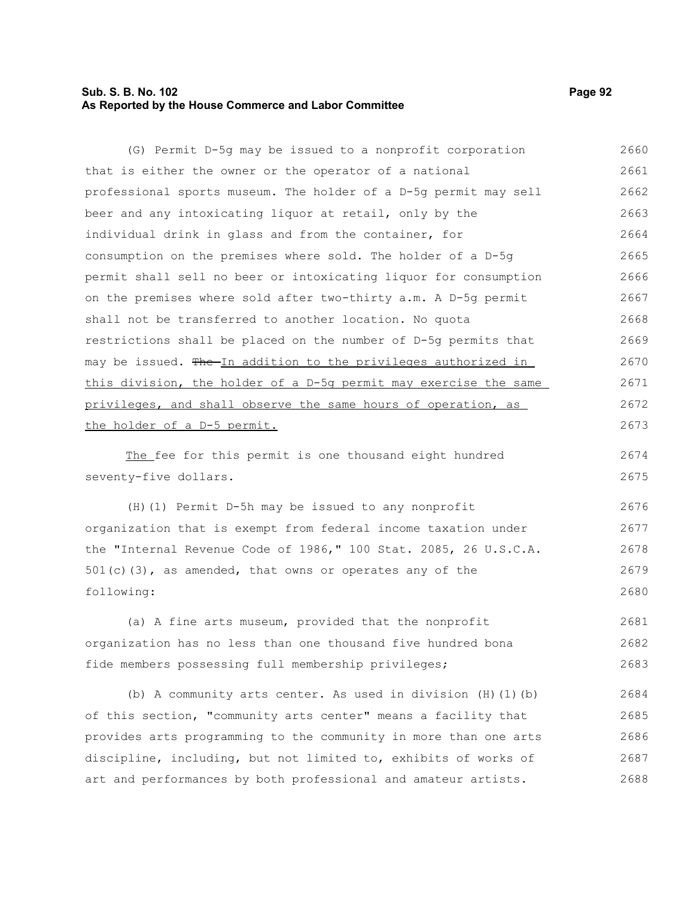# **Sub. S. B. No. 102 Page 92 As Reported by the House Commerce and Labor Committee**

(G) Permit D-5g may be issued to a nonprofit corporation that is either the owner or the operator of a national professional sports museum. The holder of a D-5g permit may sell beer and any intoxicating liquor at retail, only by the individual drink in glass and from the container, for consumption on the premises where sold. The holder of a D-5g permit shall sell no beer or intoxicating liquor for consumption on the premises where sold after two-thirty a.m. A D-5g permit shall not be transferred to another location. No quota restrictions shall be placed on the number of D-5g permits that may be issued. The In addition to the privileges authorized in this division, the holder of a D-5g permit may exercise the same privileges, and shall observe the same hours of operation, as the holder of a D-5 permit. 2660 2661 2662 2663 2664 2665 2666 2667 2668 2669 2670 2671 2672 2673

The fee for this permit is one thousand eight hundred seventy-five dollars. 2674 2675

(H)(1) Permit D-5h may be issued to any nonprofit organization that is exempt from federal income taxation under the "Internal Revenue Code of 1986," 100 Stat. 2085, 26 U.S.C.A.  $501(c)(3)$ , as amended, that owns or operates any of the following: 2676 2677 2678 2679 2680

(a) A fine arts museum, provided that the nonprofit organization has no less than one thousand five hundred bona fide members possessing full membership privileges; 2681 2682 2683

(b) A community arts center. As used in division  $(H)$  (1)(b) of this section, "community arts center" means a facility that provides arts programming to the community in more than one arts discipline, including, but not limited to, exhibits of works of art and performances by both professional and amateur artists. 2684 2685 2686 2687 2688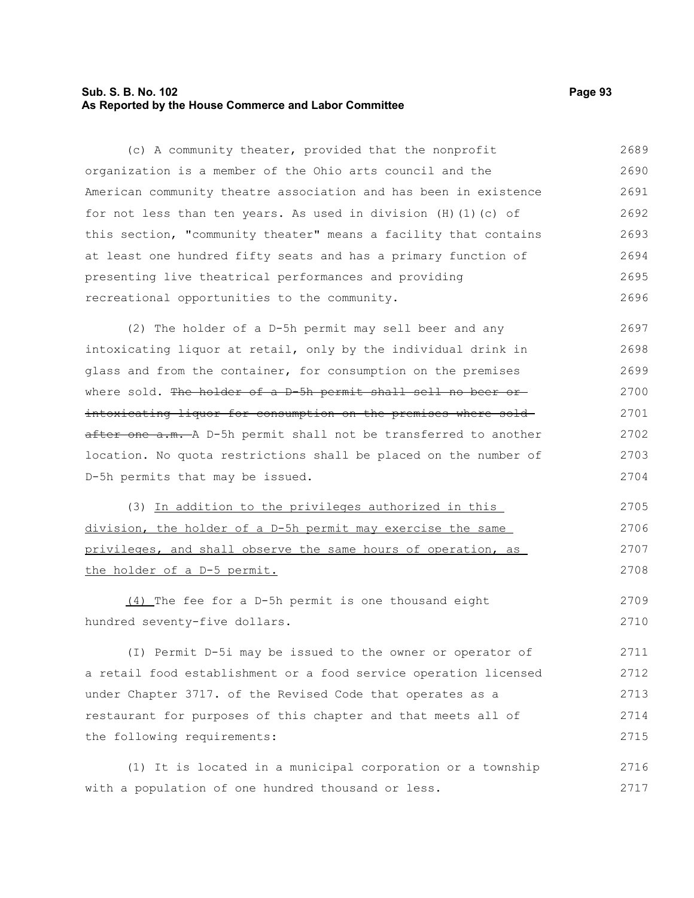## **Sub. S. B. No. 102 Page 93 As Reported by the House Commerce and Labor Committee**

(c) A community theater, provided that the nonprofit organization is a member of the Ohio arts council and the American community theatre association and has been in existence for not less than ten years. As used in division  $(H)$  (1)(c) of this section, "community theater" means a facility that contains at least one hundred fifty seats and has a primary function of presenting live theatrical performances and providing recreational opportunities to the community. 2689 2690 2691 2692 2693 2694 2695 2696

(2) The holder of a D-5h permit may sell beer and any intoxicating liquor at retail, only by the individual drink in glass and from the container, for consumption on the premises where sold. The holder of a D-5h permit shall sell no beer orintoxicating liquor for consumption on the premises where sold after one a.m. A D-5h permit shall not be transferred to another location. No quota restrictions shall be placed on the number of D-5h permits that may be issued. 2697 2698 2699 2700 2701 2702 2703 2704

(3) In addition to the privileges authorized in this division, the holder of a D-5h permit may exercise the same privileges, and shall observe the same hours of operation, as the holder of a D-5 permit. 2705 2706 2707 2708

(4) The fee for a D-5h permit is one thousand eight hundred seventy-five dollars. 2709 2710

(I) Permit D-5i may be issued to the owner or operator of a retail food establishment or a food service operation licensed under Chapter 3717. of the Revised Code that operates as a restaurant for purposes of this chapter and that meets all of the following requirements: 2711 2712 2713 2714 2715

(1) It is located in a municipal corporation or a township with a population of one hundred thousand or less. 2716 2717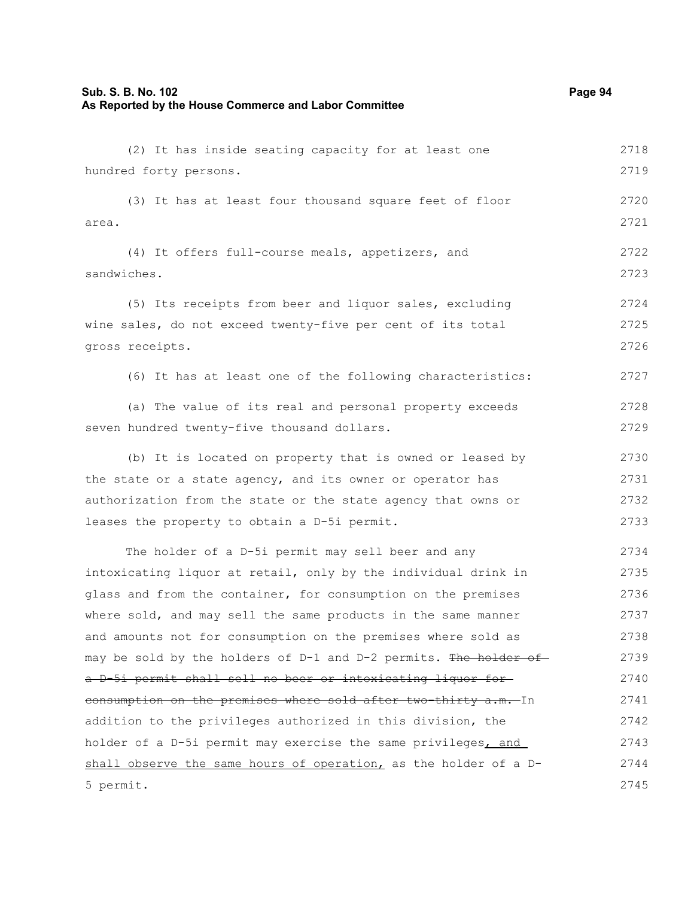## **Sub. S. B. No. 102 Page 94 As Reported by the House Commerce and Labor Committee**

(2) It has inside seating capacity for at least one hundred forty persons. (3) It has at least four thousand square feet of floor area. (4) It offers full-course meals, appetizers, and sandwiches. (5) Its receipts from beer and liquor sales, excluding wine sales, do not exceed twenty-five per cent of its total gross receipts. (6) It has at least one of the following characteristics: (a) The value of its real and personal property exceeds seven hundred twenty-five thousand dollars. (b) It is located on property that is owned or leased by the state or a state agency, and its owner or operator has authorization from the state or the state agency that owns or leases the property to obtain a D-5i permit. The holder of a D-5i permit may sell beer and any intoxicating liquor at retail, only by the individual drink in glass and from the container, for consumption on the premises where sold, and may sell the same products in the same manner and amounts not for consumption on the premises where sold as may be sold by the holders of D-1 and D-2 permits. The holder of a D-5i permit shall sell no beer or intoxicating liquor for consumption on the premises where sold after two-thirty a.m. In 2719 2720 2721 2722 2723 2724 2725 2726 2727 2728 2729 2730 2731 2732 2733 2734 2735 2736 2737 2738 2739 2740 2741

addition to the privileges authorized in this division, the holder of a D-5i permit may exercise the same privileges, and shall observe the same hours of operation, as the holder of a D-5 permit. 2742 2743 2744 2745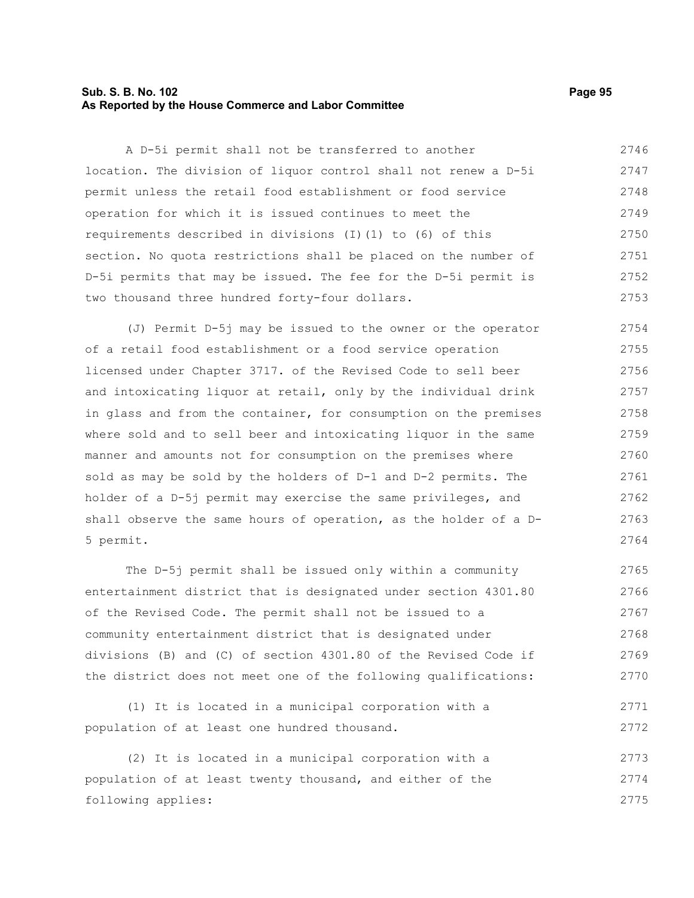## **Sub. S. B. No. 102 Page 95 As Reported by the House Commerce and Labor Committee**

A D-5i permit shall not be transferred to another location. The division of liquor control shall not renew a D-5i permit unless the retail food establishment or food service operation for which it is issued continues to meet the requirements described in divisions (I)(1) to (6) of this section. No quota restrictions shall be placed on the number of D-5i permits that may be issued. The fee for the D-5i permit is two thousand three hundred forty-four dollars. 2746 2747 2748 2749 2750 2751 2752 2753

(J) Permit D-5j may be issued to the owner or the operator of a retail food establishment or a food service operation licensed under Chapter 3717. of the Revised Code to sell beer and intoxicating liquor at retail, only by the individual drink in glass and from the container, for consumption on the premises where sold and to sell beer and intoxicating liquor in the same manner and amounts not for consumption on the premises where sold as may be sold by the holders of D-1 and D-2 permits. The holder of a D-5j permit may exercise the same privileges, and shall observe the same hours of operation, as the holder of a D-5 permit. 2754 2755 2756 2757 2758 2759 2760 2761 2762 2763 2764

The D-5j permit shall be issued only within a community entertainment district that is designated under section 4301.80 of the Revised Code. The permit shall not be issued to a community entertainment district that is designated under divisions (B) and (C) of section 4301.80 of the Revised Code if the district does not meet one of the following qualifications: 2765 2766 2767 2768 2769 2770

(1) It is located in a municipal corporation with a population of at least one hundred thousand. 2771 2772

(2) It is located in a municipal corporation with a population of at least twenty thousand, and either of the following applies: 2773 2774 2775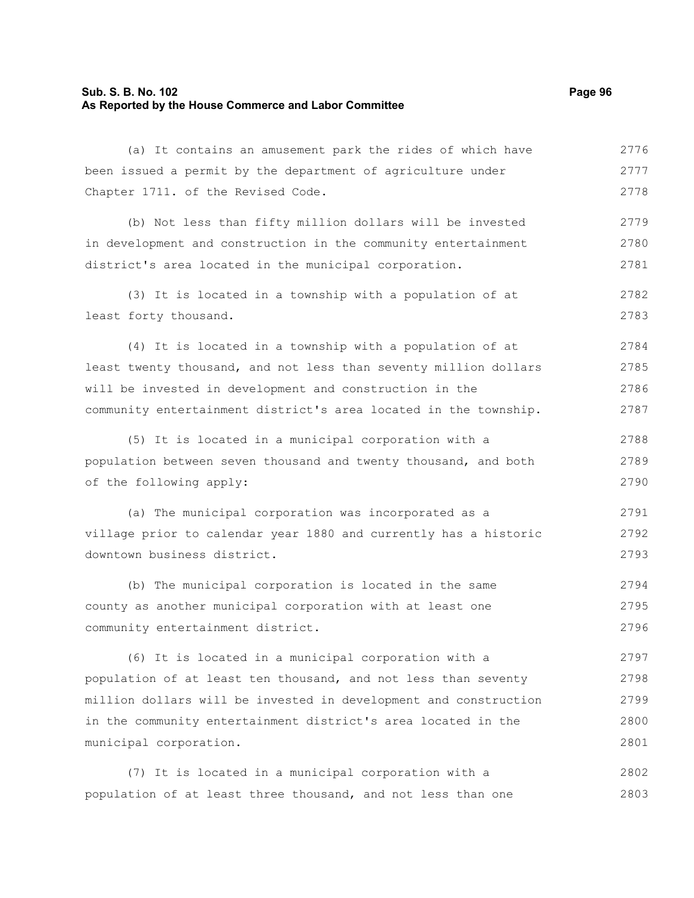## **Sub. S. B. No. 102 Page 96 As Reported by the House Commerce and Labor Committee**

(a) It contains an amusement park the rides of which have been issued a permit by the department of agriculture under Chapter 1711. of the Revised Code. (b) Not less than fifty million dollars will be invested in development and construction in the community entertainment district's area located in the municipal corporation. (3) It is located in a township with a population of at least forty thousand. (4) It is located in a township with a population of at

least twenty thousand, and not less than seventy million dollars will be invested in development and construction in the community entertainment district's area located in the township. 2784 2785 2786 2787

(5) It is located in a municipal corporation with a population between seven thousand and twenty thousand, and both of the following apply: 2788 2789 2790

(a) The municipal corporation was incorporated as a village prior to calendar year 1880 and currently has a historic downtown business district. 2791 2792 2793

(b) The municipal corporation is located in the same county as another municipal corporation with at least one community entertainment district. 2794 2795 2796

(6) It is located in a municipal corporation with a population of at least ten thousand, and not less than seventy million dollars will be invested in development and construction in the community entertainment district's area located in the municipal corporation. 2797 2798 2799 2800 2801

(7) It is located in a municipal corporation with a population of at least three thousand, and not less than one 2802 2803

2776 2777 2778

2779 2780 2781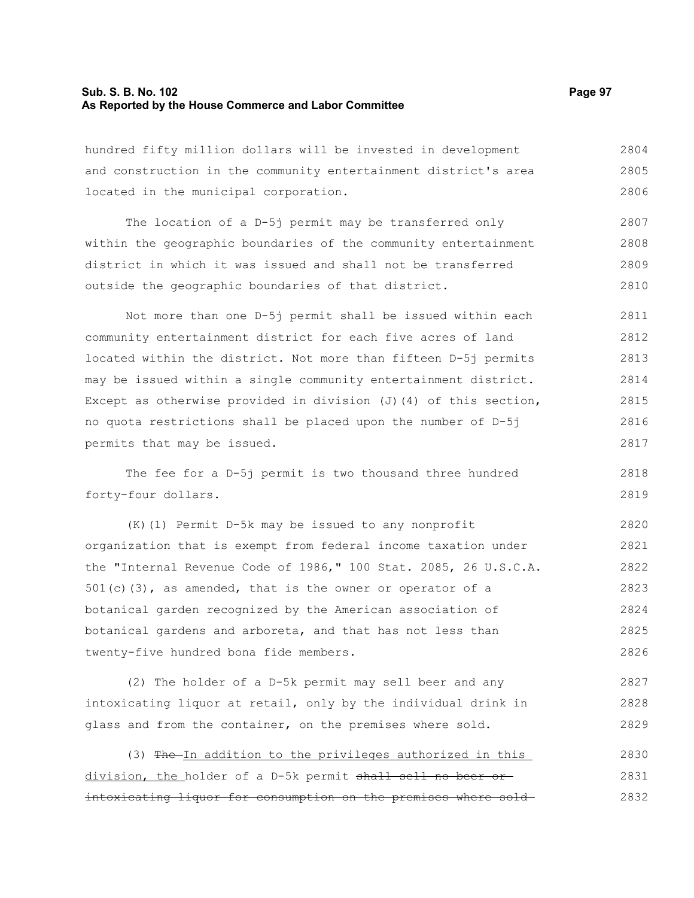### **Sub. S. B. No. 102 Page 97 As Reported by the House Commerce and Labor Committee**

hundred fifty million dollars will be invested in development and construction in the community entertainment district's area located in the municipal corporation. 2804 2805 2806

The location of a D-5j permit may be transferred only within the geographic boundaries of the community entertainment district in which it was issued and shall not be transferred outside the geographic boundaries of that district. 2807 2808 2809 2810

Not more than one D-5j permit shall be issued within each community entertainment district for each five acres of land located within the district. Not more than fifteen D-5j permits may be issued within a single community entertainment district. Except as otherwise provided in division  $(J)$  (4) of this section, no quota restrictions shall be placed upon the number of D-5j permits that may be issued. 2811 2812 2813 2814 2815 2816 2817

The fee for a D-5j permit is two thousand three hundred forty-four dollars. 2818 2819

(K)(1) Permit D-5k may be issued to any nonprofit organization that is exempt from federal income taxation under the "Internal Revenue Code of 1986," 100 Stat. 2085, 26 U.S.C.A. 501(c)(3), as amended, that is the owner or operator of a botanical garden recognized by the American association of botanical gardens and arboreta, and that has not less than twenty-five hundred bona fide members. 2820 2821 2822 2823 2824 2825 2826

(2) The holder of a D-5k permit may sell beer and any intoxicating liquor at retail, only by the individual drink in glass and from the container, on the premises where sold. 2827 2828 2829

(3) The In addition to the privileges authorized in this division, the holder of a D-5k permit shall sell no beer orintoxicating liquor for consumption on the premises where sold 2830 2831 2832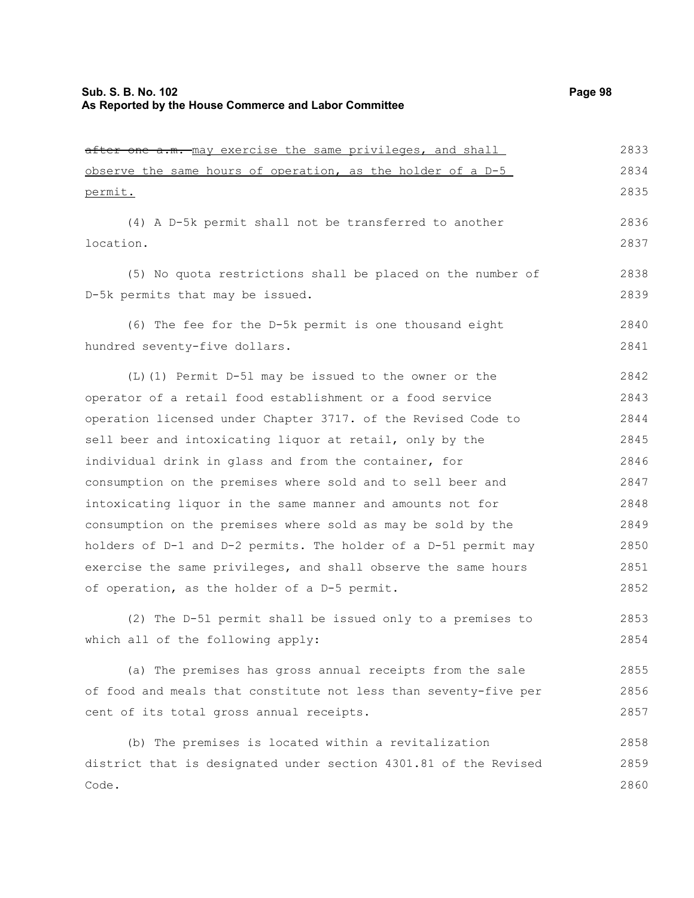after one a.m. may exercise the same privileges, and shall observe the same hours of operation, as the holder of a D-5 permit. 2833 2834 2835

(4) A D-5k permit shall not be transferred to another location.

(5) No quota restrictions shall be placed on the number of D-5k permits that may be issued.

(6) The fee for the D-5k permit is one thousand eight hundred seventy-five dollars. 2840 2841

(L)(1) Permit D-5l may be issued to the owner or the operator of a retail food establishment or a food service operation licensed under Chapter 3717. of the Revised Code to sell beer and intoxicating liquor at retail, only by the individual drink in glass and from the container, for consumption on the premises where sold and to sell beer and intoxicating liquor in the same manner and amounts not for consumption on the premises where sold as may be sold by the holders of D-1 and D-2 permits. The holder of a D-5l permit may exercise the same privileges, and shall observe the same hours of operation, as the holder of a D-5 permit. 2842 2843 2844 2845 2846 2847 2848 2849 2850 2851 2852

(2) The D-5l permit shall be issued only to a premises to which all of the following apply: 2853 2854

(a) The premises has gross annual receipts from the sale of food and meals that constitute not less than seventy-five per cent of its total gross annual receipts. 2855 2856 2857

(b) The premises is located within a revitalization district that is designated under section 4301.81 of the Revised Code. 2858 2859 2860

2836 2837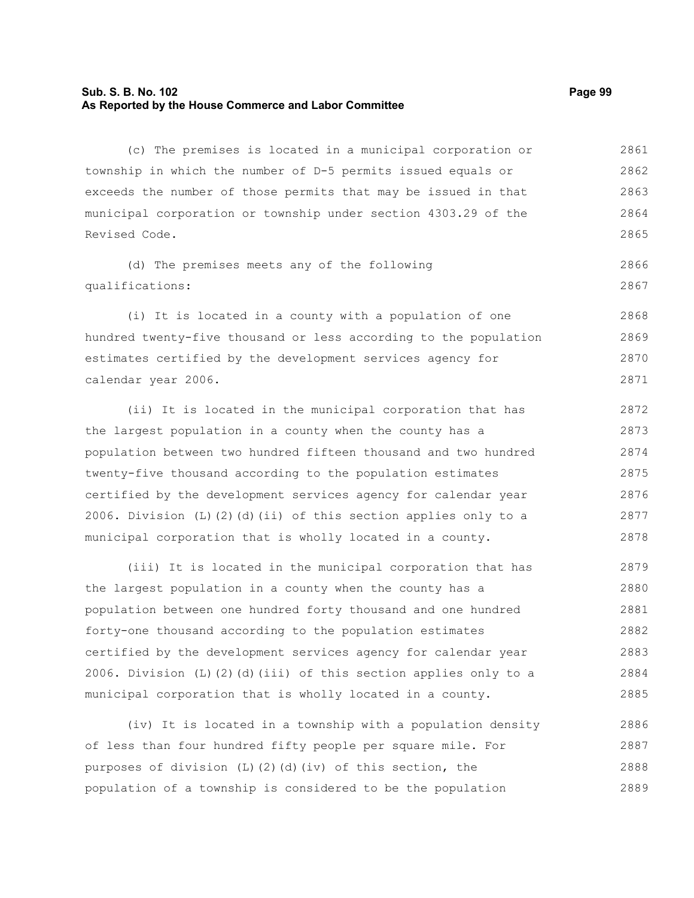## **Sub. S. B. No. 102 Page 99 As Reported by the House Commerce and Labor Committee**

(c) The premises is located in a municipal corporation or township in which the number of D-5 permits issued equals or exceeds the number of those permits that may be issued in that municipal corporation or township under section 4303.29 of the Revised Code. 2861 2862 2863 2864 2865

(d) The premises meets any of the following qualifications: 2866 2867

(i) It is located in a county with a population of one hundred twenty-five thousand or less according to the population estimates certified by the development services agency for calendar year 2006. 2868 2869 2870 2871

(ii) It is located in the municipal corporation that has the largest population in a county when the county has a population between two hundred fifteen thousand and two hundred twenty-five thousand according to the population estimates certified by the development services agency for calendar year 2006. Division (L)(2)(d)(ii) of this section applies only to a municipal corporation that is wholly located in a county. 2872 2873 2874 2875 2876 2877 2878

(iii) It is located in the municipal corporation that has the largest population in a county when the county has a population between one hundred forty thousand and one hundred forty-one thousand according to the population estimates certified by the development services agency for calendar year 2006. Division (L)(2)(d)(iii) of this section applies only to a municipal corporation that is wholly located in a county. 2879 2880 2881 2882 2883 2884 2885

(iv) It is located in a township with a population density of less than four hundred fifty people per square mile. For purposes of division (L)(2)(d)(iv) of this section, the population of a township is considered to be the population 2886 2887 2888 2889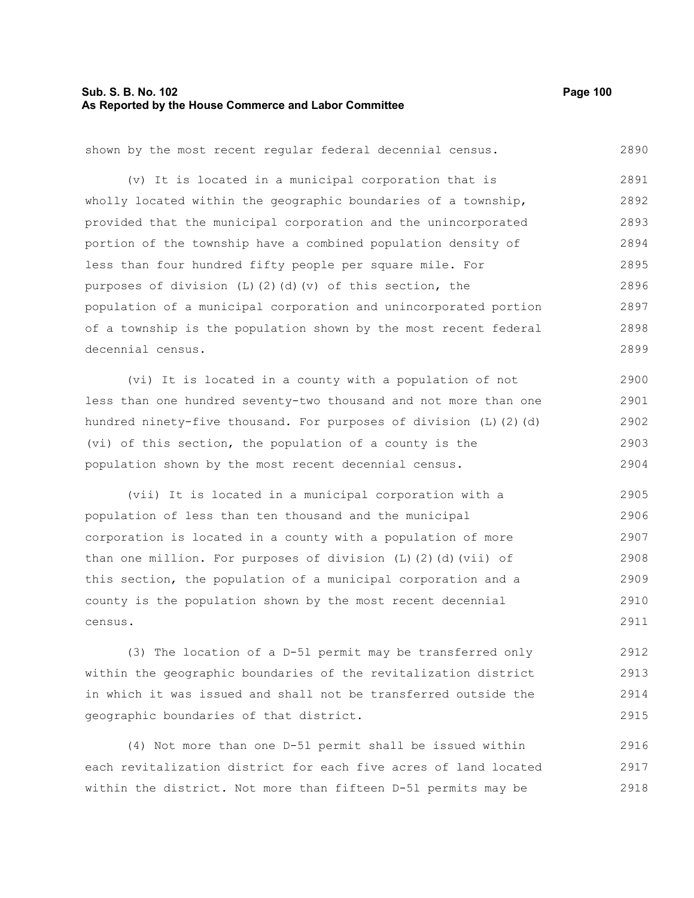# **Sub. S. B. No. 102 Page 100 As Reported by the House Commerce and Labor Committee**

| shown by the most recent regular federal decennial census.              | 2890 |
|-------------------------------------------------------------------------|------|
| (v) It is located in a municipal corporation that is                    | 2891 |
| wholly located within the geographic boundaries of a township,          | 2892 |
| provided that the municipal corporation and the unincorporated          | 2893 |
| portion of the township have a combined population density of           | 2894 |
| less than four hundred fifty people per square mile. For                | 2895 |
| purposes of division (L)(2)(d)(v) of this section, the                  | 2896 |
| population of a municipal corporation and unincorporated portion        | 2897 |
| of a township is the population shown by the most recent federal        | 2898 |
| decennial census.                                                       | 2899 |
| (vi) It is located in a county with a population of not                 | 2900 |
| less than one hundred seventy-two thousand and not more than one        | 2901 |
| hundred ninety-five thousand. For purposes of division (L) (2) (d)      | 2902 |
| (vi) of this section, the population of a county is the                 | 2903 |
| population shown by the most recent decennial census.                   | 2904 |
| (vii) It is located in a municipal corporation with a                   | 2905 |
| population of less than ten thousand and the municipal                  | 2906 |
| corporation is located in a county with a population of more            | 2907 |
| than one million. For purposes of division $(L)$ $(2)$ $(d)$ $(vii)$ of | 2908 |
| this section, the population of a municipal corporation and a           | 2909 |
| county is the population shown by the most recent decennial             | 2910 |
| census.                                                                 | 2911 |
|                                                                         |      |

(3) The location of a D-5l permit may be transferred only within the geographic boundaries of the revitalization district in which it was issued and shall not be transferred outside the geographic boundaries of that district. 2912 2913 2914 2915

(4) Not more than one D-5l permit shall be issued within each revitalization district for each five acres of land located within the district. Not more than fifteen D-5l permits may be 2916 2917 2918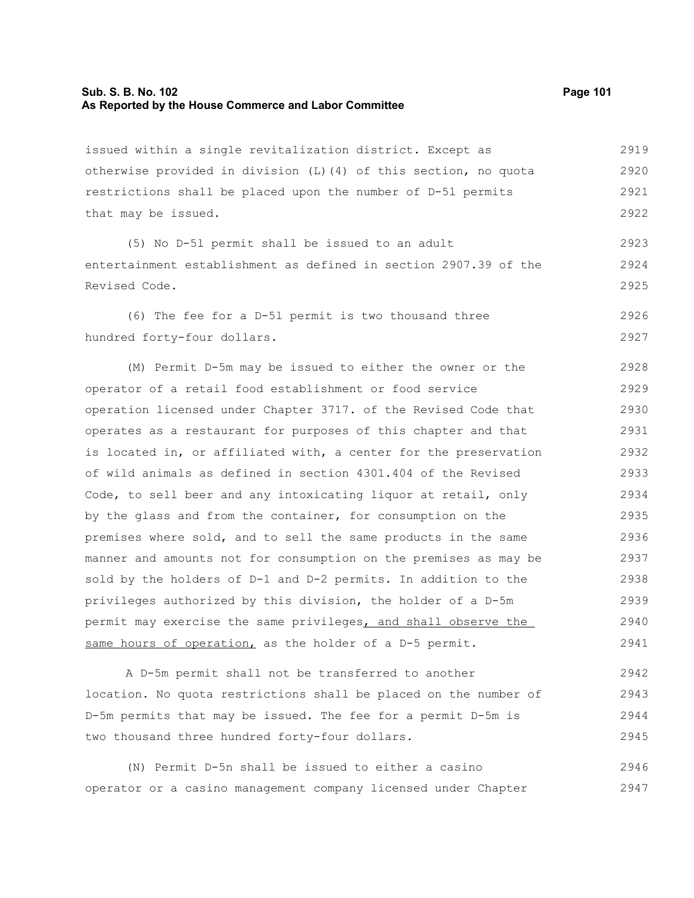#### **Sub. S. B. No. 102 Page 101 As Reported by the House Commerce and Labor Committee**

issued within a single revitalization district. Except as otherwise provided in division (L)(4) of this section, no quota restrictions shall be placed upon the number of D-5l permits that may be issued. 2919 2920 2921 2922

(5) No D-5l permit shall be issued to an adult entertainment establishment as defined in section 2907.39 of the Revised Code. 2923 2924 2925

(6) The fee for a D-5l permit is two thousand three hundred forty-four dollars. 2926 2927

(M) Permit D-5m may be issued to either the owner or the operator of a retail food establishment or food service operation licensed under Chapter 3717. of the Revised Code that operates as a restaurant for purposes of this chapter and that is located in, or affiliated with, a center for the preservation of wild animals as defined in section 4301.404 of the Revised Code, to sell beer and any intoxicating liquor at retail, only by the glass and from the container, for consumption on the premises where sold, and to sell the same products in the same manner and amounts not for consumption on the premises as may be sold by the holders of D-1 and D-2 permits. In addition to the privileges authorized by this division, the holder of a D-5m permit may exercise the same privileges, and shall observe the same hours of operation, as the holder of a D-5 permit. 2928 2929 2930 2931 2932 2933 2934 2935 2936 2937 2938 2939 2940 2941

A D-5m permit shall not be transferred to another location. No quota restrictions shall be placed on the number of D-5m permits that may be issued. The fee for a permit D-5m is two thousand three hundred forty-four dollars. 2942 2943 2944 2945

(N) Permit D-5n shall be issued to either a casino operator or a casino management company licensed under Chapter 2946 2947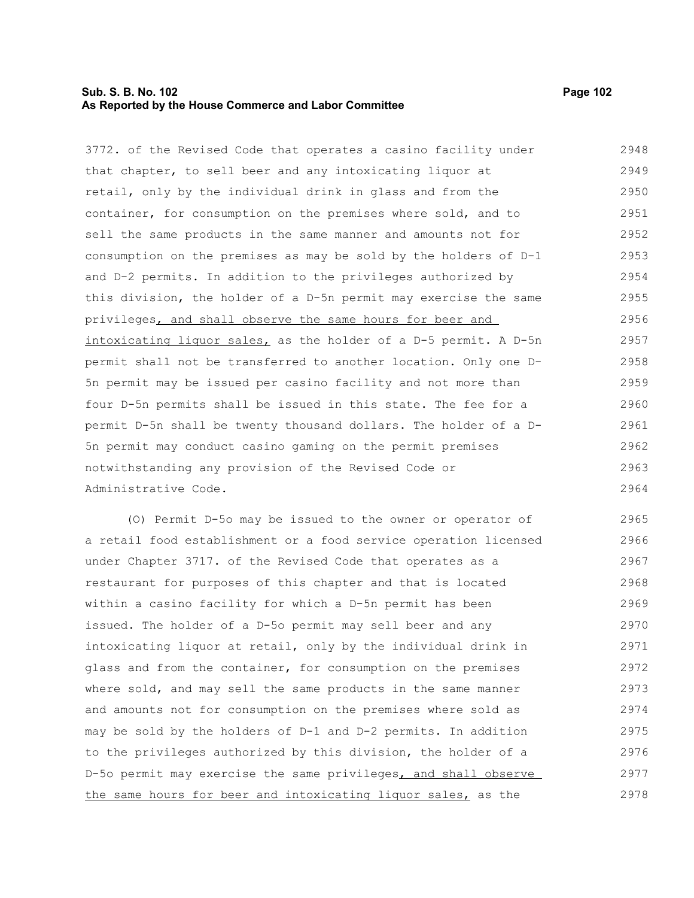# **Sub. S. B. No. 102 Page 102 As Reported by the House Commerce and Labor Committee**

3772. of the Revised Code that operates a casino facility under that chapter, to sell beer and any intoxicating liquor at retail, only by the individual drink in glass and from the container, for consumption on the premises where sold, and to sell the same products in the same manner and amounts not for consumption on the premises as may be sold by the holders of D-1 and D-2 permits. In addition to the privileges authorized by this division, the holder of a D-5n permit may exercise the same privileges, and shall observe the same hours for beer and intoxicating liquor sales, as the holder of a D-5 permit. A D-5n permit shall not be transferred to another location. Only one D-5n permit may be issued per casino facility and not more than four D-5n permits shall be issued in this state. The fee for a permit D-5n shall be twenty thousand dollars. The holder of a D-5n permit may conduct casino gaming on the permit premises notwithstanding any provision of the Revised Code or Administrative Code. 2948 2949 2950 2951 2952 2953 2954 2955 2956 2957 2958 2959 2960 2961 2962 2963 2964

(O) Permit D-5o may be issued to the owner or operator of a retail food establishment or a food service operation licensed under Chapter 3717. of the Revised Code that operates as a restaurant for purposes of this chapter and that is located within a casino facility for which a D-5n permit has been issued. The holder of a D-5o permit may sell beer and any intoxicating liquor at retail, only by the individual drink in glass and from the container, for consumption on the premises where sold, and may sell the same products in the same manner and amounts not for consumption on the premises where sold as may be sold by the holders of D-1 and D-2 permits. In addition to the privileges authorized by this division, the holder of a D-5o permit may exercise the same privileges, and shall observe the same hours for beer and intoxicating liquor sales, as the 2965 2966 2967 2968 2969 2970 2971 2972 2973 2974 2975 2976 2977 2978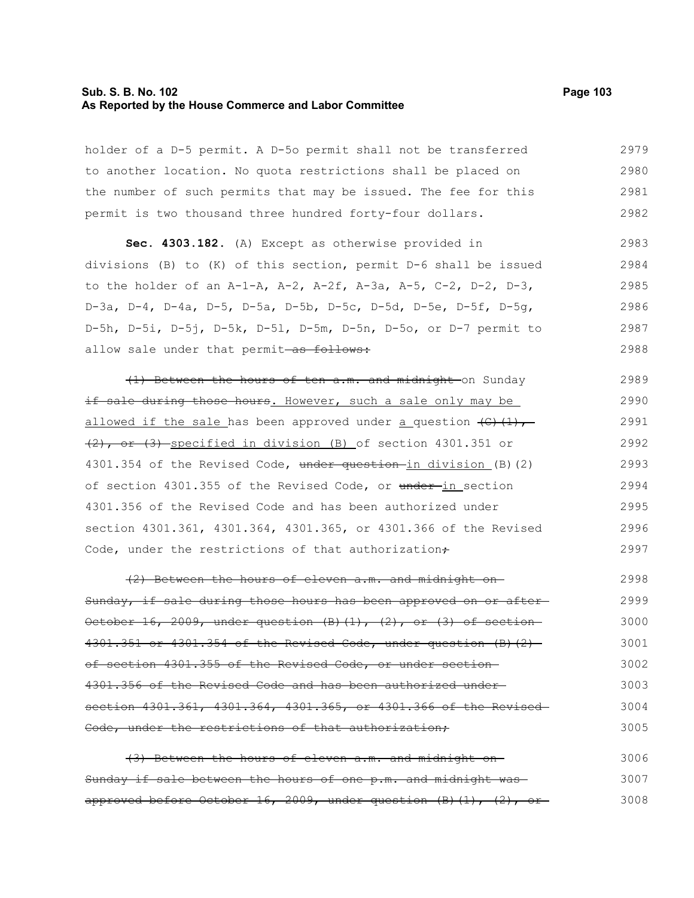### **Sub. S. B. No. 102 Page 103 As Reported by the House Commerce and Labor Committee**

holder of a D-5 permit. A D-5o permit shall not be transferred to another location. No quota restrictions shall be placed on the number of such permits that may be issued. The fee for this permit is two thousand three hundred forty-four dollars. 2979 2980 2981 2982

**Sec. 4303.182.** (A) Except as otherwise provided in divisions (B) to (K) of this section, permit D-6 shall be issued to the holder of an A-1-A, A-2, A-2f, A-3a, A-5, C-2, D-2, D-3, D-3a, D-4, D-4a, D-5, D-5a, D-5b, D-5c, D-5d, D-5e, D-5f, D-5g, D-5h, D-5i, D-5j, D-5k, D-5l, D-5m, D-5n, D-5o, or D-7 permit to allow sale under that permit-as follows: 2983 2984 2985 2986 2987 2988

(1) Between the hours of ten a.m. and midnight on Sunday if sale during those hours. However, such a sale only may be allowed if the sale has been approved under a question  $\left(\epsilon\right)\left(1\right),$ (2), or (3) specified in division (B) of section 4301.351 or 4301.354 of the Revised Code, under question in division (B)(2) of section 4301.355 of the Revised Code, or under-in section 4301.356 of the Revised Code and has been authorized under section 4301.361, 4301.364, 4301.365, or 4301.366 of the Revised Code, under the restrictions of that authorization $\div$ 2989 2990 2991 2992 2993 2994 2995 2996 2997

(2) Between the hours of eleven a.m. and midnight on Sunday, if sale during those hours has been approved on or after October 16, 2009, under question  $(B)$   $(1)$ ,  $(2)$ , or  $(3)$  of section 4301.351 or 4301.354 of the Revised Code, under question (B)(2) of section 4301.355 of the Revised Code, or under section 4301.356 of the Revised Code and has been authorized under section 4301.361, 4301.364, 4301.365, or 4301.366 of the Revised Code, under the restrictions of that authorization, 2998 2999 3000 3001 3002 3003 3004 3005

(3) Between the hours of eleven a.m. and midnight on Sunday if sale between the hours of one p.m. and midnight was approved before October 16, 2009, under question  $(B)$   $(1)$ ,  $(2)$ , or 3006 3007 3008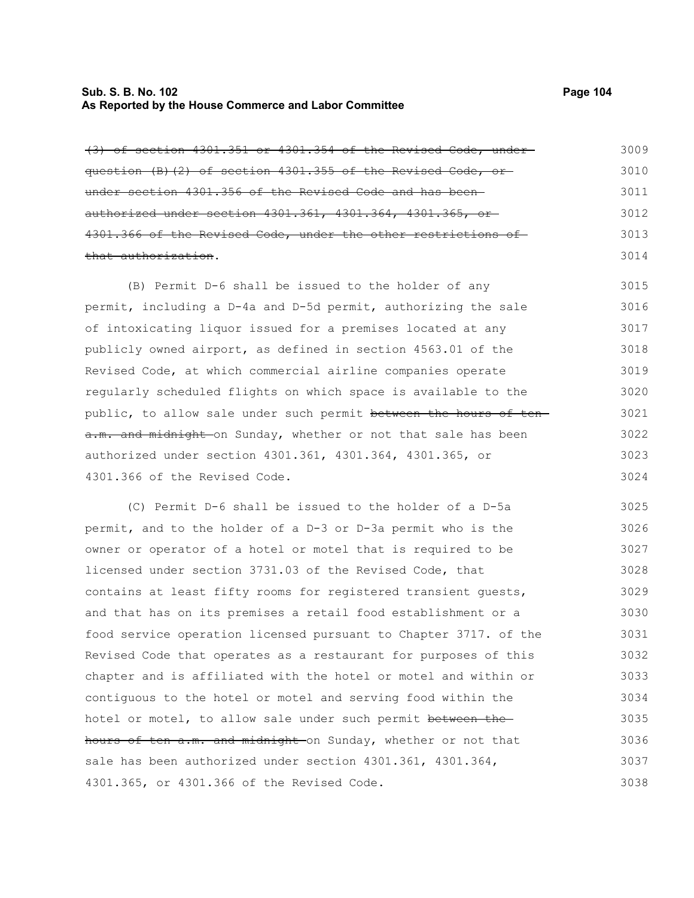#### **Sub. S. B. No. 102 Page 104 As Reported by the House Commerce and Labor Committee**

(3) of section 4301.351 or 4301.354 of the Revised Code, under question (B)(2) of section 4301.355 of the Revised Code, or under section 4301.356 of the Revised Code and has been authorized under section 4301.361, 4301.364, 4301.365, or 4301.366 of the Revised Code, under the other restrictions of that authorization. 3009 3010 3011 3012 3013 3014

(B) Permit D-6 shall be issued to the holder of any permit, including a D-4a and D-5d permit, authorizing the sale of intoxicating liquor issued for a premises located at any publicly owned airport, as defined in section 4563.01 of the Revised Code, at which commercial airline companies operate regularly scheduled flights on which space is available to the public, to allow sale under such permit between the hours of tena.m. and midnight on Sunday, whether or not that sale has been authorized under section 4301.361, 4301.364, 4301.365, or 4301.366 of the Revised Code. 3015 3016 3017 3018 3019 3020 3021 3022 3023 3024

(C) Permit D-6 shall be issued to the holder of a D-5a permit, and to the holder of a D-3 or D-3a permit who is the owner or operator of a hotel or motel that is required to be licensed under section 3731.03 of the Revised Code, that contains at least fifty rooms for registered transient guests, and that has on its premises a retail food establishment or a food service operation licensed pursuant to Chapter 3717. of the Revised Code that operates as a restaurant for purposes of this chapter and is affiliated with the hotel or motel and within or contiguous to the hotel or motel and serving food within the hotel or motel, to allow sale under such permit between thehours of ten a.m. and midnight on Sunday, whether or not that sale has been authorized under section 4301.361, 4301.364, 4301.365, or 4301.366 of the Revised Code. 3025 3026 3027 3028 3029 3030 3031 3032 3033 3034 3035 3036 3037 3038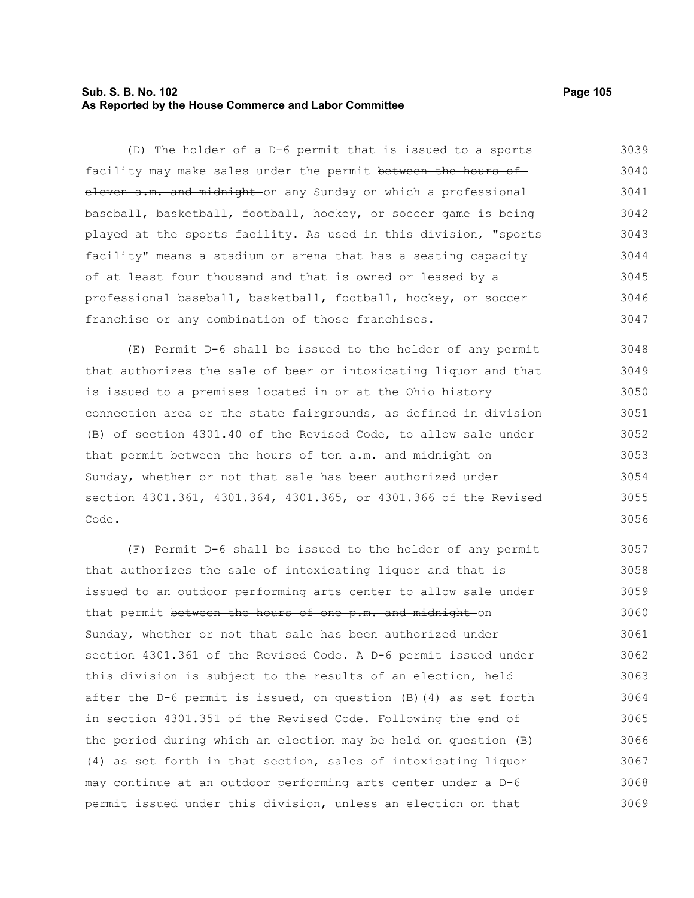# **Sub. S. B. No. 102 Page 105 As Reported by the House Commerce and Labor Committee**

(D) The holder of a D-6 permit that is issued to a sports facility may make sales under the permit between the hours of eleven a.m. and midnight on any Sunday on which a professional baseball, basketball, football, hockey, or soccer game is being played at the sports facility. As used in this division, "sports facility" means a stadium or arena that has a seating capacity of at least four thousand and that is owned or leased by a professional baseball, basketball, football, hockey, or soccer franchise or any combination of those franchises. 3039 3040 3041 3042 3043 3044 3045 3046 3047

(E) Permit D-6 shall be issued to the holder of any permit that authorizes the sale of beer or intoxicating liquor and that is issued to a premises located in or at the Ohio history connection area or the state fairgrounds, as defined in division (B) of section 4301.40 of the Revised Code, to allow sale under that permit between the hours of ten a.m. and midnight on Sunday, whether or not that sale has been authorized under section 4301.361, 4301.364, 4301.365, or 4301.366 of the Revised Code. 3048 3049 3050 3051 3052 3053 3054 3055 3056

(F) Permit D-6 shall be issued to the holder of any permit that authorizes the sale of intoxicating liquor and that is issued to an outdoor performing arts center to allow sale under that permit between the hours of one p.m. and midnight on Sunday, whether or not that sale has been authorized under section 4301.361 of the Revised Code. A D-6 permit issued under this division is subject to the results of an election, held after the D-6 permit is issued, on question (B)(4) as set forth in section 4301.351 of the Revised Code. Following the end of the period during which an election may be held on question (B) (4) as set forth in that section, sales of intoxicating liquor may continue at an outdoor performing arts center under a D-6 permit issued under this division, unless an election on that 3057 3058 3059 3060 3061 3062 3063 3064 3065 3066 3067 3068 3069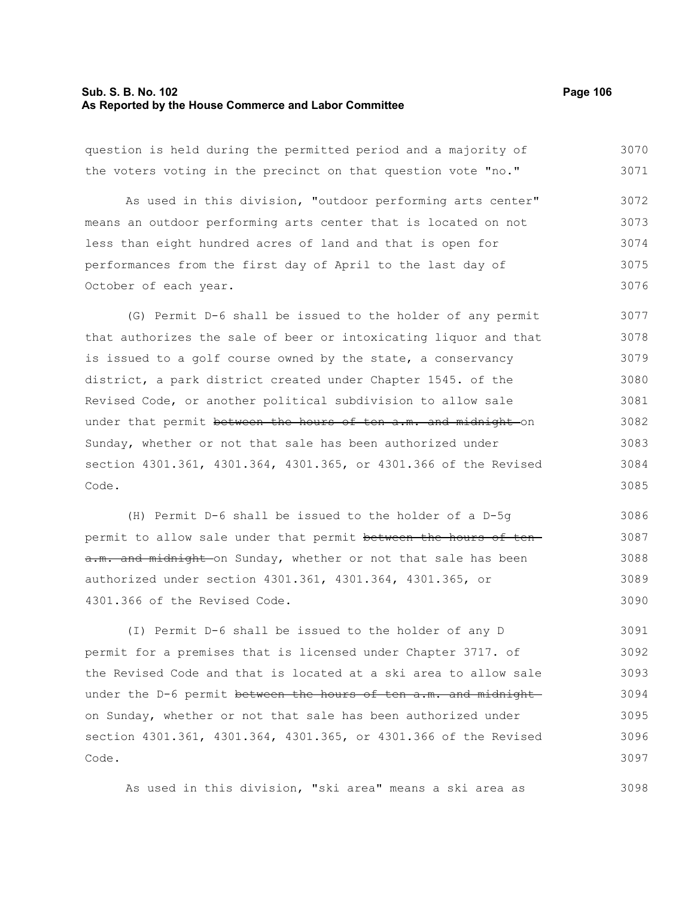#### **Sub. S. B. No. 102 Page 106 As Reported by the House Commerce and Labor Committee**

question is held during the permitted period and a majority of the voters voting in the precinct on that question vote "no." As used in this division, "outdoor performing arts center" means an outdoor performing arts center that is located on not less than eight hundred acres of land and that is open for performances from the first day of April to the last day of October of each year. (G) Permit D-6 shall be issued to the holder of any permit that authorizes the sale of beer or intoxicating liquor and that is issued to a golf course owned by the state, a conservancy district, a park district created under Chapter 1545. of the Revised Code, or another political subdivision to allow sale under that permit between the hours of ten a.m. and midnight on Sunday, whether or not that sale has been authorized under section 4301.361, 4301.364, 4301.365, or 4301.366 of the Revised Code. 3070 3071 3072 3073 3074 3075 3076 3077 3078 3079 3080 3081 3082 3083 3084 3085

(H) Permit D-6 shall be issued to the holder of a D-5g permit to allow sale under that permit between the hours of tena.m. and midnight on Sunday, whether or not that sale has been authorized under section 4301.361, 4301.364, 4301.365, or 4301.366 of the Revised Code. 3086 3087 3088 3089 3090

(I) Permit D-6 shall be issued to the holder of any D permit for a premises that is licensed under Chapter 3717. of the Revised Code and that is located at a ski area to allow sale under the D-6 permit between the hours of ten a.m. and midnight on Sunday, whether or not that sale has been authorized under section 4301.361, 4301.364, 4301.365, or 4301.366 of the Revised Code. 3091 3092 3093 3094 3095 3096 3097

As used in this division, "ski area" means a ski area as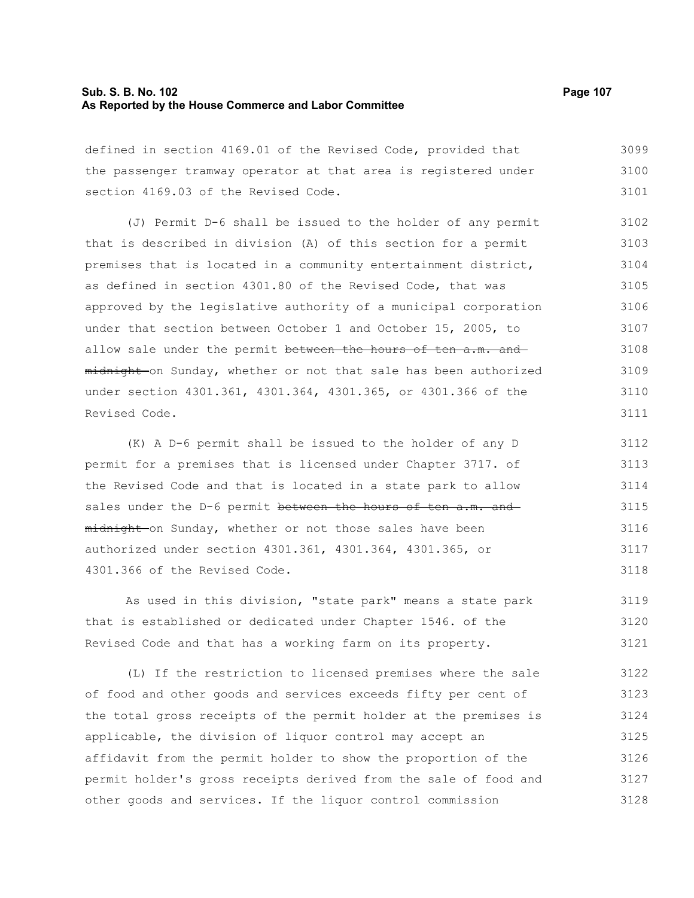### **Sub. S. B. No. 102 Page 107 As Reported by the House Commerce and Labor Committee**

defined in section 4169.01 of the Revised Code, provided that the passenger tramway operator at that area is registered under section 4169.03 of the Revised Code. 3099 3100 3101

(J) Permit D-6 shall be issued to the holder of any permit that is described in division (A) of this section for a permit premises that is located in a community entertainment district, as defined in section 4301.80 of the Revised Code, that was approved by the legislative authority of a municipal corporation under that section between October 1 and October 15, 2005, to allow sale under the permit between the hours of ten a.m. and midnight on Sunday, whether or not that sale has been authorized under section 4301.361, 4301.364, 4301.365, or 4301.366 of the Revised Code. 3102 3103 3104 3105 3106 3107 3108 3109 3110 3111

(K) A D-6 permit shall be issued to the holder of any D permit for a premises that is licensed under Chapter 3717. of the Revised Code and that is located in a state park to allow sales under the D-6 permit between the hours of ten a.m. and midnight on Sunday, whether or not those sales have been authorized under section 4301.361, 4301.364, 4301.365, or 4301.366 of the Revised Code. 3112 3113 3114 3115 3116 3117 3118

As used in this division, "state park" means a state park that is established or dedicated under Chapter 1546. of the Revised Code and that has a working farm on its property. 3119 3120 3121

(L) If the restriction to licensed premises where the sale of food and other goods and services exceeds fifty per cent of the total gross receipts of the permit holder at the premises is applicable, the division of liquor control may accept an affidavit from the permit holder to show the proportion of the permit holder's gross receipts derived from the sale of food and other goods and services. If the liquor control commission 3122 3123 3124 3125 3126 3127 3128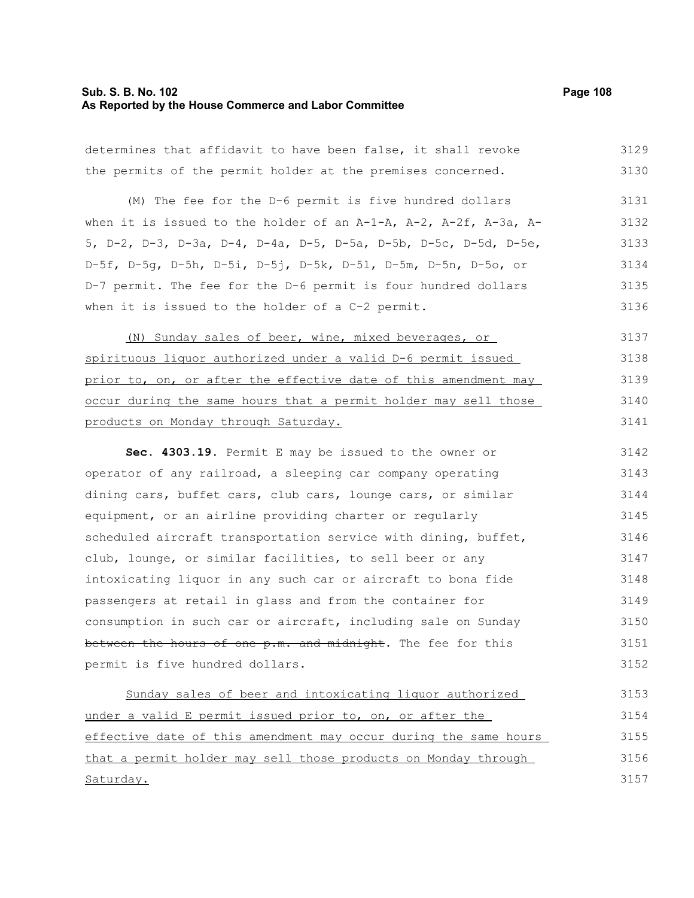# **Sub. S. B. No. 102 Page 108 As Reported by the House Commerce and Labor Committee**

| determines that affidavit to have been false, it shall revoke    | 3129 |
|------------------------------------------------------------------|------|
| the permits of the permit holder at the premises concerned.      | 3130 |
| (M) The fee for the D-6 permit is five hundred dollars           | 3131 |
| when it is issued to the holder of an A-1-A, A-2, A-2f, A-3a, A- | 3132 |
| 5, D-2, D-3, D-3a, D-4, D-4a, D-5, D-5a, D-5b, D-5c, D-5d, D-5e, | 3133 |
| D-5f, D-5g, D-5h, D-5i, D-5j, D-5k, D-5l, D-5m, D-5n, D-5o, or   | 3134 |
| D-7 permit. The fee for the D-6 permit is four hundred dollars   | 3135 |
| when it is issued to the holder of a C-2 permit.                 | 3136 |
| (N) Sunday sales of beer, wine, mixed beverages, or              | 3137 |
| spirituous liquor authorized under a valid D-6 permit issued     | 3138 |
| prior to, on, or after the effective date of this amendment may  | 3139 |
| occur during the same hours that a permit holder may sell those  | 3140 |
| products on Monday through Saturday.                             | 3141 |
| Sec. 4303.19. Permit E may be issued to the owner or             | 3142 |
| operator of any railroad, a sleeping car company operating       | 3143 |
| dining cars, buffet cars, club cars, lounge cars, or similar     | 3144 |
| equipment, or an airline providing charter or regularly          | 3145 |
| scheduled aircraft transportation service with dining, buffet,   | 3146 |
| club, lounge, or similar facilities, to sell beer or any         | 3147 |
| intoxicating liquor in any such car or aircraft to bona fide     | 3148 |
| passengers at retail in glass and from the container for         | 3149 |
| consumption in such car or aircraft, including sale on Sunday    | 3150 |
| between the hours of one p.m. and midnight. The fee for this     | 3151 |
| permit is five hundred dollars.                                  | 3152 |
| Sunday sales of beer and intoxicating liquor authorized          | 3153 |
| under a valid E permit issued prior to, on, or after the         | 3154 |
| effective date of this amendment may occur during the same hours | 3155 |
| that a permit holder may sell those products on Monday through   | 3156 |
| Saturday.                                                        | 3157 |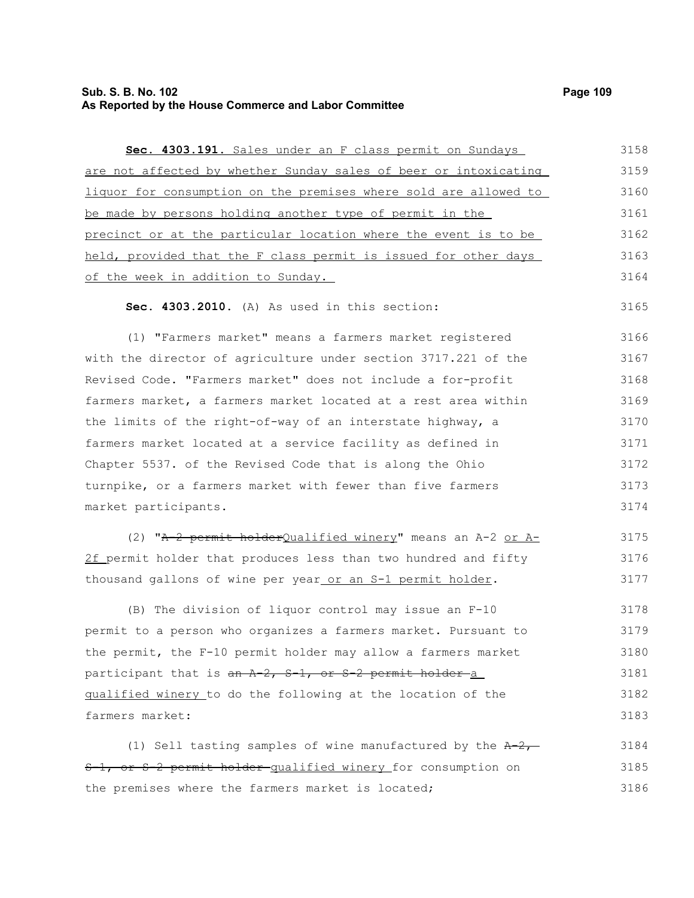# **Sub. S. B. No. 102** Page 109 **As Reported by the House Commerce and Labor Committee**

| Sec. 4303.191. Sales under an F class permit on Sundays          | 3158 |
|------------------------------------------------------------------|------|
| are not affected by whether Sunday sales of beer or intoxicating | 3159 |
| liquor for consumption on the premises where sold are allowed to | 3160 |
| be made by persons holding another type of permit in the         | 3161 |
| precinct or at the particular location where the event is to be  | 3162 |
| held, provided that the F class permit is issued for other days  | 3163 |
| of the week in addition to Sunday.                               | 3164 |
| Sec. 4303.2010. (A) As used in this section:                     | 3165 |
| (1) "Farmers market" means a farmers market registered           | 3166 |
| with the director of agriculture under section 3717.221 of the   | 3167 |
| Revised Code. "Farmers market" does not include a for-profit     | 3168 |
| farmers market, a farmers market located at a rest area within   | 3169 |
| the limits of the right-of-way of an interstate highway, a       | 3170 |
| farmers market located at a service facility as defined in       | 3171 |
| Chapter 5537. of the Revised Code that is along the Ohio         | 3172 |
| turnpike, or a farmers market with fewer than five farmers       | 3173 |
| market participants.                                             | 3174 |
| (2) "A-2 permit holderQualified winery" means an A-2 or A-       | 3175 |
| 2f permit holder that produces less than two hundred and fifty   | 3176 |
| thousand gallons of wine per year or an S-1 permit holder.       | 3177 |
| (B) The division of liquor control may issue an F-10             | 3178 |
| permit to a person who organizes a farmers market. Pursuant to   | 3179 |
| the permit, the F-10 permit holder may allow a farmers market    | 3180 |
| participant that is an A-2, S-1, or S-2 permit holder-a          | 3181 |
| qualified winery to do the following at the location of the      | 3182 |
| farmers market:                                                  | 3183 |
| (1) Sell tasting samples of wine manufactured by the $A-2$ ,     | 3184 |
| 5-1, or S-2 permit holder qualified winery for consumption on    | 3185 |
| the premises where the farmers market is located;                | 3186 |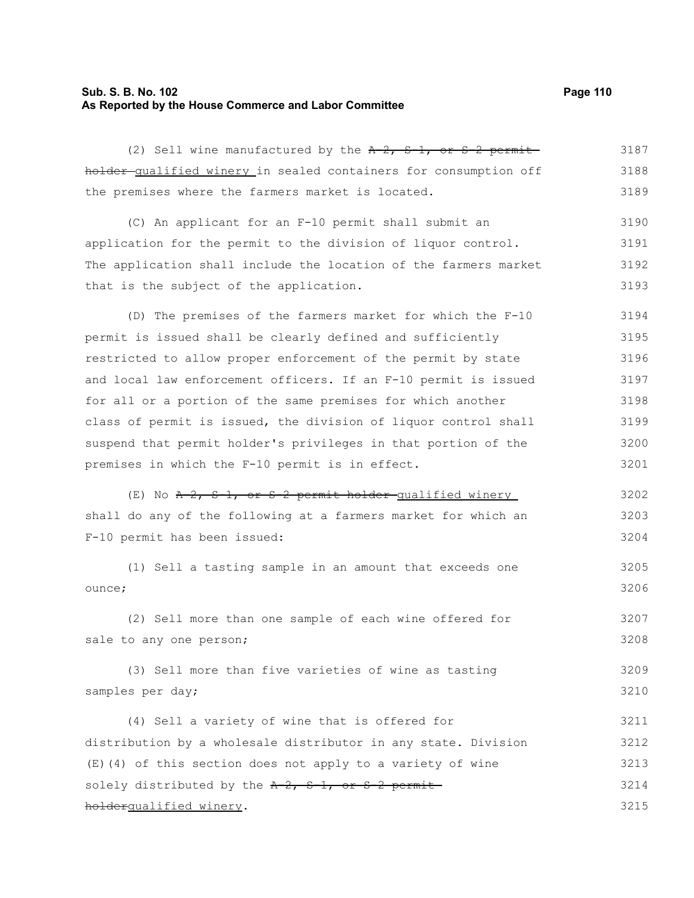# **Sub. S. B. No. 102 Page 110 As Reported by the House Commerce and Labor Committee**

| (2) Sell wine manufactured by the $A-2$ , $S-1$ , or S 2 permit  | 3187 |
|------------------------------------------------------------------|------|
| holder-qualified winery in sealed containers for consumption off | 3188 |
| the premises where the farmers market is located.                | 3189 |
| (C) An applicant for an F-10 permit shall submit an              | 3190 |
| application for the permit to the division of liquor control.    | 3191 |
| The application shall include the location of the farmers market | 3192 |
| that is the subject of the application.                          | 3193 |
| (D) The premises of the farmers market for which the F-10        | 3194 |
| permit is issued shall be clearly defined and sufficiently       | 3195 |
| restricted to allow proper enforcement of the permit by state    | 3196 |
| and local law enforcement officers. If an F-10 permit is issued  | 3197 |
| for all or a portion of the same premises for which another      | 3198 |
| class of permit is issued, the division of liquor control shall  | 3199 |
| suspend that permit holder's privileges in that portion of the   | 3200 |
| premises in which the F-10 permit is in effect.                  | 3201 |
| $(E)$ No $A-2$ , $S-1$ , or $S-2$ permit holder-qualified winery | 3202 |
| shall do any of the following at a farmers market for which an   | 3203 |
| F-10 permit has been issued:                                     | 3204 |
| (1) Sell a tasting sample in an amount that exceeds one          | 3205 |
| ounce;                                                           | 3206 |
| (2) Sell more than one sample of each wine offered for           | 3207 |
| sale to any one person;                                          | 3208 |
| (3) Sell more than five varieties of wine as tasting             | 3209 |
| samples per day;                                                 | 3210 |
| (4) Sell a variety of wine that is offered for                   | 3211 |
| distribution by a wholesale distributor in any state. Division   | 3212 |
| (E)(4) of this section does not apply to a variety of wine       | 3213 |
| solely distributed by the A-2, S-1, or S-2 permit-               | 3214 |
| holdergualified winery.                                          | 3215 |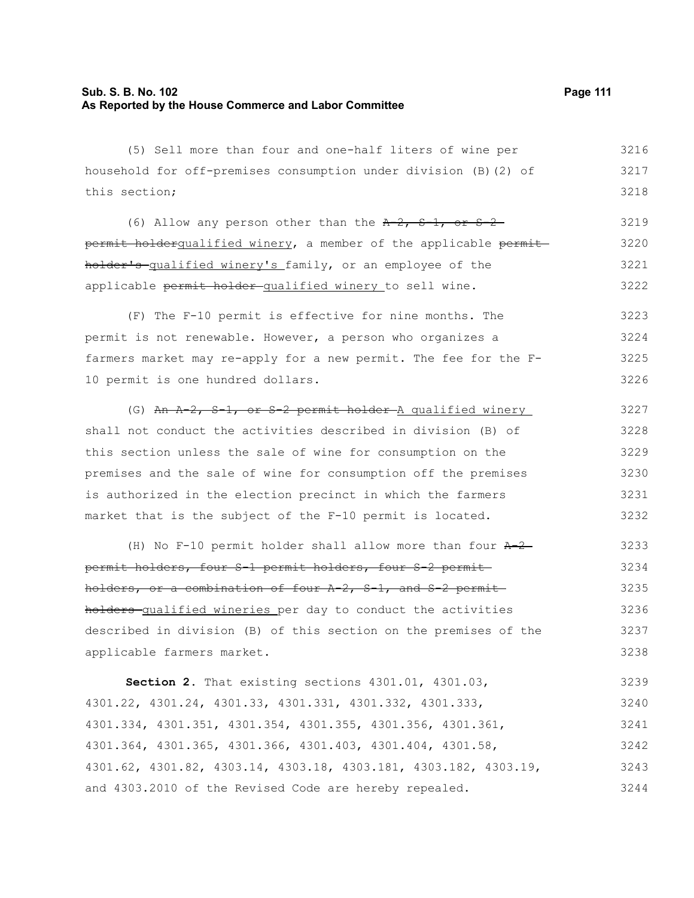### **Sub. S. B. No. 102 Page 111 As Reported by the House Commerce and Labor Committee**

(5) Sell more than four and one-half liters of wine per household for off-premises consumption under division (B)(2) of this section; (6) Allow any person other than the  $A-2$ ,  $S-1$ , or  $S-2$ permit holderqualified winery, a member of the applicable permitholder's qualified winery's family, or an employee of the applicable permit holder-qualified winery to sell wine. (F) The F-10 permit is effective for nine months. The permit is not renewable. However, a person who organizes a farmers market may re-apply for a new permit. The fee for the F-10 permit is one hundred dollars. (G) An A-2, S-1, or S-2 permit holder A qualified winery shall not conduct the activities described in division (B) of this section unless the sale of wine for consumption on the premises and the sale of wine for consumption off the premises is authorized in the election precinct in which the farmers market that is the subject of the F-10 permit is located. (H) No F-10 permit holder shall allow more than four  $A-2$ permit holders, four S-1 permit holders, four S-2 permit holders, or a combination of four  $A-2$ ,  $S-1$ , and  $S-2$  permitholders qualified wineries per day to conduct the activities described in division (B) of this section on the premises of the applicable farmers market. **Section 2.** That existing sections 4301.01, 4301.03, 4301.22, 4301.24, 4301.33, 4301.331, 4301.332, 4301.333, 4301.334, 4301.351, 4301.354, 4301.355, 4301.356, 4301.361, 4301.364, 4301.365, 4301.366, 4301.403, 4301.404, 4301.58, 4301.62, 4301.82, 4303.14, 4303.18, 4303.181, 4303.182, 4303.19, and 4303.2010 of the Revised Code are hereby repealed. 3216 3217 3218 3219 3220 3221 3222 3223 3224 3225 3226 3227 3228 3229 3230 3231 3232 3233 3234 3235 3236 3237 3238 3239 3240 3241 3242 3243 3244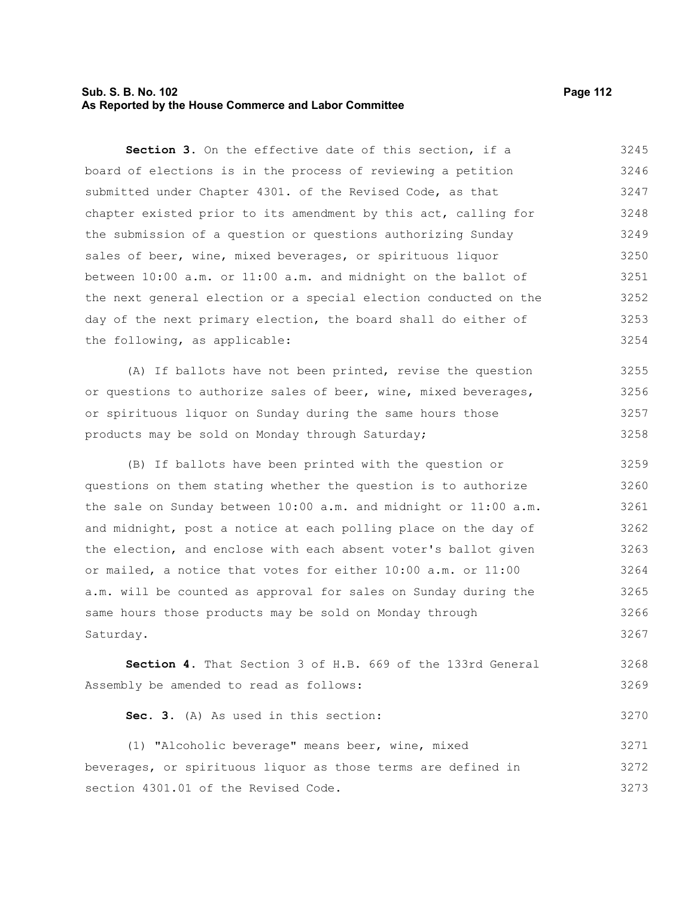### **Sub. S. B. No. 102 Page 112 As Reported by the House Commerce and Labor Committee**

**Section 3.** On the effective date of this section, if a board of elections is in the process of reviewing a petition submitted under Chapter 4301. of the Revised Code, as that chapter existed prior to its amendment by this act, calling for the submission of a question or questions authorizing Sunday sales of beer, wine, mixed beverages, or spirituous liquor between 10:00 a.m. or 11:00 a.m. and midnight on the ballot of the next general election or a special election conducted on the day of the next primary election, the board shall do either of the following, as applicable: 3245 3246 3247 3248 3249 3250 3251 3252 3253 3254

(A) If ballots have not been printed, revise the question or questions to authorize sales of beer, wine, mixed beverages, or spirituous liquor on Sunday during the same hours those products may be sold on Monday through Saturday; 3255 3256 3257 3258

(B) If ballots have been printed with the question or questions on them stating whether the question is to authorize the sale on Sunday between 10:00 a.m. and midnight or 11:00 a.m. and midnight, post a notice at each polling place on the day of the election, and enclose with each absent voter's ballot given or mailed, a notice that votes for either 10:00 a.m. or 11:00 a.m. will be counted as approval for sales on Sunday during the same hours those products may be sold on Monday through Saturday. 3259 3260 3261 3262 3263 3264 3265 3266 3267

**Section 4.** That Section 3 of H.B. 669 of the 133rd General Assembly be amended to read as follows: 3268 3269

**Sec. 3.** (A) As used in this section: 3270

(1) "Alcoholic beverage" means beer, wine, mixed beverages, or spirituous liquor as those terms are defined in section 4301.01 of the Revised Code. 3271 3272 3273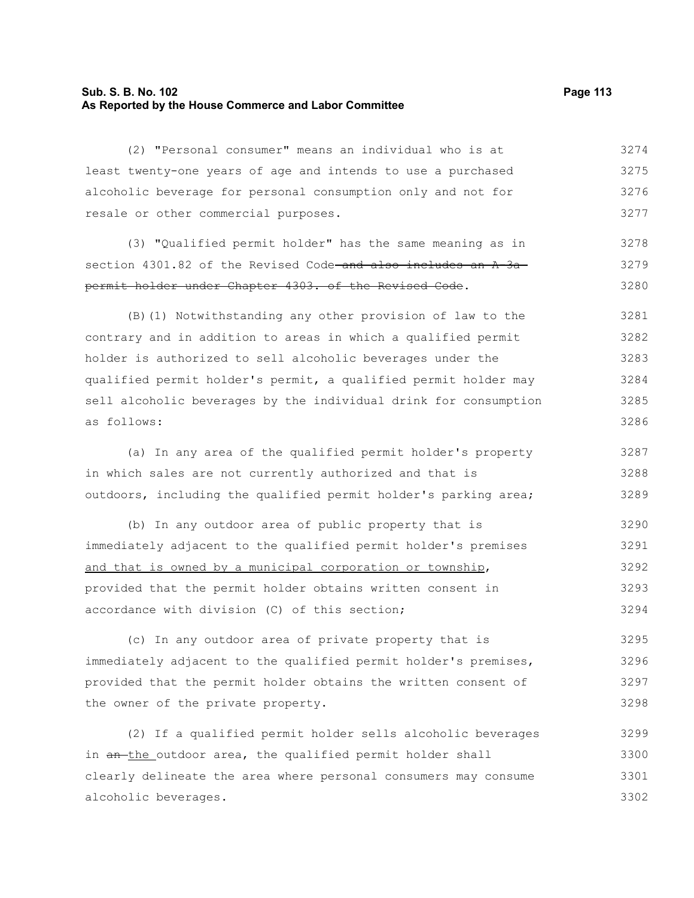### **Sub. S. B. No. 102 Page 113 As Reported by the House Commerce and Labor Committee**

(2) "Personal consumer" means an individual who is at least twenty-one years of age and intends to use a purchased alcoholic beverage for personal consumption only and not for resale or other commercial purposes.

(3) "Qualified permit holder" has the same meaning as in section  $4301.82$  of the Revised Code and also includes an  $A^{-3}a^{-}$ permit holder under Chapter 4303. of the Revised Code. 3278 3279 3280

(B)(1) Notwithstanding any other provision of law to the contrary and in addition to areas in which a qualified permit holder is authorized to sell alcoholic beverages under the qualified permit holder's permit, a qualified permit holder may sell alcoholic beverages by the individual drink for consumption as follows: 3281 3282 3283 3284 3285 3286

(a) In any area of the qualified permit holder's property in which sales are not currently authorized and that is outdoors, including the qualified permit holder's parking area; 3287 3288 3289

(b) In any outdoor area of public property that is immediately adjacent to the qualified permit holder's premises and that is owned by a municipal corporation or township, provided that the permit holder obtains written consent in accordance with division (C) of this section; 3290 3291 3292 3293 3294

(c) In any outdoor area of private property that is immediately adjacent to the qualified permit holder's premises, provided that the permit holder obtains the written consent of the owner of the private property. 3295 3296 3297 3298

(2) If a qualified permit holder sells alcoholic beverages in an-the outdoor area, the qualified permit holder shall clearly delineate the area where personal consumers may consume alcoholic beverages. 3299 3300 3301 3302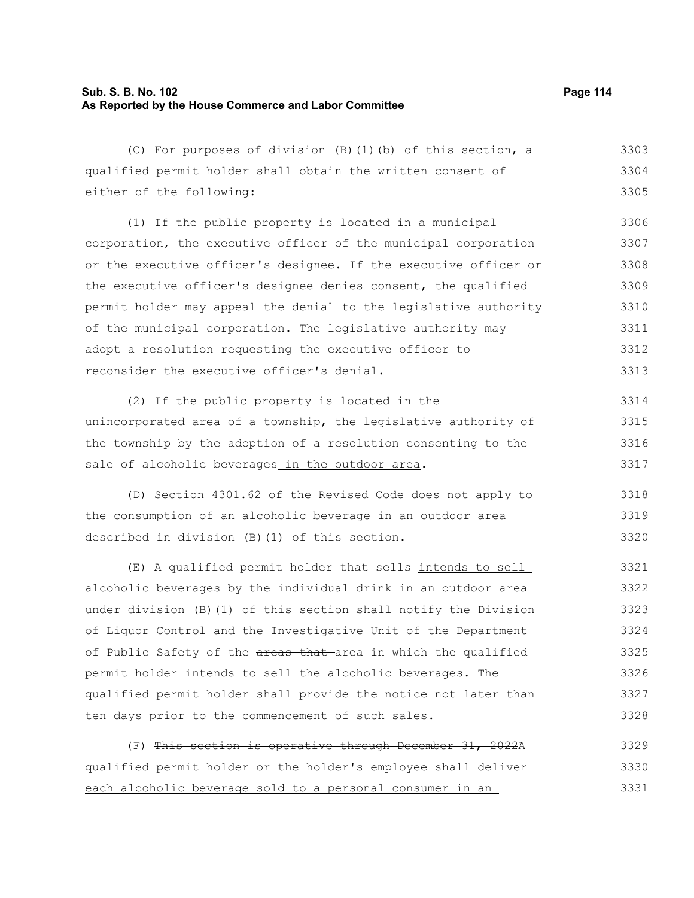# **Sub. S. B. No. 102 Page 114 As Reported by the House Commerce and Labor Committee**

| (C) For purposes of division (B) (1) (b) of this section, a      | 3303 |
|------------------------------------------------------------------|------|
| qualified permit holder shall obtain the written consent of      | 3304 |
| either of the following:                                         | 3305 |
| (1) If the public property is located in a municipal             | 3306 |
| corporation, the executive officer of the municipal corporation  | 3307 |
| or the executive officer's designee. If the executive officer or | 3308 |
| the executive officer's designee denies consent, the qualified   | 3309 |
| permit holder may appeal the denial to the legislative authority | 3310 |
| of the municipal corporation. The legislative authority may      | 3311 |
| adopt a resolution requesting the executive officer to           | 3312 |
| reconsider the executive officer's denial.                       | 3313 |
| (2) If the public property is located in the                     | 3314 |
| unincorporated area of a township, the legislative authority of  | 3315 |
| the township by the adoption of a resolution consenting to the   | 3316 |
| sale of alcoholic beverages in the outdoor area.                 | 3317 |
| (D) Section 4301.62 of the Revised Code does not apply to        | 3318 |
| the consumption of an alcoholic beverage in an outdoor area      | 3319 |
| described in division (B) (1) of this section.                   | 3320 |
| (E) A qualified permit holder that sells-intends to sell         | 3321 |
| alcoholic beverages by the individual drink in an outdoor area   | 3322 |
| under division (B) (1) of this section shall notify the Division | 3323 |
| of Liquor Control and the Investigative Unit of the Department   | 3324 |
| of Public Safety of the areas that area in which the qualified   | 3325 |
| permit holder intends to sell the alcoholic beverages. The       | 3326 |
| qualified permit holder shall provide the notice not later than  | 3327 |
| ten days prior to the commencement of such sales.                | 3328 |
| (F) This section is operative through December 31, 2022A         | 3329 |
| qualified permit holder or the holder's employee shall deliver   | 3330 |

each alcoholic beverage sold to a personal consumer in an 3331